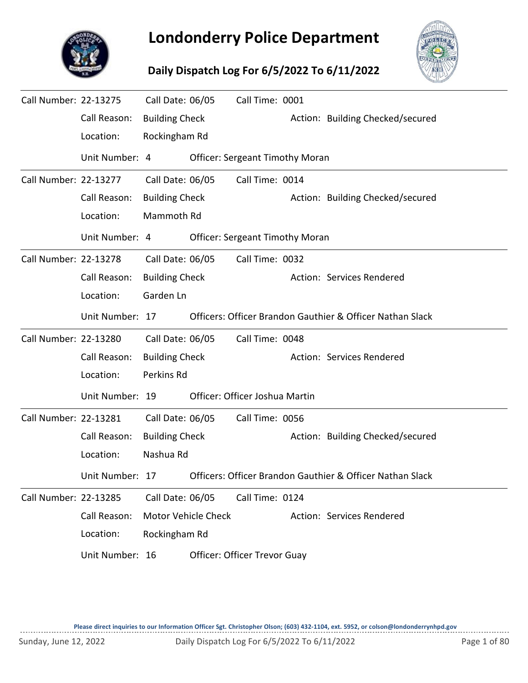

## **Londonderry Police Department**

## **Daily Dispatch Log For 6/5/2022 To 6/11/2022**



| Call Number: 22-13275 |                 | Call Date: 06/05           |  | Call Time: 0001                        |                                                           |
|-----------------------|-----------------|----------------------------|--|----------------------------------------|-----------------------------------------------------------|
|                       | Call Reason:    | <b>Building Check</b>      |  |                                        | Action: Building Checked/secured                          |
|                       | Location:       | Rockingham Rd              |  |                                        |                                                           |
|                       | Unit Number: 4  |                            |  | <b>Officer: Sergeant Timothy Moran</b> |                                                           |
| Call Number: 22-13277 |                 | Call Date: 06/05           |  | Call Time: 0014                        |                                                           |
|                       | Call Reason:    | <b>Building Check</b>      |  |                                        | Action: Building Checked/secured                          |
|                       | Location:       | Mammoth Rd                 |  |                                        |                                                           |
|                       | Unit Number: 4  |                            |  | <b>Officer: Sergeant Timothy Moran</b> |                                                           |
| Call Number: 22-13278 |                 | Call Date: 06/05           |  | Call Time: 0032                        |                                                           |
|                       | Call Reason:    | <b>Building Check</b>      |  |                                        | Action: Services Rendered                                 |
|                       | Location:       | Garden Ln                  |  |                                        |                                                           |
|                       | Unit Number: 17 |                            |  |                                        | Officers: Officer Brandon Gauthier & Officer Nathan Slack |
| Call Number: 22-13280 |                 | Call Date: 06/05           |  | Call Time: 0048                        |                                                           |
|                       | Call Reason:    | <b>Building Check</b>      |  |                                        | Action: Services Rendered                                 |
|                       | Location:       | Perkins Rd                 |  |                                        |                                                           |
|                       | Unit Number: 19 |                            |  | Officer: Officer Joshua Martin         |                                                           |
| Call Number: 22-13281 |                 | Call Date: 06/05           |  | Call Time: 0056                        |                                                           |
|                       | Call Reason:    | <b>Building Check</b>      |  |                                        | Action: Building Checked/secured                          |
|                       | Location:       | Nashua Rd                  |  |                                        |                                                           |
|                       | Unit Number: 17 |                            |  |                                        | Officers: Officer Brandon Gauthier & Officer Nathan Slack |
| Call Number: 22-13285 |                 | Call Date: 06/05           |  | Call Time: 0124                        |                                                           |
|                       | Call Reason:    | <b>Motor Vehicle Check</b> |  |                                        | Action: Services Rendered                                 |
|                       | Location:       | Rockingham Rd              |  |                                        |                                                           |
|                       | Unit Number: 16 |                            |  | Officer: Officer Trevor Guay           |                                                           |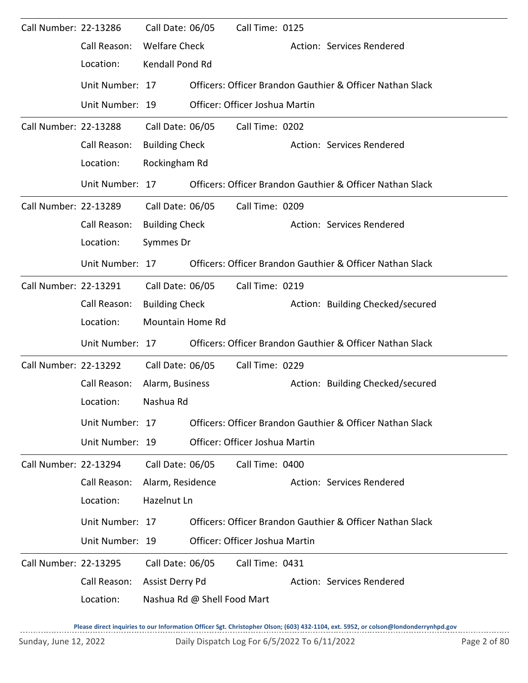| Call Number: 22-13286        |                 | Call Date: 06/05      |                             | Call Time: 0125                |                                                           |
|------------------------------|-----------------|-----------------------|-----------------------------|--------------------------------|-----------------------------------------------------------|
|                              | Call Reason:    | <b>Welfare Check</b>  |                             |                                | Action: Services Rendered                                 |
|                              | Location:       | Kendall Pond Rd       |                             |                                |                                                           |
|                              | Unit Number: 17 |                       |                             |                                | Officers: Officer Brandon Gauthier & Officer Nathan Slack |
|                              | Unit Number: 19 |                       |                             | Officer: Officer Joshua Martin |                                                           |
| Call Number: 22-13288        |                 | Call Date: 06/05      |                             | Call Time: 0202                |                                                           |
|                              | Call Reason:    | <b>Building Check</b> |                             |                                | Action: Services Rendered                                 |
|                              | Location:       | Rockingham Rd         |                             |                                |                                                           |
|                              | Unit Number: 17 |                       |                             |                                | Officers: Officer Brandon Gauthier & Officer Nathan Slack |
| Call Number: 22-13289        |                 | Call Date: 06/05      |                             | Call Time: 0209                |                                                           |
|                              | Call Reason:    | <b>Building Check</b> |                             |                                | Action: Services Rendered                                 |
|                              | Location:       | Symmes Dr             |                             |                                |                                                           |
|                              | Unit Number: 17 |                       |                             |                                | Officers: Officer Brandon Gauthier & Officer Nathan Slack |
| Call Number: 22-13291        |                 | Call Date: 06/05      |                             | Call Time: 0219                |                                                           |
|                              | Call Reason:    | <b>Building Check</b> |                             |                                | Action: Building Checked/secured                          |
|                              | Location:       | Mountain Home Rd      |                             |                                |                                                           |
|                              | Unit Number: 17 |                       |                             |                                | Officers: Officer Brandon Gauthier & Officer Nathan Slack |
| Call Number: 22-13292        |                 | Call Date: 06/05      |                             | Call Time: 0229                |                                                           |
|                              | Call Reason:    | Alarm, Business       |                             |                                | Action: Building Checked/secured                          |
|                              | Location:       | Nashua Rd             |                             |                                |                                                           |
|                              | Unit Number: 17 |                       |                             |                                | Officers: Officer Brandon Gauthier & Officer Nathan Slack |
|                              | Unit Number: 19 |                       |                             | Officer: Officer Joshua Martin |                                                           |
| <b>Call Number: 22-13294</b> |                 | Call Date: 06/05      |                             | Call Time: 0400                |                                                           |
|                              | Call Reason:    | Alarm, Residence      |                             |                                | Action: Services Rendered                                 |
|                              | Location:       | Hazelnut Ln           |                             |                                |                                                           |
|                              | Unit Number: 17 |                       |                             |                                | Officers: Officer Brandon Gauthier & Officer Nathan Slack |
|                              | Unit Number: 19 |                       |                             | Officer: Officer Joshua Martin |                                                           |
| <b>Call Number: 22-13295</b> |                 | Call Date: 06/05      |                             | Call Time: 0431                |                                                           |
|                              | Call Reason:    | Assist Derry Pd       |                             |                                | Action: Services Rendered                                 |
|                              | Location:       |                       | Nashua Rd @ Shell Food Mart |                                |                                                           |

**Please direct inquiries to our Information Officer Sgt. Christopher Olson; (603) 432-1104, ext. 5952, or colson@londonderrynhpd.gov**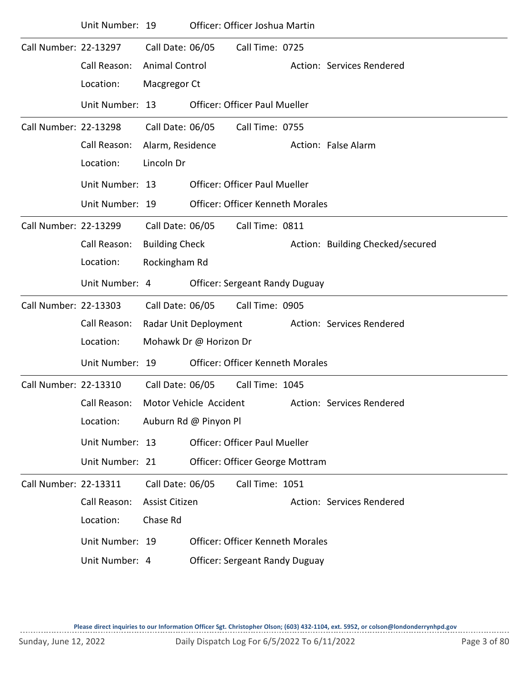|                       | Unit Number: 19 |                       |                        | Officer: Officer Joshua Martin          |                                  |
|-----------------------|-----------------|-----------------------|------------------------|-----------------------------------------|----------------------------------|
| Call Number: 22-13297 |                 | Call Date: 06/05      |                        | Call Time: 0725                         |                                  |
|                       | Call Reason:    | <b>Animal Control</b> |                        |                                         | Action: Services Rendered        |
|                       | Location:       | Macgregor Ct          |                        |                                         |                                  |
|                       | Unit Number: 13 |                       |                        | <b>Officer: Officer Paul Mueller</b>    |                                  |
| Call Number: 22-13298 |                 | Call Date: 06/05      |                        | Call Time: 0755                         |                                  |
|                       | Call Reason:    | Alarm, Residence      |                        |                                         | Action: False Alarm              |
|                       | Location:       | Lincoln Dr            |                        |                                         |                                  |
|                       | Unit Number: 13 |                       |                        | <b>Officer: Officer Paul Mueller</b>    |                                  |
|                       | Unit Number: 19 |                       |                        | <b>Officer: Officer Kenneth Morales</b> |                                  |
| Call Number: 22-13299 |                 | Call Date: 06/05      |                        | Call Time: 0811                         |                                  |
|                       | Call Reason:    | <b>Building Check</b> |                        |                                         | Action: Building Checked/secured |
|                       | Location:       | Rockingham Rd         |                        |                                         |                                  |
|                       | Unit Number: 4  |                       |                        | <b>Officer: Sergeant Randy Duguay</b>   |                                  |
| Call Number: 22-13303 |                 | Call Date: 06/05      |                        | Call Time: 0905                         |                                  |
|                       | Call Reason:    |                       | Radar Unit Deployment  |                                         | Action: Services Rendered        |
|                       | Location:       |                       | Mohawk Dr @ Horizon Dr |                                         |                                  |
|                       | Unit Number: 19 |                       |                        | <b>Officer: Officer Kenneth Morales</b> |                                  |
| Call Number: 22-13310 |                 | Call Date: 06/05      |                        | Call Time: 1045                         |                                  |
|                       | Call Reason:    |                       | Motor Vehicle Accident |                                         | Action: Services Rendered        |
|                       | Location:       |                       | Auburn Rd @ Pinyon Pl  |                                         |                                  |
|                       | Unit Number: 13 |                       |                        | <b>Officer: Officer Paul Mueller</b>    |                                  |
|                       | Unit Number: 21 |                       |                        | Officer: Officer George Mottram         |                                  |
| Call Number: 22-13311 |                 | Call Date: 06/05      |                        | Call Time: 1051                         |                                  |
|                       | Call Reason:    | Assist Citizen        |                        |                                         | Action: Services Rendered        |
|                       | Location:       | Chase Rd              |                        |                                         |                                  |
|                       | Unit Number: 19 |                       |                        | <b>Officer: Officer Kenneth Morales</b> |                                  |
|                       | Unit Number: 4  |                       |                        | <b>Officer: Sergeant Randy Duguay</b>   |                                  |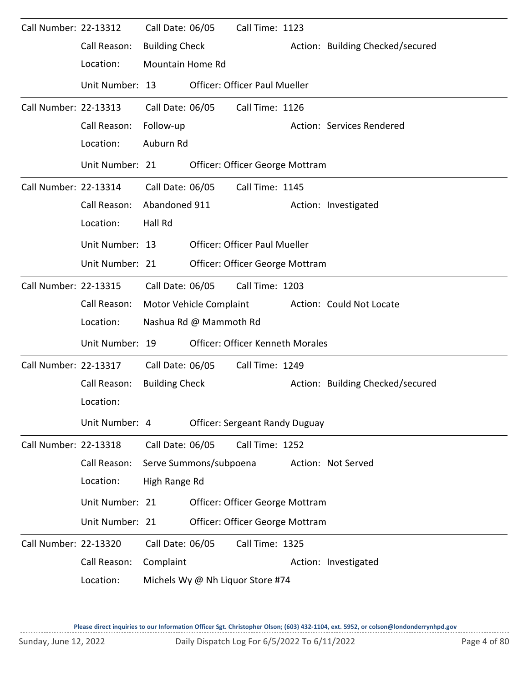| Call Number: 22-13312 |                 | Call Date: 06/05        |                         | Call Time: 1123                         |                                  |
|-----------------------|-----------------|-------------------------|-------------------------|-----------------------------------------|----------------------------------|
|                       | Call Reason:    | <b>Building Check</b>   |                         |                                         | Action: Building Checked/secured |
|                       | Location:       | <b>Mountain Home Rd</b> |                         |                                         |                                  |
|                       | Unit Number: 13 |                         |                         | <b>Officer: Officer Paul Mueller</b>    |                                  |
| Call Number: 22-13313 |                 | Call Date: 06/05        |                         | Call Time: 1126                         |                                  |
|                       | Call Reason:    | Follow-up               |                         |                                         | Action: Services Rendered        |
|                       | Location:       | Auburn Rd               |                         |                                         |                                  |
|                       | Unit Number: 21 |                         |                         | Officer: Officer George Mottram         |                                  |
| Call Number: 22-13314 |                 | Call Date: 06/05        |                         | Call Time: 1145                         |                                  |
|                       | Call Reason:    | Abandoned 911           |                         |                                         | Action: Investigated             |
|                       | Location:       | Hall Rd                 |                         |                                         |                                  |
|                       | Unit Number: 13 |                         |                         | <b>Officer: Officer Paul Mueller</b>    |                                  |
|                       | Unit Number: 21 |                         |                         | Officer: Officer George Mottram         |                                  |
| Call Number: 22-13315 |                 | Call Date: 06/05        |                         | Call Time: 1203                         |                                  |
|                       | Call Reason:    |                         | Motor Vehicle Complaint |                                         | Action: Could Not Locate         |
|                       | Location:       |                         | Nashua Rd @ Mammoth Rd  |                                         |                                  |
|                       | Unit Number: 19 |                         |                         | <b>Officer: Officer Kenneth Morales</b> |                                  |
| Call Number: 22-13317 |                 | Call Date: 06/05        |                         | Call Time: 1249                         |                                  |
|                       | Call Reason:    | <b>Building Check</b>   |                         |                                         | Action: Building Checked/secured |
|                       | Location:       |                         |                         |                                         |                                  |
|                       | Unit Number: 4  |                         |                         | <b>Officer: Sergeant Randy Duguay</b>   |                                  |
| Call Number: 22-13318 |                 | Call Date: 06/05        |                         | Call Time: 1252                         |                                  |
|                       | Call Reason:    |                         | Serve Summons/subpoena  |                                         | Action: Not Served               |
|                       | Location:       | High Range Rd           |                         |                                         |                                  |
|                       | Unit Number: 21 |                         |                         | Officer: Officer George Mottram         |                                  |
|                       | Unit Number: 21 |                         |                         | Officer: Officer George Mottram         |                                  |
| Call Number: 22-13320 |                 | Call Date: 06/05        |                         | Call Time: 1325                         |                                  |
|                       | Call Reason:    | Complaint               |                         |                                         | Action: Investigated             |
|                       | Location:       |                         |                         | Michels Wy @ Nh Liquor Store #74        |                                  |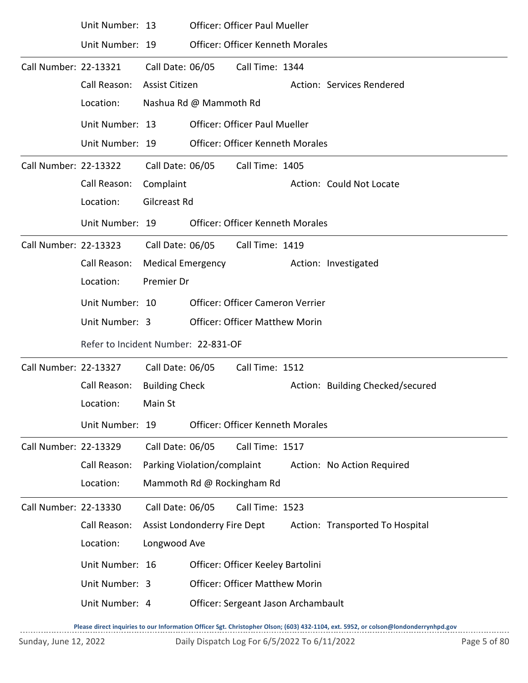|                       | Unit Number: 13                     |                              | <b>Officer: Officer Paul Mueller</b>    |  |                                  |
|-----------------------|-------------------------------------|------------------------------|-----------------------------------------|--|----------------------------------|
|                       | Unit Number: 19                     |                              | <b>Officer: Officer Kenneth Morales</b> |  |                                  |
| Call Number: 22-13321 |                                     | Call Date: 06/05             | Call Time: 1344                         |  |                                  |
|                       | Call Reason:                        | Assist Citizen               |                                         |  | Action: Services Rendered        |
|                       | Location:                           | Nashua Rd @ Mammoth Rd       |                                         |  |                                  |
|                       | Unit Number: 13                     |                              | <b>Officer: Officer Paul Mueller</b>    |  |                                  |
|                       | Unit Number: 19                     |                              | <b>Officer: Officer Kenneth Morales</b> |  |                                  |
| Call Number: 22-13322 |                                     | Call Date: 06/05             | Call Time: 1405                         |  |                                  |
|                       | Call Reason:                        | Complaint                    |                                         |  | Action: Could Not Locate         |
|                       | Location:                           | Gilcreast Rd                 |                                         |  |                                  |
|                       | Unit Number: 19                     |                              | <b>Officer: Officer Kenneth Morales</b> |  |                                  |
| Call Number: 22-13323 |                                     | Call Date: 06/05             | Call Time: 1419                         |  |                                  |
|                       | Call Reason:                        | <b>Medical Emergency</b>     |                                         |  | Action: Investigated             |
|                       | Location:                           | Premier Dr                   |                                         |  |                                  |
|                       | Unit Number: 10                     |                              | <b>Officer: Officer Cameron Verrier</b> |  |                                  |
|                       |                                     |                              |                                         |  |                                  |
|                       | Refer to Incident Number: 22-831-OF |                              |                                         |  |                                  |
| Call Number: 22-13327 |                                     | Call Date: 06/05             | Call Time: 1512                         |  |                                  |
|                       | Call Reason:                        | <b>Building Check</b>        |                                         |  | Action: Building Checked/secured |
|                       | Location:                           | Main St                      |                                         |  |                                  |
|                       | Unit Number: 19                     |                              | <b>Officer: Officer Kenneth Morales</b> |  |                                  |
| Call Number: 22-13329 |                                     | Call Date: 06/05             | Call Time: 1517                         |  |                                  |
|                       | Call Reason:                        | Parking Violation/complaint  |                                         |  | Action: No Action Required       |
|                       | Location:                           |                              | Mammoth Rd @ Rockingham Rd              |  |                                  |
| Call Number: 22-13330 |                                     | Call Date: 06/05             | Call Time: 1523                         |  |                                  |
|                       | Call Reason:                        | Assist Londonderry Fire Dept |                                         |  | Action: Transported To Hospital  |
|                       | Location:                           | Longwood Ave                 |                                         |  |                                  |
|                       | Unit Number: 16                     |                              | Officer: Officer Keeley Bartolini       |  |                                  |
|                       | Unit Number: 3                      |                              | <b>Officer: Officer Matthew Morin</b>   |  |                                  |
|                       | Unit Number: 4                      |                              | Officer: Sergeant Jason Archambault     |  |                                  |
|                       |                                     |                              |                                         |  |                                  |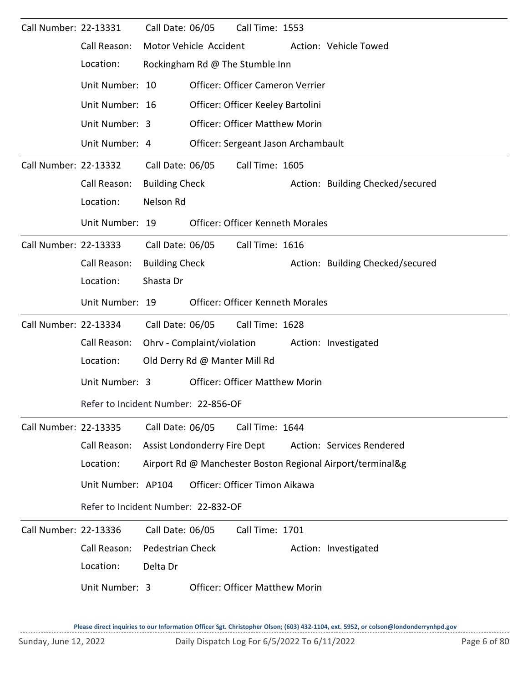| Call Number: 22-13331 |                                     | Call Date: 06/05              | Call Time: 1553                         |                                                            |
|-----------------------|-------------------------------------|-------------------------------|-----------------------------------------|------------------------------------------------------------|
|                       | Call Reason:                        | Motor Vehicle Accident        |                                         | Action: Vehicle Towed                                      |
|                       | Location:                           |                               | Rockingham Rd @ The Stumble Inn         |                                                            |
|                       | Unit Number: 10                     |                               | Officer: Officer Cameron Verrier        |                                                            |
|                       | Unit Number: 16                     |                               | Officer: Officer Keeley Bartolini       |                                                            |
|                       | Unit Number: 3                      |                               | <b>Officer: Officer Matthew Morin</b>   |                                                            |
|                       | Unit Number: 4                      |                               | Officer: Sergeant Jason Archambault     |                                                            |
| Call Number: 22-13332 |                                     | Call Date: 06/05              | Call Time: 1605                         |                                                            |
|                       | Call Reason:                        | <b>Building Check</b>         |                                         | Action: Building Checked/secured                           |
|                       | Location:                           | Nelson Rd                     |                                         |                                                            |
|                       | Unit Number: 19                     |                               | <b>Officer: Officer Kenneth Morales</b> |                                                            |
| Call Number: 22-13333 |                                     | Call Date: 06/05              | Call Time: 1616                         |                                                            |
|                       | Call Reason:                        | <b>Building Check</b>         |                                         | Action: Building Checked/secured                           |
|                       | Location:                           | Shasta Dr                     |                                         |                                                            |
|                       | Unit Number: 19                     |                               | <b>Officer: Officer Kenneth Morales</b> |                                                            |
| Call Number: 22-13334 |                                     | Call Date: 06/05              | Call Time: 1628                         |                                                            |
|                       | Call Reason:                        | Ohrv - Complaint/violation    |                                         | Action: Investigated                                       |
|                       | Location:                           | Old Derry Rd @ Manter Mill Rd |                                         |                                                            |
|                       | Unit Number: 3                      |                               | <b>Officer: Officer Matthew Morin</b>   |                                                            |
|                       | Refer to Incident Number: 22-856-OF |                               |                                         |                                                            |
| Call Number: 22-13335 |                                     | Call Date: 06/05              | Call Time: 1644                         |                                                            |
|                       | Call Reason:                        | Assist Londonderry Fire Dept  |                                         | Action: Services Rendered                                  |
|                       | Location:                           |                               |                                         | Airport Rd @ Manchester Boston Regional Airport/terminal&g |
|                       | Unit Number: AP104                  |                               | Officer: Officer Timon Aikawa           |                                                            |
|                       | Refer to Incident Number: 22-832-OF |                               |                                         |                                                            |
| Call Number: 22-13336 |                                     | Call Date: 06/05              | Call Time: 1701                         |                                                            |
|                       | Call Reason:                        | <b>Pedestrian Check</b>       |                                         | Action: Investigated                                       |
|                       | Location:                           | Delta Dr                      |                                         |                                                            |
|                       | Unit Number: 3                      |                               | <b>Officer: Officer Matthew Morin</b>   |                                                            |
|                       |                                     |                               |                                         |                                                            |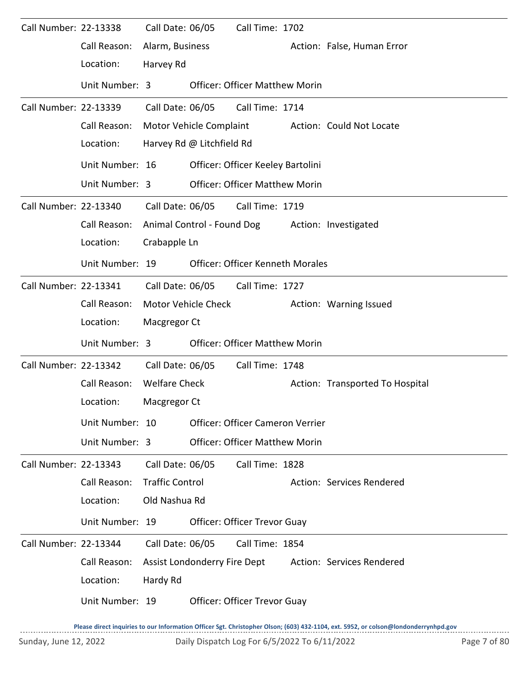| Call Number: 22-13338 |                 | Call Date: 06/05       |                              | Call Time: 1702                         |                                 |
|-----------------------|-----------------|------------------------|------------------------------|-----------------------------------------|---------------------------------|
|                       | Call Reason:    | Alarm, Business        |                              |                                         | Action: False, Human Error      |
|                       | Location:       | Harvey Rd              |                              |                                         |                                 |
|                       | Unit Number: 3  |                        |                              | <b>Officer: Officer Matthew Morin</b>   |                                 |
| Call Number: 22-13339 |                 | Call Date: 06/05       |                              | Call Time: 1714                         |                                 |
|                       | Call Reason:    |                        | Motor Vehicle Complaint      |                                         | Action: Could Not Locate        |
|                       | Location:       |                        | Harvey Rd @ Litchfield Rd    |                                         |                                 |
|                       | Unit Number: 16 |                        |                              | Officer: Officer Keeley Bartolini       |                                 |
|                       | Unit Number: 3  |                        |                              | <b>Officer: Officer Matthew Morin</b>   |                                 |
| Call Number: 22-13340 |                 | Call Date: 06/05       |                              | Call Time: 1719                         |                                 |
|                       | Call Reason:    |                        |                              | Animal Control - Found Dog              | Action: Investigated            |
|                       | Location:       | Crabapple Ln           |                              |                                         |                                 |
|                       | Unit Number: 19 |                        |                              | <b>Officer: Officer Kenneth Morales</b> |                                 |
| Call Number: 22-13341 |                 | Call Date: 06/05       |                              | Call Time: 1727                         |                                 |
|                       | Call Reason:    |                        | Motor Vehicle Check          |                                         | Action: Warning Issued          |
|                       | Location:       | Macgregor Ct           |                              |                                         |                                 |
|                       | Unit Number: 3  |                        |                              | <b>Officer: Officer Matthew Morin</b>   |                                 |
| Call Number: 22-13342 |                 | Call Date: 06/05       |                              | Call Time: 1748                         |                                 |
|                       | Call Reason:    | <b>Welfare Check</b>   |                              |                                         | Action: Transported To Hospital |
|                       | Location:       | Macgregor Ct           |                              |                                         |                                 |
|                       | Unit Number: 10 |                        |                              | Officer: Officer Cameron Verrier        |                                 |
|                       | Unit Number: 3  |                        |                              | <b>Officer: Officer Matthew Morin</b>   |                                 |
| Call Number: 22-13343 |                 | Call Date: 06/05       |                              | Call Time: 1828                         |                                 |
|                       | Call Reason:    | <b>Traffic Control</b> |                              |                                         | Action: Services Rendered       |
|                       | Location:       | Old Nashua Rd          |                              |                                         |                                 |
|                       | Unit Number: 19 |                        |                              | <b>Officer: Officer Trevor Guay</b>     |                                 |
| Call Number: 22-13344 |                 | Call Date: 06/05       |                              | Call Time: 1854                         |                                 |
|                       | Call Reason:    |                        | Assist Londonderry Fire Dept |                                         | Action: Services Rendered       |
|                       | Location:       | Hardy Rd               |                              |                                         |                                 |
|                       | Unit Number: 19 |                        |                              | Officer: Officer Trevor Guay            |                                 |
|                       |                 |                        |                              |                                         |                                 |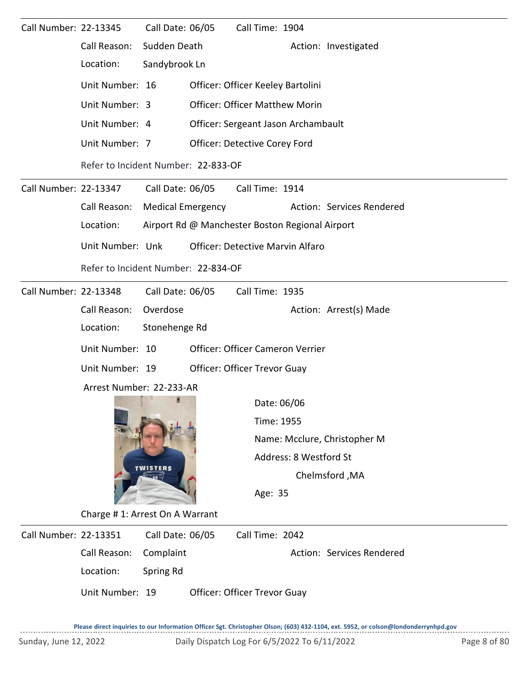| Call Number: 22-13345 |                                | Call Date: 06/05                        |                                                 | Call Time: 1904 |                        |                              |  |  |  |  |  |
|-----------------------|--------------------------------|-----------------------------------------|-------------------------------------------------|-----------------|------------------------|------------------------------|--|--|--|--|--|
|                       | Call Reason:                   | Sudden Death                            |                                                 |                 |                        | Action: Investigated         |  |  |  |  |  |
|                       | Location:                      | Sandybrook Ln                           |                                                 |                 |                        |                              |  |  |  |  |  |
|                       | Unit Number: 16                |                                         | Officer: Officer Keeley Bartolini               |                 |                        |                              |  |  |  |  |  |
|                       | Unit Number: 3                 | <b>Officer: Officer Matthew Morin</b>   |                                                 |                 |                        |                              |  |  |  |  |  |
|                       | Unit Number: 4                 |                                         | Officer: Sergeant Jason Archambault             |                 |                        |                              |  |  |  |  |  |
|                       | Unit Number: 7                 |                                         | Officer: Detective Corey Ford                   |                 |                        |                              |  |  |  |  |  |
|                       |                                |                                         | Refer to Incident Number: 22-833-OF             |                 |                        |                              |  |  |  |  |  |
| Call Number: 22-13347 |                                | Call Date: 06/05                        |                                                 | Call Time: 1914 |                        |                              |  |  |  |  |  |
|                       | Call Reason:                   | <b>Medical Emergency</b>                |                                                 |                 |                        | Action: Services Rendered    |  |  |  |  |  |
|                       | Location:                      |                                         | Airport Rd @ Manchester Boston Regional Airport |                 |                        |                              |  |  |  |  |  |
|                       | Unit Number: Unk               | <b>Officer: Detective Marvin Alfaro</b> |                                                 |                 |                        |                              |  |  |  |  |  |
|                       |                                |                                         |                                                 |                 |                        |                              |  |  |  |  |  |
| Call Number: 22-13348 |                                | Call Date: 06/05                        |                                                 | Call Time: 1935 |                        |                              |  |  |  |  |  |
|                       | Call Reason:                   | Overdose                                |                                                 |                 |                        | Action: Arrest(s) Made       |  |  |  |  |  |
|                       | Location:                      | Stonehenge Rd                           |                                                 |                 |                        |                              |  |  |  |  |  |
|                       | Unit Number: 10                | Officer: Officer Cameron Verrier        |                                                 |                 |                        |                              |  |  |  |  |  |
|                       | Unit Number: 19                |                                         | Officer: Officer Trevor Guay                    |                 |                        |                              |  |  |  |  |  |
|                       | Arrest Number: 22-233-AR       |                                         |                                                 |                 |                        |                              |  |  |  |  |  |
|                       |                                |                                         |                                                 | Date: 06/06     |                        |                              |  |  |  |  |  |
|                       |                                |                                         |                                                 | Time: 1955      |                        |                              |  |  |  |  |  |
|                       |                                |                                         |                                                 |                 |                        | Name: Mcclure, Christopher M |  |  |  |  |  |
|                       |                                | <b>TWISTERS</b>                         |                                                 |                 | Address: 8 Westford St |                              |  |  |  |  |  |
|                       |                                |                                         |                                                 |                 |                        | Chelmsford, MA               |  |  |  |  |  |
|                       |                                |                                         |                                                 | Age: 35         |                        |                              |  |  |  |  |  |
|                       | Charge #1: Arrest On A Warrant |                                         |                                                 |                 |                        |                              |  |  |  |  |  |
| Call Number: 22-13351 |                                | Call Date: 06/05                        |                                                 | Call Time: 2042 |                        |                              |  |  |  |  |  |
|                       | Call Reason:                   | Complaint                               |                                                 |                 |                        | Action: Services Rendered    |  |  |  |  |  |
|                       | Location:                      | Spring Rd                               |                                                 |                 |                        |                              |  |  |  |  |  |
|                       | Unit Number: 19                |                                         | Officer: Officer Trevor Guay                    |                 |                        |                              |  |  |  |  |  |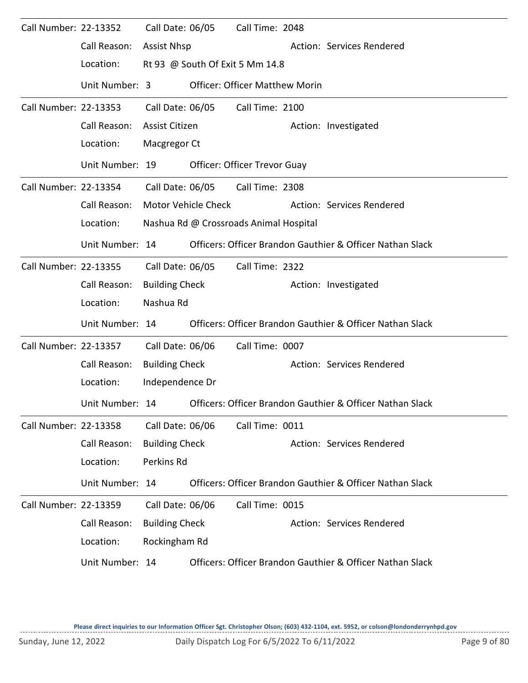| Call Number: 22-13352 |                 | Call Date: 06/05      |                     | Call Time: 2048                        |  |                                                           |  |  |  |  |  |
|-----------------------|-----------------|-----------------------|---------------------|----------------------------------------|--|-----------------------------------------------------------|--|--|--|--|--|
|                       | Call Reason:    | <b>Assist Nhsp</b>    |                     |                                        |  | Action: Services Rendered                                 |  |  |  |  |  |
|                       | Location:       |                       |                     | Rt 93 @ South Of Exit 5 Mm 14.8        |  |                                                           |  |  |  |  |  |
|                       | Unit Number: 3  |                       |                     | <b>Officer: Officer Matthew Morin</b>  |  |                                                           |  |  |  |  |  |
| Call Number: 22-13353 |                 |                       | Call Date: 06/05    | Call Time: 2100                        |  |                                                           |  |  |  |  |  |
|                       | Call Reason:    | Assist Citizen        |                     |                                        |  | Action: Investigated                                      |  |  |  |  |  |
|                       | Location:       |                       | Macgregor Ct        |                                        |  |                                                           |  |  |  |  |  |
|                       | Unit Number: 19 |                       |                     | <b>Officer: Officer Trevor Guay</b>    |  |                                                           |  |  |  |  |  |
| Call Number: 22-13354 |                 |                       | Call Date: 06/05    | Call Time: 2308                        |  |                                                           |  |  |  |  |  |
|                       | Call Reason:    |                       | Motor Vehicle Check |                                        |  | Action: Services Rendered                                 |  |  |  |  |  |
|                       | Location:       |                       |                     | Nashua Rd @ Crossroads Animal Hospital |  |                                                           |  |  |  |  |  |
|                       | Unit Number: 14 |                       |                     |                                        |  | Officers: Officer Brandon Gauthier & Officer Nathan Slack |  |  |  |  |  |
| Call Number: 22-13355 |                 | Call Date: 06/05      |                     | Call Time: 2322                        |  |                                                           |  |  |  |  |  |
|                       | Call Reason:    | <b>Building Check</b> |                     |                                        |  | Action: Investigated                                      |  |  |  |  |  |
|                       | Location:       | Nashua Rd             |                     |                                        |  |                                                           |  |  |  |  |  |
|                       | Unit Number: 14 |                       |                     |                                        |  | Officers: Officer Brandon Gauthier & Officer Nathan Slack |  |  |  |  |  |
| Call Number: 22-13357 |                 | Call Date: 06/06      |                     | Call Time: 0007                        |  |                                                           |  |  |  |  |  |
|                       | Call Reason:    | <b>Building Check</b> |                     |                                        |  | Action: Services Rendered                                 |  |  |  |  |  |
|                       | Location:       | Independence Dr       |                     |                                        |  |                                                           |  |  |  |  |  |
|                       | Unit Number: 14 |                       |                     |                                        |  | Officers: Officer Brandon Gauthier & Officer Nathan Slack |  |  |  |  |  |
| Call Number: 22-13358 |                 | Call Date: 06/06      |                     | Call Time: 0011                        |  |                                                           |  |  |  |  |  |
|                       | Call Reason:    | <b>Building Check</b> |                     |                                        |  | Action: Services Rendered                                 |  |  |  |  |  |
|                       | Location:       | Perkins Rd            |                     |                                        |  |                                                           |  |  |  |  |  |
|                       | Unit Number: 14 |                       |                     |                                        |  | Officers: Officer Brandon Gauthier & Officer Nathan Slack |  |  |  |  |  |
| Call Number: 22-13359 |                 | Call Date: 06/06      |                     | Call Time: 0015                        |  |                                                           |  |  |  |  |  |
|                       | Call Reason:    | <b>Building Check</b> |                     |                                        |  | Action: Services Rendered                                 |  |  |  |  |  |
|                       | Location:       | Rockingham Rd         |                     |                                        |  |                                                           |  |  |  |  |  |
|                       | Unit Number: 14 |                       |                     |                                        |  | Officers: Officer Brandon Gauthier & Officer Nathan Slack |  |  |  |  |  |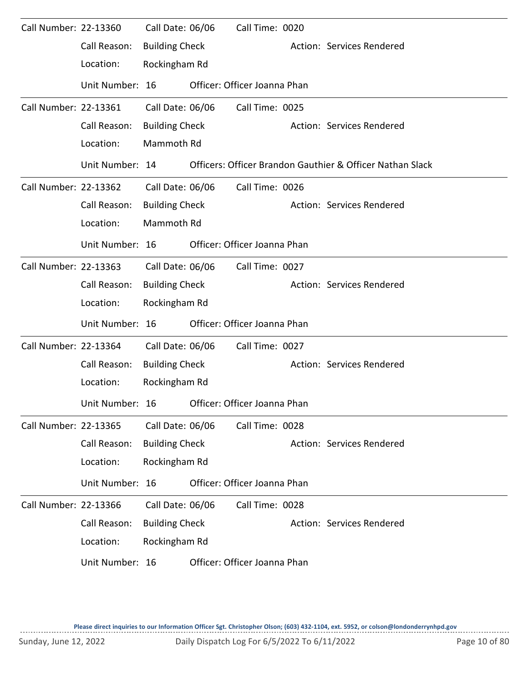| Call Number: 22-13360 |                 | Call Date: 06/06      | Call Time: 0020              |                                                           |
|-----------------------|-----------------|-----------------------|------------------------------|-----------------------------------------------------------|
|                       | Call Reason:    | <b>Building Check</b> |                              | Action: Services Rendered                                 |
|                       | Location:       | Rockingham Rd         |                              |                                                           |
|                       | Unit Number: 16 |                       | Officer: Officer Joanna Phan |                                                           |
| Call Number: 22-13361 |                 | Call Date: 06/06      | Call Time: 0025              |                                                           |
|                       | Call Reason:    | <b>Building Check</b> |                              | Action: Services Rendered                                 |
|                       | Location:       | Mammoth Rd            |                              |                                                           |
|                       | Unit Number: 14 |                       |                              | Officers: Officer Brandon Gauthier & Officer Nathan Slack |
| Call Number: 22-13362 |                 | Call Date: 06/06      | Call Time: 0026              |                                                           |
|                       | Call Reason:    | <b>Building Check</b> |                              | Action: Services Rendered                                 |
|                       | Location:       | Mammoth Rd            |                              |                                                           |
|                       | Unit Number: 16 |                       | Officer: Officer Joanna Phan |                                                           |
| Call Number: 22-13363 |                 | Call Date: 06/06      | Call Time: 0027              |                                                           |
|                       | Call Reason:    | <b>Building Check</b> |                              | Action: Services Rendered                                 |
|                       | Location:       | Rockingham Rd         |                              |                                                           |
|                       | Unit Number: 16 |                       | Officer: Officer Joanna Phan |                                                           |
| Call Number: 22-13364 |                 | Call Date: 06/06      | Call Time: 0027              |                                                           |
|                       | Call Reason:    | <b>Building Check</b> |                              | Action: Services Rendered                                 |
|                       | Location:       | Rockingham Rd         |                              |                                                           |
|                       | Unit Number: 16 |                       | Officer: Officer Joanna Phan |                                                           |
| Call Number: 22-13365 |                 | Call Date: 06/06      | Call Time: 0028              |                                                           |
|                       | Call Reason:    | <b>Building Check</b> |                              | Action: Services Rendered                                 |
|                       | Location:       | Rockingham Rd         |                              |                                                           |
|                       | Unit Number: 16 |                       | Officer: Officer Joanna Phan |                                                           |
| Call Number: 22-13366 |                 | Call Date: 06/06      | Call Time: 0028              |                                                           |
|                       | Call Reason:    | <b>Building Check</b> |                              | Action: Services Rendered                                 |
|                       | Location:       | Rockingham Rd         |                              |                                                           |
|                       | Unit Number: 16 |                       | Officer: Officer Joanna Phan |                                                           |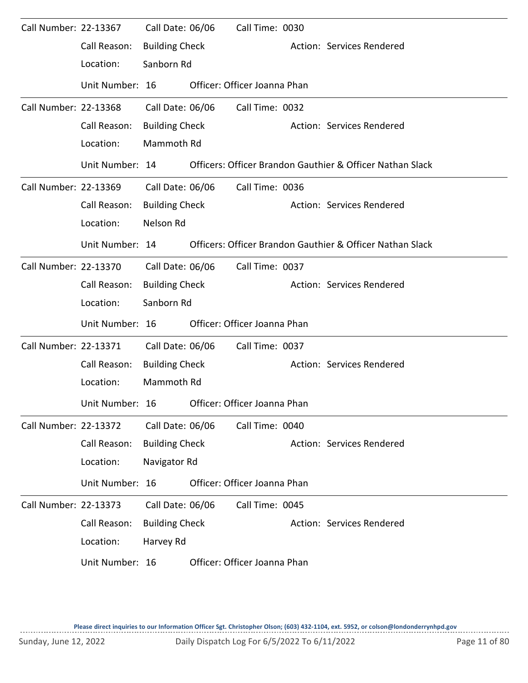| Call Number: 22-13367        |                 | Call Date: 06/06      | Call Time: 0030              |                                                           |
|------------------------------|-----------------|-----------------------|------------------------------|-----------------------------------------------------------|
|                              | Call Reason:    | <b>Building Check</b> |                              | Action: Services Rendered                                 |
|                              | Location:       | Sanborn Rd            |                              |                                                           |
|                              | Unit Number: 16 |                       | Officer: Officer Joanna Phan |                                                           |
| Call Number: 22-13368        |                 | Call Date: 06/06      | Call Time: 0032              |                                                           |
|                              | Call Reason:    | <b>Building Check</b> |                              | Action: Services Rendered                                 |
|                              | Location:       | Mammoth Rd            |                              |                                                           |
|                              | Unit Number: 14 |                       |                              | Officers: Officer Brandon Gauthier & Officer Nathan Slack |
| Call Number: 22-13369        |                 | Call Date: 06/06      | Call Time: 0036              |                                                           |
|                              | Call Reason:    | <b>Building Check</b> |                              | Action: Services Rendered                                 |
|                              | Location:       | Nelson Rd             |                              |                                                           |
|                              | Unit Number: 14 |                       |                              | Officers: Officer Brandon Gauthier & Officer Nathan Slack |
| Call Number: 22-13370        |                 | Call Date: 06/06      | Call Time: 0037              |                                                           |
|                              | Call Reason:    | <b>Building Check</b> |                              | Action: Services Rendered                                 |
|                              | Location:       | Sanborn Rd            |                              |                                                           |
|                              | Unit Number: 16 |                       | Officer: Officer Joanna Phan |                                                           |
| Call Number: 22-13371        |                 | Call Date: 06/06      | Call Time: 0037              |                                                           |
|                              | Call Reason:    | <b>Building Check</b> |                              | Action: Services Rendered                                 |
|                              | Location:       | Mammoth Rd            |                              |                                                           |
|                              | Unit Number: 16 |                       | Officer: Officer Joanna Phan |                                                           |
| <b>Call Number: 22-13372</b> |                 | Call Date: 06/06      | Call Time: 0040              |                                                           |
|                              | Call Reason:    | <b>Building Check</b> |                              | Action: Services Rendered                                 |
|                              | Location:       | Navigator Rd          |                              |                                                           |
|                              | Unit Number: 16 |                       | Officer: Officer Joanna Phan |                                                           |
| Call Number: 22-13373        |                 | Call Date: 06/06      | Call Time: 0045              |                                                           |
|                              | Call Reason:    | <b>Building Check</b> |                              | Action: Services Rendered                                 |
|                              | Location:       | Harvey Rd             |                              |                                                           |
|                              | Unit Number: 16 |                       | Officer: Officer Joanna Phan |                                                           |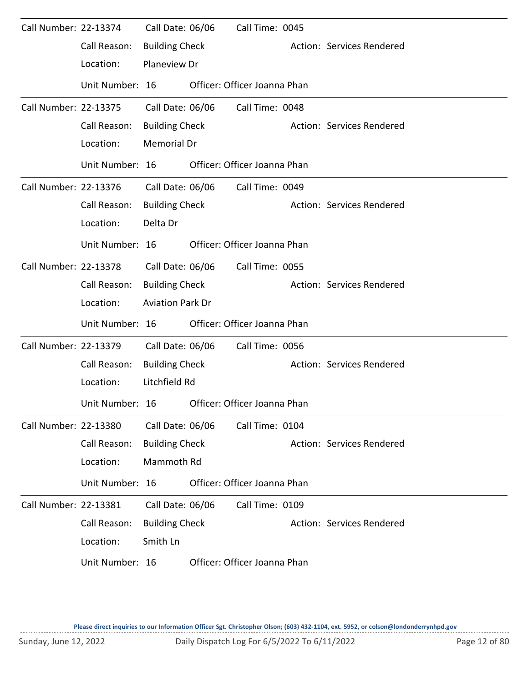| Call Number: 22-13374 |                 | Call Date: 06/06        | Call Time: 0045              |                           |
|-----------------------|-----------------|-------------------------|------------------------------|---------------------------|
|                       | Call Reason:    | <b>Building Check</b>   |                              | Action: Services Rendered |
|                       | Location:       | Planeview Dr            |                              |                           |
|                       | Unit Number: 16 |                         | Officer: Officer Joanna Phan |                           |
| Call Number: 22-13375 |                 | Call Date: 06/06        | Call Time: 0048              |                           |
|                       | Call Reason:    | <b>Building Check</b>   |                              | Action: Services Rendered |
|                       | Location:       | Memorial Dr             |                              |                           |
|                       | Unit Number: 16 |                         | Officer: Officer Joanna Phan |                           |
| Call Number: 22-13376 |                 | Call Date: 06/06        | Call Time: 0049              |                           |
|                       | Call Reason:    | <b>Building Check</b>   |                              | Action: Services Rendered |
|                       | Location:       | Delta Dr                |                              |                           |
|                       | Unit Number: 16 |                         | Officer: Officer Joanna Phan |                           |
| Call Number: 22-13378 |                 | Call Date: 06/06        | Call Time: 0055              |                           |
|                       | Call Reason:    | <b>Building Check</b>   |                              | Action: Services Rendered |
|                       | Location:       | <b>Aviation Park Dr</b> |                              |                           |
|                       | Unit Number: 16 |                         | Officer: Officer Joanna Phan |                           |
| Call Number: 22-13379 |                 | Call Date: 06/06        | Call Time: 0056              |                           |
|                       | Call Reason:    | <b>Building Check</b>   |                              | Action: Services Rendered |
|                       | Location:       | Litchfield Rd           |                              |                           |
|                       | Unit Number: 16 |                         | Officer: Officer Joanna Phan |                           |
| Call Number: 22-13380 |                 | Call Date: 06/06        | Call Time: 0104              |                           |
|                       | Call Reason:    | <b>Building Check</b>   |                              | Action: Services Rendered |
|                       | Location:       | Mammoth Rd              |                              |                           |
|                       | Unit Number: 16 |                         | Officer: Officer Joanna Phan |                           |
| Call Number: 22-13381 |                 | Call Date: 06/06        | Call Time: 0109              |                           |
|                       | Call Reason:    | <b>Building Check</b>   |                              | Action: Services Rendered |
|                       | Location:       | Smith Ln                |                              |                           |
|                       | Unit Number: 16 |                         | Officer: Officer Joanna Phan |                           |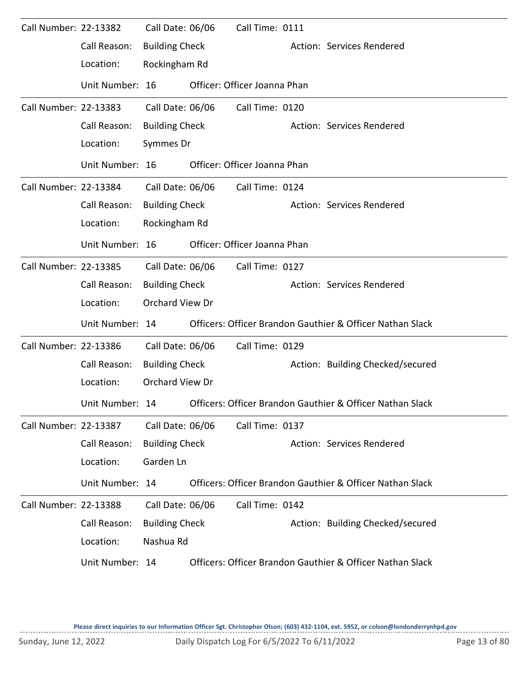| Call Number: 22-13382 |                 | Call Date: 06/06      | Call Time: 0111              |                                                           |
|-----------------------|-----------------|-----------------------|------------------------------|-----------------------------------------------------------|
|                       | Call Reason:    | <b>Building Check</b> |                              | Action: Services Rendered                                 |
|                       | Location:       | Rockingham Rd         |                              |                                                           |
|                       | Unit Number: 16 |                       | Officer: Officer Joanna Phan |                                                           |
| Call Number: 22-13383 |                 | Call Date: 06/06      | Call Time: 0120              |                                                           |
|                       | Call Reason:    | <b>Building Check</b> |                              | Action: Services Rendered                                 |
|                       | Location:       | Symmes Dr             |                              |                                                           |
|                       | Unit Number: 16 |                       | Officer: Officer Joanna Phan |                                                           |
| Call Number: 22-13384 |                 | Call Date: 06/06      | Call Time: 0124              |                                                           |
|                       | Call Reason:    | <b>Building Check</b> |                              | Action: Services Rendered                                 |
|                       | Location:       | Rockingham Rd         |                              |                                                           |
|                       | Unit Number: 16 |                       | Officer: Officer Joanna Phan |                                                           |
| Call Number: 22-13385 |                 | Call Date: 06/06      | Call Time: 0127              |                                                           |
|                       | Call Reason:    | <b>Building Check</b> |                              | Action: Services Rendered                                 |
|                       | Location:       | Orchard View Dr       |                              |                                                           |
|                       | Unit Number: 14 |                       |                              | Officers: Officer Brandon Gauthier & Officer Nathan Slack |
| Call Number: 22-13386 |                 | Call Date: 06/06      | Call Time: 0129              |                                                           |
|                       | Call Reason:    | <b>Building Check</b> |                              | Action: Building Checked/secured                          |
|                       | Location:       | Orchard View Dr       |                              |                                                           |
|                       | Unit Number: 14 |                       |                              | Officers: Officer Brandon Gauthier & Officer Nathan Slack |
| Call Number: 22-13387 |                 | Call Date: 06/06      | Call Time: 0137              |                                                           |
|                       | Call Reason:    | <b>Building Check</b> |                              | Action: Services Rendered                                 |
|                       | Location:       | Garden Ln             |                              |                                                           |
|                       | Unit Number: 14 |                       |                              | Officers: Officer Brandon Gauthier & Officer Nathan Slack |
| Call Number: 22-13388 |                 | Call Date: 06/06      | Call Time: 0142              |                                                           |
|                       | Call Reason:    | <b>Building Check</b> |                              | Action: Building Checked/secured                          |
|                       | Location:       | Nashua Rd             |                              |                                                           |
|                       | Unit Number: 14 |                       |                              | Officers: Officer Brandon Gauthier & Officer Nathan Slack |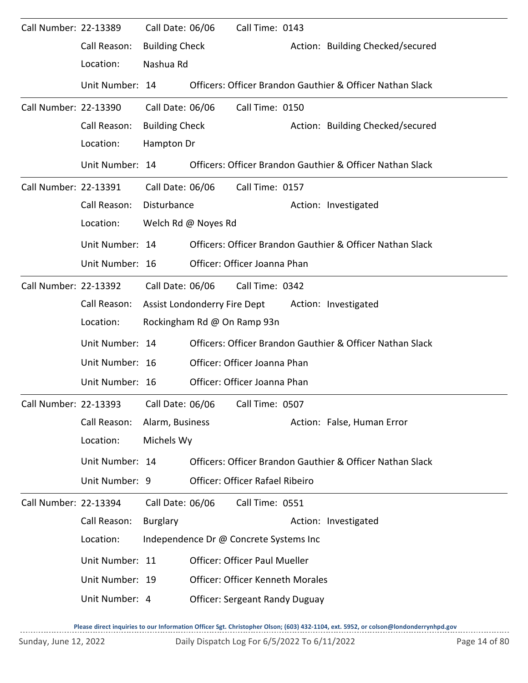| Call Number: 22-13389 |                                                              | Call Date: 06/06      |                              | Call Time: 0143                         |  |                                                           |  |  |
|-----------------------|--------------------------------------------------------------|-----------------------|------------------------------|-----------------------------------------|--|-----------------------------------------------------------|--|--|
|                       | Call Reason:                                                 | <b>Building Check</b> |                              |                                         |  | Action: Building Checked/secured                          |  |  |
|                       | Location:                                                    | Nashua Rd             |                              |                                         |  |                                                           |  |  |
|                       | Unit Number: 14                                              |                       |                              |                                         |  | Officers: Officer Brandon Gauthier & Officer Nathan Slack |  |  |
| Call Number: 22-13390 |                                                              | Call Date: 06/06      |                              | Call Time: 0150                         |  |                                                           |  |  |
|                       | Call Reason:                                                 | <b>Building Check</b> |                              |                                         |  | Action: Building Checked/secured                          |  |  |
|                       | Location:                                                    | Hampton Dr            |                              |                                         |  |                                                           |  |  |
|                       | Unit Number: 14                                              |                       |                              |                                         |  | Officers: Officer Brandon Gauthier & Officer Nathan Slack |  |  |
| Call Number: 22-13391 |                                                              | Call Date: 06/06      |                              | Call Time: 0157                         |  |                                                           |  |  |
|                       | Call Reason:                                                 | Disturbance           |                              |                                         |  | Action: Investigated                                      |  |  |
|                       | Location:                                                    |                       | Welch Rd @ Noyes Rd          |                                         |  |                                                           |  |  |
|                       | Unit Number: 14                                              |                       |                              |                                         |  | Officers: Officer Brandon Gauthier & Officer Nathan Slack |  |  |
|                       | Unit Number: 16                                              |                       |                              | Officer: Officer Joanna Phan            |  |                                                           |  |  |
| Call Number: 22-13392 |                                                              | Call Date: 06/06      |                              | Call Time: 0342                         |  |                                                           |  |  |
|                       | Call Reason:                                                 |                       | Assist Londonderry Fire Dept |                                         |  | Action: Investigated                                      |  |  |
|                       | Location:                                                    |                       | Rockingham Rd @ On Ramp 93n  |                                         |  |                                                           |  |  |
|                       | Unit Number: 14                                              |                       |                              |                                         |  | Officers: Officer Brandon Gauthier & Officer Nathan Slack |  |  |
|                       | Unit Number: 16                                              |                       |                              | Officer: Officer Joanna Phan            |  |                                                           |  |  |
|                       | Unit Number: 16                                              |                       |                              | Officer: Officer Joanna Phan            |  |                                                           |  |  |
|                       | Call Number: 22-13393    Call Date: 06/06    Call Time: 0507 |                       |                              |                                         |  |                                                           |  |  |
|                       | Call Reason:                                                 | Alarm, Business       |                              |                                         |  | Action: False, Human Error                                |  |  |
|                       | Location:                                                    | Michels Wy            |                              |                                         |  |                                                           |  |  |
|                       | Unit Number: 14                                              |                       |                              |                                         |  | Officers: Officer Brandon Gauthier & Officer Nathan Slack |  |  |
|                       | Unit Number: 9                                               |                       |                              | Officer: Officer Rafael Ribeiro         |  |                                                           |  |  |
| Call Number: 22-13394 |                                                              | Call Date: 06/06      |                              | Call Time: 0551                         |  |                                                           |  |  |
|                       | Call Reason:                                                 | <b>Burglary</b>       |                              |                                         |  | Action: Investigated                                      |  |  |
|                       | Location:                                                    |                       |                              | Independence Dr @ Concrete Systems Inc  |  |                                                           |  |  |
|                       | Unit Number: 11                                              |                       |                              | <b>Officer: Officer Paul Mueller</b>    |  |                                                           |  |  |
|                       | Unit Number: 19                                              |                       |                              | <b>Officer: Officer Kenneth Morales</b> |  |                                                           |  |  |
|                       | Unit Number: 4                                               |                       |                              | <b>Officer: Sergeant Randy Duguay</b>   |  |                                                           |  |  |
|                       |                                                              |                       |                              |                                         |  |                                                           |  |  |

**Please direct inquiries to our Information Officer Sgt. Christopher Olson; (603) 432-1104, ext. 5952, or colson@londonderrynhpd.gov**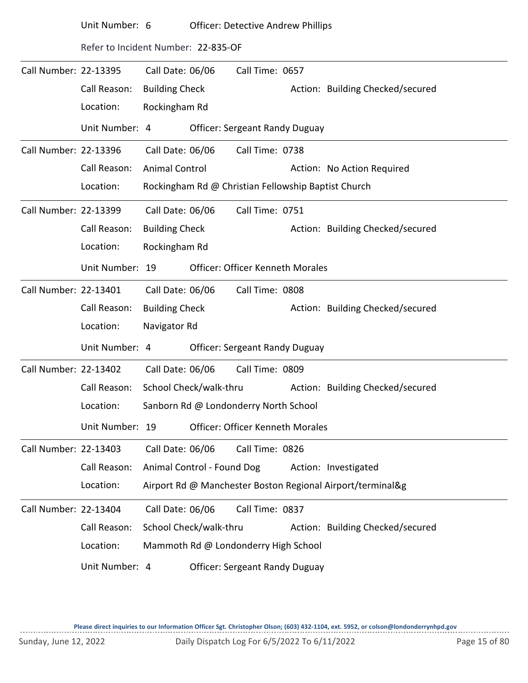|                       | Unit Number: 6                      |                            | <b>Officer: Detective Andrew Phillips</b>           |                                         |  |                                                            |  |  |  |
|-----------------------|-------------------------------------|----------------------------|-----------------------------------------------------|-----------------------------------------|--|------------------------------------------------------------|--|--|--|
|                       | Refer to Incident Number: 22-835-OF |                            |                                                     |                                         |  |                                                            |  |  |  |
| Call Number: 22-13395 |                                     | Call Date: 06/06           |                                                     | Call Time: 0657                         |  |                                                            |  |  |  |
|                       | Call Reason:                        | <b>Building Check</b>      |                                                     |                                         |  | Action: Building Checked/secured                           |  |  |  |
|                       | Location:                           | Rockingham Rd              |                                                     |                                         |  |                                                            |  |  |  |
|                       | Unit Number: 4                      |                            |                                                     | <b>Officer: Sergeant Randy Duguay</b>   |  |                                                            |  |  |  |
| Call Number: 22-13396 |                                     | Call Date: 06/06           |                                                     | Call Time: 0738                         |  |                                                            |  |  |  |
|                       | Call Reason:                        | <b>Animal Control</b>      |                                                     |                                         |  | Action: No Action Required                                 |  |  |  |
|                       | Location:                           |                            | Rockingham Rd @ Christian Fellowship Baptist Church |                                         |  |                                                            |  |  |  |
| Call Number: 22-13399 |                                     | Call Date: 06/06           |                                                     | Call Time: 0751                         |  |                                                            |  |  |  |
|                       | Call Reason:                        | <b>Building Check</b>      |                                                     |                                         |  | Action: Building Checked/secured                           |  |  |  |
|                       | Location:                           | Rockingham Rd              |                                                     |                                         |  |                                                            |  |  |  |
|                       | Unit Number: 19                     |                            |                                                     | <b>Officer: Officer Kenneth Morales</b> |  |                                                            |  |  |  |
| Call Number: 22-13401 |                                     | Call Date: 06/06           |                                                     | Call Time: 0808                         |  |                                                            |  |  |  |
|                       | Call Reason:                        | <b>Building Check</b>      |                                                     |                                         |  | Action: Building Checked/secured                           |  |  |  |
|                       | Location:                           | Navigator Rd               |                                                     |                                         |  |                                                            |  |  |  |
|                       | Unit Number: 4                      |                            |                                                     | <b>Officer: Sergeant Randy Duguay</b>   |  |                                                            |  |  |  |
| Call Number: 22-13402 |                                     | Call Date: 06/06           |                                                     | Call Time: 0809                         |  |                                                            |  |  |  |
|                       | Call Reason:                        | School Check/walk-thru     |                                                     |                                         |  | Action: Building Checked/secured                           |  |  |  |
|                       | Location:                           |                            |                                                     | Sanborn Rd @ Londonderry North School   |  |                                                            |  |  |  |
|                       | Unit Number: 19                     |                            |                                                     | <b>Officer: Officer Kenneth Morales</b> |  |                                                            |  |  |  |
| Call Number: 22-13403 |                                     | Call Date: 06/06           |                                                     | Call Time: 0826                         |  |                                                            |  |  |  |
|                       | Call Reason:                        | Animal Control - Found Dog |                                                     |                                         |  | Action: Investigated                                       |  |  |  |
|                       | Location:                           |                            |                                                     |                                         |  | Airport Rd @ Manchester Boston Regional Airport/terminal&g |  |  |  |
| Call Number: 22-13404 |                                     | Call Date: 06/06           |                                                     | Call Time: 0837                         |  |                                                            |  |  |  |
|                       | Call Reason:                        | School Check/walk-thru     |                                                     |                                         |  | Action: Building Checked/secured                           |  |  |  |
|                       | Location:                           |                            |                                                     | Mammoth Rd @ Londonderry High School    |  |                                                            |  |  |  |
|                       | Unit Number: 4                      |                            |                                                     | <b>Officer: Sergeant Randy Duguay</b>   |  |                                                            |  |  |  |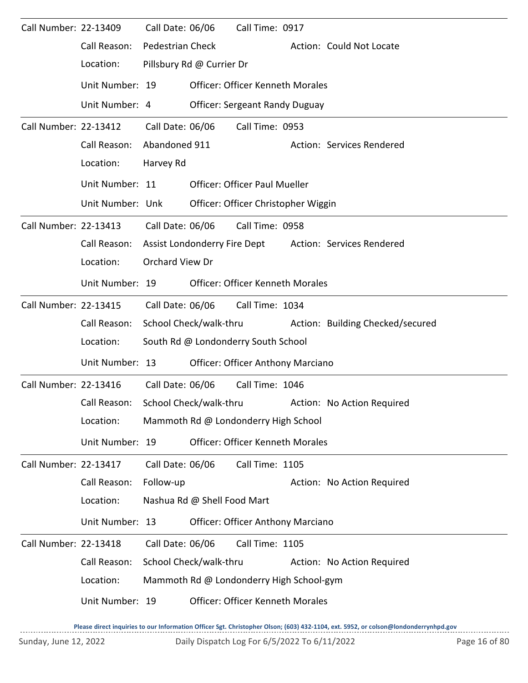| Call Number: 22-13409 |                                     | Call Date: 06/06        |                                     | Call Time: 0917                                         |  |                            |
|-----------------------|-------------------------------------|-------------------------|-------------------------------------|---------------------------------------------------------|--|----------------------------|
|                       | Call Reason:                        | <b>Pedestrian Check</b> |                                     |                                                         |  | Action: Could Not Locate   |
|                       | Location:                           |                         | Pillsbury Rd @ Currier Dr           |                                                         |  |                            |
|                       | Unit Number: 19                     |                         |                                     | <b>Officer: Officer Kenneth Morales</b>                 |  |                            |
|                       | Unit Number: 4                      |                         |                                     | <b>Officer: Sergeant Randy Duguay</b>                   |  |                            |
| Call Number: 22-13412 |                                     | Call Date: 06/06        |                                     | Call Time: 0953                                         |  |                            |
|                       | Call Reason:                        | Abandoned 911           |                                     |                                                         |  | Action: Services Rendered  |
|                       | Location:                           | Harvey Rd               |                                     |                                                         |  |                            |
|                       | Unit Number: 11                     |                         |                                     | <b>Officer: Officer Paul Mueller</b>                    |  |                            |
|                       | Unit Number: Unk                    |                         |                                     | Officer: Officer Christopher Wiggin                     |  |                            |
| Call Number: 22-13413 |                                     | Call Date: 06/06        |                                     | Call Time: 0958                                         |  |                            |
|                       | Call Reason:                        |                         |                                     | <b>Assist Londonderry Fire Dept</b>                     |  | Action: Services Rendered  |
|                       | Location:                           | Orchard View Dr         |                                     |                                                         |  |                            |
|                       | Unit Number: 19                     |                         |                                     | <b>Officer: Officer Kenneth Morales</b>                 |  |                            |
| Call Number: 22-13415 |                                     | Call Date: 06/06        |                                     | Call Time: 1034                                         |  |                            |
|                       | Call Reason:                        |                         |                                     | School Check/walk-thru Action: Building Checked/secured |  |                            |
|                       | Location:                           |                         | South Rd @ Londonderry South School |                                                         |  |                            |
|                       | Unit Number: 13                     |                         |                                     | <b>Officer: Officer Anthony Marciano</b>                |  |                            |
| Call Number: 22-13416 |                                     | Call Date: 06/06        |                                     | Call Time: 1046                                         |  |                            |
|                       | Call Reason: School Check/walk-thru |                         |                                     |                                                         |  | Action: No Action Required |
|                       | Location:                           |                         |                                     | Mammoth Rd @ Londonderry High School                    |  |                            |
|                       | Unit Number: 19                     |                         |                                     | Officer: Officer Kenneth Morales                        |  |                            |
| Call Number: 22-13417 |                                     | Call Date: 06/06        |                                     | Call Time: 1105                                         |  |                            |
|                       | Call Reason:                        | Follow-up               |                                     |                                                         |  | Action: No Action Required |
|                       | Location:                           |                         | Nashua Rd @ Shell Food Mart         |                                                         |  |                            |
|                       | Unit Number: 13                     |                         |                                     | <b>Officer: Officer Anthony Marciano</b>                |  |                            |
| Call Number: 22-13418 |                                     | Call Date: 06/06        |                                     | Call Time: 1105                                         |  |                            |
|                       | Call Reason:                        |                         | School Check/walk-thru              |                                                         |  | Action: No Action Required |
|                       | Location:                           |                         |                                     | Mammoth Rd @ Londonderry High School-gym                |  |                            |
|                       | Unit Number: 19                     |                         |                                     | <b>Officer: Officer Kenneth Morales</b>                 |  |                            |
|                       |                                     |                         |                                     |                                                         |  |                            |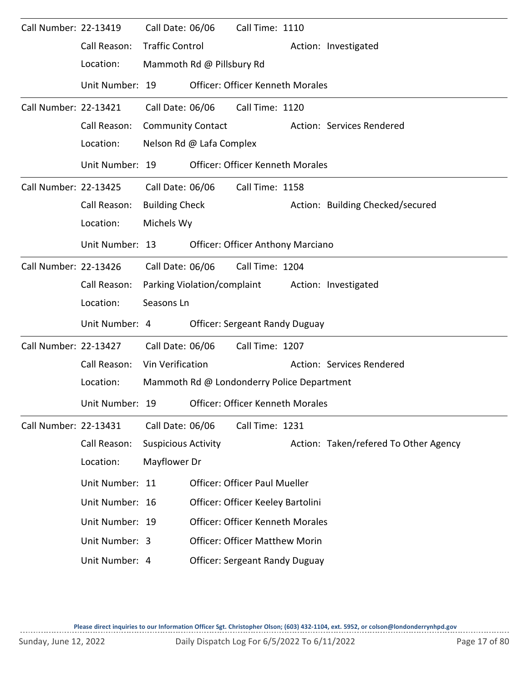| Call Number: 22-13419 |                 | Call Date: 06/06           |                           | Call Time: 1110                            |  |                                                  |  |  |  |  |  |
|-----------------------|-----------------|----------------------------|---------------------------|--------------------------------------------|--|--------------------------------------------------|--|--|--|--|--|
|                       | Call Reason:    | <b>Traffic Control</b>     |                           |                                            |  | Action: Investigated                             |  |  |  |  |  |
|                       | Location:       |                            | Mammoth Rd @ Pillsbury Rd |                                            |  |                                                  |  |  |  |  |  |
|                       | Unit Number: 19 |                            |                           | <b>Officer: Officer Kenneth Morales</b>    |  |                                                  |  |  |  |  |  |
| Call Number: 22-13421 |                 | Call Date: 06/06           |                           | Call Time: 1120                            |  |                                                  |  |  |  |  |  |
|                       | Call Reason:    | <b>Community Contact</b>   |                           |                                            |  | Action: Services Rendered                        |  |  |  |  |  |
|                       | Location:       |                            | Nelson Rd @ Lafa Complex  |                                            |  |                                                  |  |  |  |  |  |
|                       | Unit Number: 19 |                            |                           | <b>Officer: Officer Kenneth Morales</b>    |  |                                                  |  |  |  |  |  |
| Call Number: 22-13425 |                 |                            | Call Date: 06/06          | Call Time: 1158                            |  |                                                  |  |  |  |  |  |
|                       | Call Reason:    | <b>Building Check</b>      |                           |                                            |  | Action: Building Checked/secured                 |  |  |  |  |  |
|                       | Location:       | Michels Wy                 |                           |                                            |  |                                                  |  |  |  |  |  |
|                       | Unit Number: 13 |                            |                           | <b>Officer: Officer Anthony Marciano</b>   |  |                                                  |  |  |  |  |  |
| Call Number: 22-13426 |                 | Call Date: 06/06           |                           | Call Time: 1204                            |  |                                                  |  |  |  |  |  |
|                       | Call Reason:    |                            |                           |                                            |  | Parking Violation/complaint Action: Investigated |  |  |  |  |  |
|                       | Location:       | Seasons Ln                 |                           |                                            |  |                                                  |  |  |  |  |  |
|                       | Unit Number: 4  |                            |                           | <b>Officer: Sergeant Randy Duguay</b>      |  |                                                  |  |  |  |  |  |
| Call Number: 22-13427 |                 | Call Date: 06/06           |                           | Call Time: 1207                            |  |                                                  |  |  |  |  |  |
|                       | Call Reason:    | Vin Verification           |                           |                                            |  | Action: Services Rendered                        |  |  |  |  |  |
|                       | Location:       |                            |                           | Mammoth Rd @ Londonderry Police Department |  |                                                  |  |  |  |  |  |
|                       | Unit Number: 19 |                            |                           | <b>Officer: Officer Kenneth Morales</b>    |  |                                                  |  |  |  |  |  |
| Call Number: 22-13431 |                 | Call Date: 06/06           |                           | Call Time: 1231                            |  |                                                  |  |  |  |  |  |
|                       | Call Reason:    | <b>Suspicious Activity</b> |                           |                                            |  | Action: Taken/refered To Other Agency            |  |  |  |  |  |
|                       | Location:       | Mayflower Dr               |                           |                                            |  |                                                  |  |  |  |  |  |
|                       | Unit Number: 11 |                            |                           | <b>Officer: Officer Paul Mueller</b>       |  |                                                  |  |  |  |  |  |
|                       | Unit Number: 16 |                            |                           | Officer: Officer Keeley Bartolini          |  |                                                  |  |  |  |  |  |
|                       | Unit Number: 19 |                            |                           | <b>Officer: Officer Kenneth Morales</b>    |  |                                                  |  |  |  |  |  |
|                       | Unit Number: 3  |                            |                           | <b>Officer: Officer Matthew Morin</b>      |  |                                                  |  |  |  |  |  |
|                       | Unit Number: 4  |                            |                           | <b>Officer: Sergeant Randy Duguay</b>      |  |                                                  |  |  |  |  |  |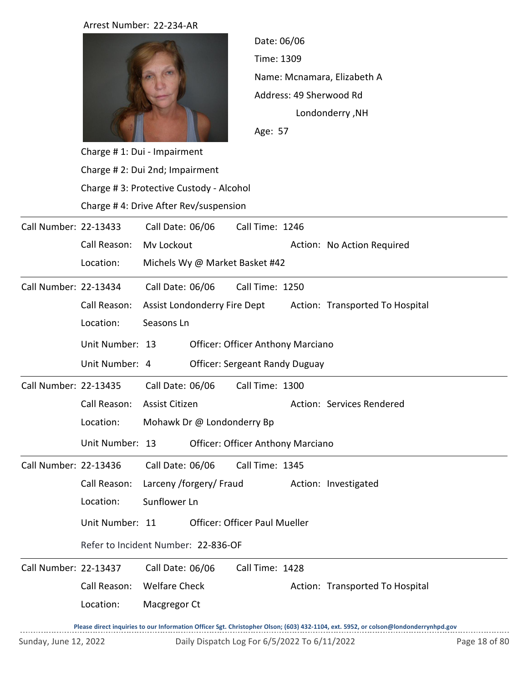|                       | Arrest Number: 22-234-AR                |                                              |                                              |                             |                                                                                                                                     |               |  |  |  |
|-----------------------|-----------------------------------------|----------------------------------------------|----------------------------------------------|-----------------------------|-------------------------------------------------------------------------------------------------------------------------------------|---------------|--|--|--|
|                       |                                         |                                              |                                              | Date: 06/06                 |                                                                                                                                     |               |  |  |  |
|                       |                                         |                                              |                                              | Time: 1309                  |                                                                                                                                     |               |  |  |  |
|                       |                                         |                                              |                                              | Name: Mcnamara, Elizabeth A |                                                                                                                                     |               |  |  |  |
|                       |                                         |                                              |                                              | Address: 49 Sherwood Rd     |                                                                                                                                     |               |  |  |  |
|                       |                                         |                                              |                                              |                             | Londonderry, NH                                                                                                                     |               |  |  |  |
|                       |                                         |                                              |                                              | Age: 57                     |                                                                                                                                     |               |  |  |  |
|                       | Charge #1: Dui - Impairment             |                                              |                                              |                             |                                                                                                                                     |               |  |  |  |
|                       | Charge # 2: Dui 2nd; Impairment         |                                              |                                              |                             |                                                                                                                                     |               |  |  |  |
|                       | Charge #3: Protective Custody - Alcohol |                                              |                                              |                             |                                                                                                                                     |               |  |  |  |
|                       | Charge #4: Drive After Rev/suspension   |                                              |                                              |                             |                                                                                                                                     |               |  |  |  |
| Call Number: 22-13433 |                                         | Call Date: 06/06                             | Call Time: 1246                              |                             |                                                                                                                                     |               |  |  |  |
|                       | Call Reason:                            | Mv Lockout                                   |                                              |                             | Action: No Action Required                                                                                                          |               |  |  |  |
|                       | Location:                               |                                              | Michels Wy @ Market Basket #42               |                             |                                                                                                                                     |               |  |  |  |
| Call Number: 22-13434 |                                         | Call Date: 06/06                             | Call Time: 1250                              |                             |                                                                                                                                     |               |  |  |  |
|                       | Call Reason:                            | Assist Londonderry Fire Dept                 |                                              |                             | Action: Transported To Hospital                                                                                                     |               |  |  |  |
|                       | Location:                               | Seasons Ln                                   |                                              |                             |                                                                                                                                     |               |  |  |  |
|                       | Unit Number: 13                         |                                              | <b>Officer: Officer Anthony Marciano</b>     |                             |                                                                                                                                     |               |  |  |  |
|                       | Unit Number: 4                          |                                              | <b>Officer: Sergeant Randy Duguay</b>        |                             |                                                                                                                                     |               |  |  |  |
|                       |                                         |                                              |                                              |                             |                                                                                                                                     |               |  |  |  |
| Call Number: 22-13435 |                                         | Call Date: 06/06                             | Call Time: 1300                              |                             |                                                                                                                                     |               |  |  |  |
|                       | Call Reason:<br>Location:               | Assist Citizen<br>Mohawk Dr @ Londonderry Bp |                                              |                             | Action: Services Rendered                                                                                                           |               |  |  |  |
|                       |                                         |                                              |                                              |                             |                                                                                                                                     |               |  |  |  |
|                       | Unit Number: 13                         |                                              | <b>Officer: Officer Anthony Marciano</b>     |                             |                                                                                                                                     |               |  |  |  |
| Call Number: 22-13436 |                                         | Call Date: 06/06                             | Call Time: 1345                              |                             |                                                                                                                                     |               |  |  |  |
|                       | Call Reason:                            | Larceny /forgery/ Fraud                      |                                              |                             | Action: Investigated                                                                                                                |               |  |  |  |
|                       | Location:                               | Sunflower Ln                                 |                                              |                             |                                                                                                                                     |               |  |  |  |
|                       | Unit Number: 11                         |                                              | <b>Officer: Officer Paul Mueller</b>         |                             |                                                                                                                                     |               |  |  |  |
|                       | Refer to Incident Number: 22-836-OF     |                                              |                                              |                             |                                                                                                                                     |               |  |  |  |
| Call Number: 22-13437 |                                         | Call Date: 06/06                             | Call Time: 1428                              |                             |                                                                                                                                     |               |  |  |  |
|                       | Call Reason:                            | <b>Welfare Check</b>                         |                                              |                             | Action: Transported To Hospital                                                                                                     |               |  |  |  |
|                       | Location:                               | Macgregor Ct                                 |                                              |                             |                                                                                                                                     |               |  |  |  |
|                       |                                         |                                              |                                              |                             | Please direct inquiries to our Information Officer Sgt. Christopher Olson; (603) 432-1104, ext. 5952, or colson@londonderrynhpd.gov |               |  |  |  |
| Sunday, June 12, 2022 |                                         |                                              | Daily Dispatch Log For 6/5/2022 To 6/11/2022 |                             |                                                                                                                                     | Page 18 of 80 |  |  |  |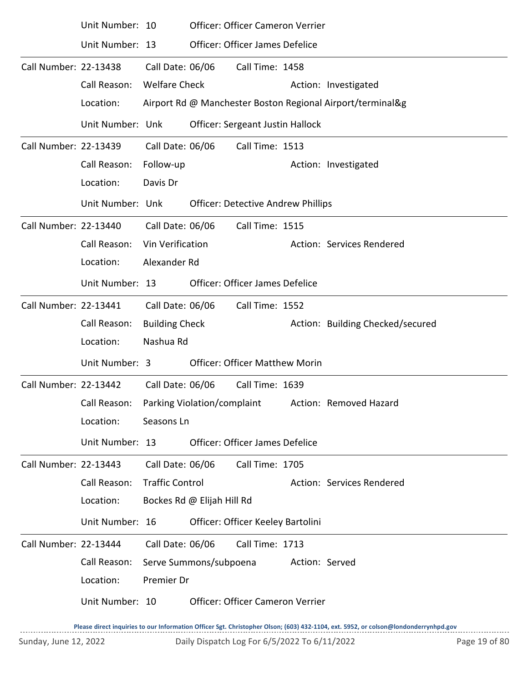|                       | Unit Number: 10  |                            | Officer: Officer Cameron Verrier          |                |                                                            |
|-----------------------|------------------|----------------------------|-------------------------------------------|----------------|------------------------------------------------------------|
|                       | Unit Number: 13  |                            | Officer: Officer James Defelice           |                |                                                            |
| Call Number: 22-13438 |                  | Call Date: 06/06           | Call Time: 1458                           |                |                                                            |
|                       | Call Reason:     | <b>Welfare Check</b>       |                                           |                | Action: Investigated                                       |
|                       | Location:        |                            |                                           |                | Airport Rd @ Manchester Boston Regional Airport/terminal&g |
|                       | Unit Number: Unk |                            | Officer: Sergeant Justin Hallock          |                |                                                            |
| Call Number: 22-13439 |                  | Call Date: 06/06           | Call Time: 1513                           |                |                                                            |
|                       | Call Reason:     | Follow-up                  |                                           |                | Action: Investigated                                       |
|                       | Location:        | Davis Dr                   |                                           |                |                                                            |
|                       | Unit Number: Unk |                            | <b>Officer: Detective Andrew Phillips</b> |                |                                                            |
| Call Number: 22-13440 |                  | Call Date: 06/06           | Call Time: 1515                           |                |                                                            |
|                       | Call Reason:     | Vin Verification           |                                           |                | Action: Services Rendered                                  |
|                       | Location:        | Alexander Rd               |                                           |                |                                                            |
|                       | Unit Number: 13  |                            | <b>Officer: Officer James Defelice</b>    |                |                                                            |
| Call Number: 22-13441 |                  | Call Date: 06/06           | Call Time: 1552                           |                |                                                            |
|                       | Call Reason:     | <b>Building Check</b>      |                                           |                | Action: Building Checked/secured                           |
|                       | Location:        | Nashua Rd                  |                                           |                |                                                            |
|                       | Unit Number: 3   |                            | <b>Officer: Officer Matthew Morin</b>     |                |                                                            |
| Call Number: 22-13442 |                  | Call Date: 06/06           | Call Time: 1639                           |                |                                                            |
|                       | Call Reason:     |                            | Parking Violation/complaint               |                | Action: Removed Hazard                                     |
|                       | Location:        | Seasons Ln                 |                                           |                |                                                            |
|                       | Unit Number: 13  |                            | <b>Officer: Officer James Defelice</b>    |                |                                                            |
| Call Number: 22-13443 |                  | Call Date: 06/06           | Call Time: 1705                           |                |                                                            |
|                       | Call Reason:     | <b>Traffic Control</b>     |                                           |                | Action: Services Rendered                                  |
|                       | Location:        | Bockes Rd @ Elijah Hill Rd |                                           |                |                                                            |
|                       | Unit Number: 16  |                            | Officer: Officer Keeley Bartolini         |                |                                                            |
| Call Number: 22-13444 |                  | Call Date: 06/06           | Call Time: 1713                           |                |                                                            |
|                       | Call Reason:     | Serve Summons/subpoena     |                                           | Action: Served |                                                            |
|                       | Location:        | Premier Dr                 |                                           |                |                                                            |
|                       | Unit Number: 10  |                            | Officer: Officer Cameron Verrier          |                |                                                            |
|                       |                  |                            |                                           |                |                                                            |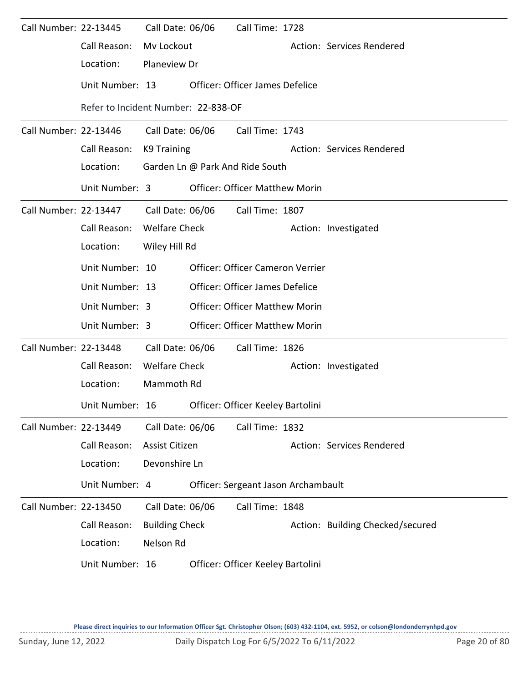| Call Number: 22-13445 |                                                   | Call Date: 06/06      | Call Time: 1728                        |                                  |
|-----------------------|---------------------------------------------------|-----------------------|----------------------------------------|----------------------------------|
|                       | Call Reason:                                      | Mv Lockout            |                                        | Action: Services Rendered        |
|                       | Location:                                         | Planeview Dr          |                                        |                                  |
|                       | Unit Number: 13                                   |                       | <b>Officer: Officer James Defelice</b> |                                  |
|                       | Refer to Incident Number: 22-838-OF               |                       |                                        |                                  |
| Call Number: 22-13446 |                                                   | Call Date: 06/06      | Call Time: 1743                        |                                  |
|                       | Call Reason:                                      | K9 Training           |                                        | Action: Services Rendered        |
|                       | Location:                                         |                       | Garden Ln @ Park And Ride South        |                                  |
|                       | Unit Number: 3                                    |                       | <b>Officer: Officer Matthew Morin</b>  |                                  |
| Call Number: 22-13447 |                                                   | Call Date: 06/06      | Call Time: 1807                        |                                  |
|                       | Call Reason:                                      | <b>Welfare Check</b>  |                                        | Action: Investigated             |
|                       | Location:                                         | Wiley Hill Rd         |                                        |                                  |
|                       | Unit Number: 10                                   |                       | Officer: Officer Cameron Verrier       |                                  |
|                       | Unit Number: 13                                   |                       | Officer: Officer James Defelice        |                                  |
|                       | Unit Number: 3                                    |                       | <b>Officer: Officer Matthew Morin</b>  |                                  |
|                       | Unit Number: 3                                    |                       | <b>Officer: Officer Matthew Morin</b>  |                                  |
| Call Number: 22-13448 |                                                   | Call Date: 06/06      | Call Time: 1826                        |                                  |
|                       | Call Reason:                                      | <b>Welfare Check</b>  |                                        | Action: Investigated             |
|                       | Location:                                         | Mammoth Rd            |                                        |                                  |
|                       | Unit Number: 16 Officer: Officer Keeley Bartolini |                       |                                        |                                  |
| Call Number: 22-13449 |                                                   | Call Date: 06/06      | Call Time: 1832                        |                                  |
|                       | Call Reason:                                      | Assist Citizen        |                                        | Action: Services Rendered        |
|                       | Location:                                         | Devonshire Ln         |                                        |                                  |
|                       | Unit Number: 4                                    |                       | Officer: Sergeant Jason Archambault    |                                  |
| Call Number: 22-13450 |                                                   | Call Date: 06/06      | Call Time: 1848                        |                                  |
|                       | Call Reason:                                      | <b>Building Check</b> |                                        | Action: Building Checked/secured |
|                       | Location:                                         | Nelson Rd             |                                        |                                  |
|                       | Unit Number: 16                                   |                       | Officer: Officer Keeley Bartolini      |                                  |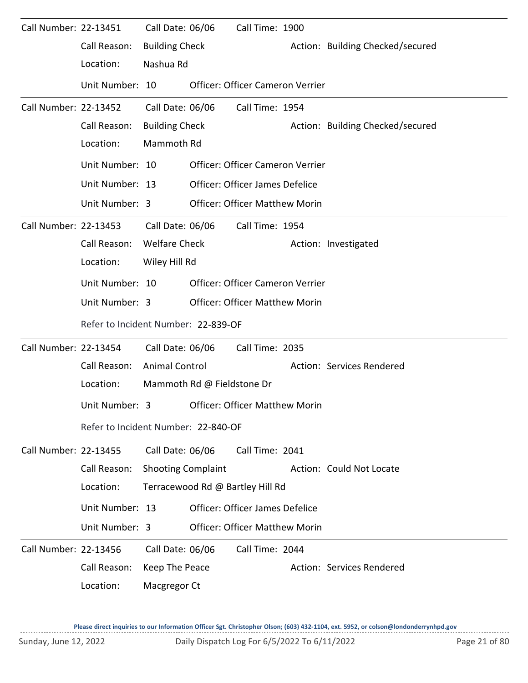| Call Number: 22-13451 |                                               | Call Date: 06/06                    |  | Call Time: 1900                         |                      |                                  |  |  |  |
|-----------------------|-----------------------------------------------|-------------------------------------|--|-----------------------------------------|----------------------|----------------------------------|--|--|--|
|                       | Call Reason:                                  | <b>Building Check</b>               |  |                                         |                      | Action: Building Checked/secured |  |  |  |
|                       | Location:                                     | Nashua Rd                           |  |                                         |                      |                                  |  |  |  |
|                       | Unit Number: 10                               |                                     |  | Officer: Officer Cameron Verrier        |                      |                                  |  |  |  |
| Call Number: 22-13452 |                                               | Call Date: 06/06                    |  | Call Time: 1954                         |                      |                                  |  |  |  |
|                       | Call Reason:                                  | <b>Building Check</b>               |  |                                         |                      | Action: Building Checked/secured |  |  |  |
|                       | Location:                                     | Mammoth Rd                          |  |                                         |                      |                                  |  |  |  |
|                       | Unit Number: 10                               |                                     |  | Officer: Officer Cameron Verrier        |                      |                                  |  |  |  |
|                       | Unit Number: 13                               |                                     |  | <b>Officer: Officer James Defelice</b>  |                      |                                  |  |  |  |
|                       | Unit Number: 3                                |                                     |  | <b>Officer: Officer Matthew Morin</b>   |                      |                                  |  |  |  |
| Call Number: 22-13453 |                                               | Call Date: 06/06                    |  | Call Time: 1954                         |                      |                                  |  |  |  |
|                       | Call Reason:                                  | <b>Welfare Check</b>                |  |                                         | Action: Investigated |                                  |  |  |  |
|                       | Location:                                     | Wiley Hill Rd                       |  |                                         |                      |                                  |  |  |  |
|                       | Unit Number: 10                               |                                     |  | <b>Officer: Officer Cameron Verrier</b> |                      |                                  |  |  |  |
|                       | Unit Number: 3                                |                                     |  | <b>Officer: Officer Matthew Morin</b>   |                      |                                  |  |  |  |
|                       |                                               | Refer to Incident Number: 22-839-OF |  |                                         |                      |                                  |  |  |  |
| Call Number: 22-13454 |                                               | Call Date: 06/06                    |  | Call Time: 2035                         |                      |                                  |  |  |  |
|                       | Call Reason:                                  | <b>Animal Control</b>               |  |                                         |                      | Action: Services Rendered        |  |  |  |
|                       | Location:                                     | Mammoth Rd @ Fieldstone Dr          |  |                                         |                      |                                  |  |  |  |
|                       | Unit Number: 3 Officer: Officer Matthew Morin |                                     |  |                                         |                      |                                  |  |  |  |
|                       | Refer to Incident Number: 22-840-OF           |                                     |  |                                         |                      |                                  |  |  |  |
| Call Number: 22-13455 |                                               | Call Date: 06/06                    |  | Call Time: 2041                         |                      |                                  |  |  |  |
|                       | Call Reason:                                  | <b>Shooting Complaint</b>           |  |                                         |                      | Action: Could Not Locate         |  |  |  |
|                       | Location:                                     |                                     |  | Terracewood Rd @ Bartley Hill Rd        |                      |                                  |  |  |  |
|                       | Unit Number: 13                               |                                     |  | <b>Officer: Officer James Defelice</b>  |                      |                                  |  |  |  |
|                       | Unit Number: 3                                |                                     |  | <b>Officer: Officer Matthew Morin</b>   |                      |                                  |  |  |  |
| Call Number: 22-13456 |                                               | Call Date: 06/06                    |  | Call Time: 2044                         |                      |                                  |  |  |  |
|                       | Call Reason:                                  | Keep The Peace                      |  |                                         |                      | Action: Services Rendered        |  |  |  |
|                       | Location:                                     | Macgregor Ct                        |  |                                         |                      |                                  |  |  |  |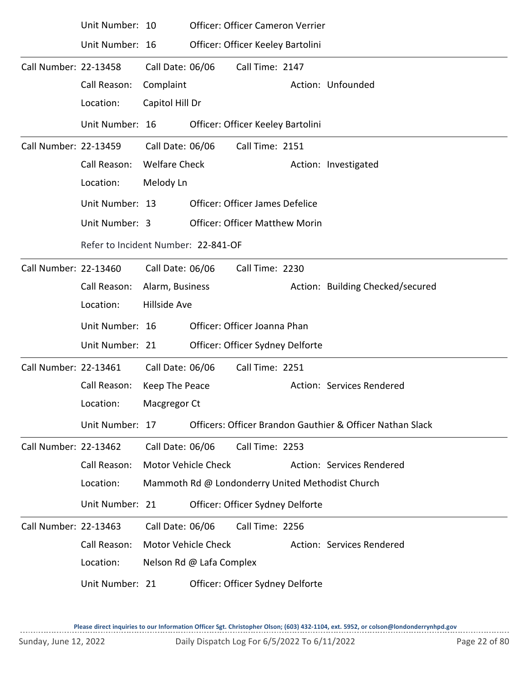|                       | Unit Number: 10 |                            |                                     | Officer: Officer Cameron Verrier       |  |                                                           |  |  |  |
|-----------------------|-----------------|----------------------------|-------------------------------------|----------------------------------------|--|-----------------------------------------------------------|--|--|--|
|                       | Unit Number: 16 |                            |                                     | Officer: Officer Keeley Bartolini      |  |                                                           |  |  |  |
| Call Number: 22-13458 |                 | Call Date: 06/06           |                                     | Call Time: 2147                        |  |                                                           |  |  |  |
|                       | Call Reason:    | Complaint                  |                                     |                                        |  | Action: Unfounded                                         |  |  |  |
|                       | Location:       | Capitol Hill Dr            |                                     |                                        |  |                                                           |  |  |  |
|                       | Unit Number: 16 |                            |                                     | Officer: Officer Keeley Bartolini      |  |                                                           |  |  |  |
| Call Number: 22-13459 |                 | Call Date: 06/06           |                                     | Call Time: 2151                        |  |                                                           |  |  |  |
|                       | Call Reason:    | <b>Welfare Check</b>       |                                     |                                        |  | Action: Investigated                                      |  |  |  |
|                       | Location:       | Melody Ln                  |                                     |                                        |  |                                                           |  |  |  |
|                       | Unit Number: 13 |                            |                                     | <b>Officer: Officer James Defelice</b> |  |                                                           |  |  |  |
|                       | Unit Number: 3  |                            |                                     | <b>Officer: Officer Matthew Morin</b>  |  |                                                           |  |  |  |
|                       |                 |                            | Refer to Incident Number: 22-841-OF |                                        |  |                                                           |  |  |  |
| Call Number: 22-13460 |                 | Call Date: 06/06           |                                     | Call Time: 2230                        |  |                                                           |  |  |  |
|                       | Call Reason:    | Alarm, Business            |                                     |                                        |  | Action: Building Checked/secured                          |  |  |  |
|                       | Location:       | <b>Hillside Ave</b>        |                                     |                                        |  |                                                           |  |  |  |
|                       | Unit Number: 16 |                            |                                     | Officer: Officer Joanna Phan           |  |                                                           |  |  |  |
|                       | Unit Number: 21 |                            |                                     | Officer: Officer Sydney Delforte       |  |                                                           |  |  |  |
| Call Number: 22-13461 |                 | Call Date: 06/06           |                                     | Call Time: 2251                        |  |                                                           |  |  |  |
|                       | Call Reason:    | Keep The Peace             |                                     |                                        |  | Action: Services Rendered                                 |  |  |  |
|                       | Location:       | Macgregor Ct               |                                     |                                        |  |                                                           |  |  |  |
|                       | Unit Number: 17 |                            |                                     |                                        |  | Officers: Officer Brandon Gauthier & Officer Nathan Slack |  |  |  |
| Call Number: 22-13462 |                 | Call Date: 06/06           |                                     | Call Time: 2253                        |  |                                                           |  |  |  |
|                       | Call Reason:    | Motor Vehicle Check        |                                     |                                        |  | Action: Services Rendered                                 |  |  |  |
|                       | Location:       |                            |                                     |                                        |  | Mammoth Rd @ Londonderry United Methodist Church          |  |  |  |
|                       | Unit Number: 21 |                            |                                     | Officer: Officer Sydney Delforte       |  |                                                           |  |  |  |
| Call Number: 22-13463 |                 | Call Date: 06/06           |                                     | Call Time: 2256                        |  |                                                           |  |  |  |
|                       | Call Reason:    | <b>Motor Vehicle Check</b> |                                     |                                        |  | Action: Services Rendered                                 |  |  |  |
|                       | Location:       |                            | Nelson Rd @ Lafa Complex            |                                        |  |                                                           |  |  |  |
|                       | Unit Number: 21 |                            |                                     | Officer: Officer Sydney Delforte       |  |                                                           |  |  |  |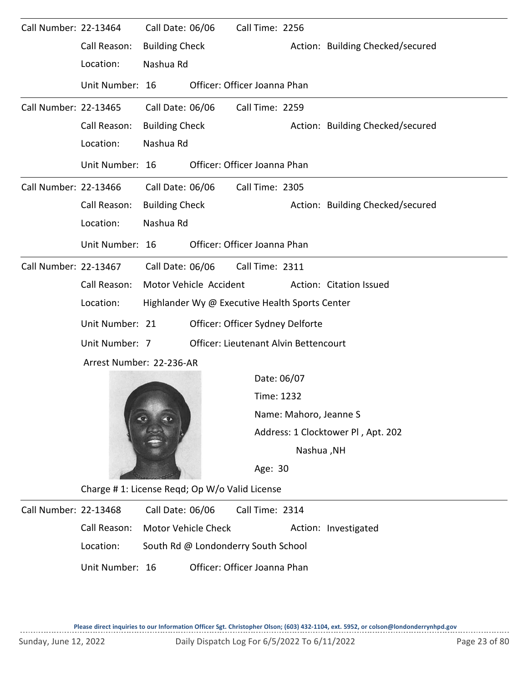| Call Number: 22-13464 |                          | Call Date: 06/06      |                                                | Call Time: 2256                       |                        |                                    |
|-----------------------|--------------------------|-----------------------|------------------------------------------------|---------------------------------------|------------------------|------------------------------------|
|                       | Call Reason:             | <b>Building Check</b> |                                                |                                       |                        | Action: Building Checked/secured   |
|                       | Location:                | Nashua Rd             |                                                |                                       |                        |                                    |
|                       | Unit Number: 16          |                       |                                                | Officer: Officer Joanna Phan          |                        |                                    |
| Call Number: 22-13465 |                          | Call Date: 06/06      |                                                | Call Time: 2259                       |                        |                                    |
|                       | Call Reason:             | <b>Building Check</b> |                                                |                                       |                        | Action: Building Checked/secured   |
|                       | Location:                | Nashua Rd             |                                                |                                       |                        |                                    |
|                       | Unit Number: 16          |                       |                                                | Officer: Officer Joanna Phan          |                        |                                    |
| Call Number: 22-13466 |                          | Call Date: 06/06      |                                                | Call Time: 2305                       |                        |                                    |
|                       | Call Reason:             | <b>Building Check</b> |                                                |                                       |                        | Action: Building Checked/secured   |
|                       | Location:                | Nashua Rd             |                                                |                                       |                        |                                    |
|                       | Unit Number: 16          |                       |                                                | Officer: Officer Joanna Phan          |                        |                                    |
| Call Number: 22-13467 |                          | Call Date: 06/06      |                                                | Call Time: 2311                       |                        |                                    |
|                       | Call Reason:             |                       | Motor Vehicle Accident                         |                                       |                        | Action: Citation Issued            |
|                       | Location:                |                       | Highlander Wy @ Executive Health Sports Center |                                       |                        |                                    |
|                       | Unit Number: 21          |                       |                                                | Officer: Officer Sydney Delforte      |                        |                                    |
|                       | Unit Number: 7           |                       |                                                | Officer: Lieutenant Alvin Bettencourt |                        |                                    |
|                       | Arrest Number: 22-236-AR |                       |                                                |                                       |                        |                                    |
|                       |                          |                       |                                                | Date: 06/07                           |                        |                                    |
|                       |                          |                       |                                                | Time: 1232                            |                        |                                    |
|                       |                          |                       |                                                |                                       | Name: Mahoro, Jeanne S |                                    |
|                       |                          |                       |                                                |                                       |                        | Address: 1 Clocktower Pl, Apt. 202 |

Nashua ,NH

Age: 30

Charge # 1: License Reqd; Op W/o Valid License

Call Number: 22-13468 Call Date: 06/06 Call Time: 2314 Call Reason: Motor Vehicle Check Action: Investigated Location: South Rd @ Londonderry South School Call Date: 06/06 Unit Number: 16 Officer: Officer Joanna Phan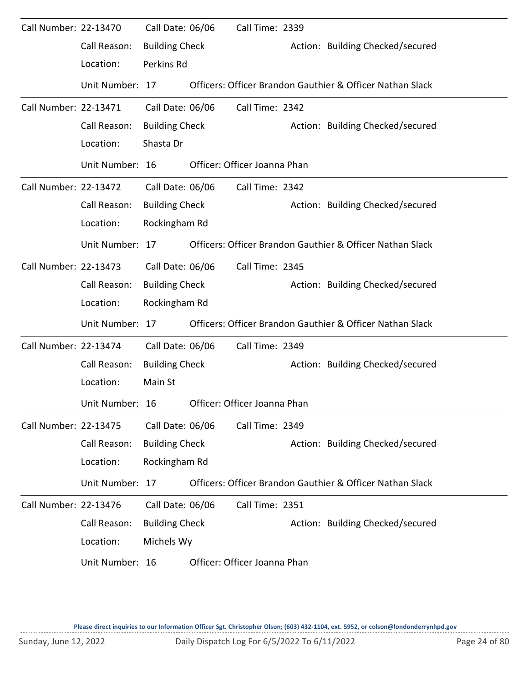| Call Number: 22-13470 |                 | Call Date: 06/06      | Call Time: 2339              |                                                           |
|-----------------------|-----------------|-----------------------|------------------------------|-----------------------------------------------------------|
|                       | Call Reason:    | <b>Building Check</b> |                              | Action: Building Checked/secured                          |
|                       | Location:       | Perkins Rd            |                              |                                                           |
|                       | Unit Number: 17 |                       |                              | Officers: Officer Brandon Gauthier & Officer Nathan Slack |
| Call Number: 22-13471 |                 | Call Date: 06/06      | Call Time: 2342              |                                                           |
|                       | Call Reason:    | <b>Building Check</b> |                              | Action: Building Checked/secured                          |
|                       | Location:       | Shasta Dr             |                              |                                                           |
|                       | Unit Number: 16 |                       | Officer: Officer Joanna Phan |                                                           |
| Call Number: 22-13472 |                 | Call Date: 06/06      | Call Time: 2342              |                                                           |
|                       | Call Reason:    | <b>Building Check</b> |                              | Action: Building Checked/secured                          |
|                       | Location:       | Rockingham Rd         |                              |                                                           |
|                       | Unit Number: 17 |                       |                              | Officers: Officer Brandon Gauthier & Officer Nathan Slack |
| Call Number: 22-13473 |                 | Call Date: 06/06      | Call Time: 2345              |                                                           |
|                       | Call Reason:    | <b>Building Check</b> |                              | Action: Building Checked/secured                          |
|                       | Location:       | Rockingham Rd         |                              |                                                           |
|                       | Unit Number: 17 |                       |                              | Officers: Officer Brandon Gauthier & Officer Nathan Slack |
| Call Number: 22-13474 |                 | Call Date: 06/06      | Call Time: 2349              |                                                           |
|                       | Call Reason:    | <b>Building Check</b> |                              | Action: Building Checked/secured                          |
|                       | Location:       | Main St               |                              |                                                           |
|                       | Unit Number: 16 |                       | Officer: Officer Joanna Phan |                                                           |
| Call Number: 22-13475 |                 | Call Date: 06/06      | Call Time: 2349              |                                                           |
|                       | Call Reason:    | <b>Building Check</b> |                              | Action: Building Checked/secured                          |
|                       | Location:       | Rockingham Rd         |                              |                                                           |
|                       | Unit Number: 17 |                       |                              | Officers: Officer Brandon Gauthier & Officer Nathan Slack |
| Call Number: 22-13476 |                 | Call Date: 06/06      | Call Time: 2351              |                                                           |
|                       | Call Reason:    | <b>Building Check</b> |                              | Action: Building Checked/secured                          |
|                       | Location:       | Michels Wy            |                              |                                                           |
|                       | Unit Number: 16 |                       | Officer: Officer Joanna Phan |                                                           |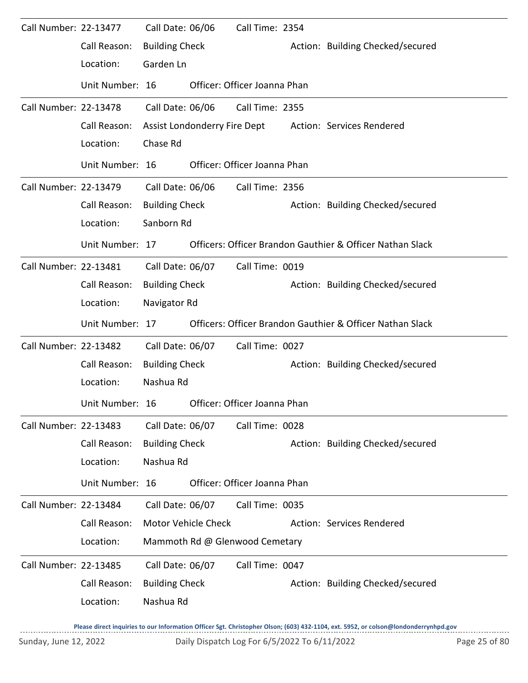| Call Number: 22-13477 |                 | Call Date: 06/06      |                                                           | Call Time: 2354                |  |                                                           |  |  |  |
|-----------------------|-----------------|-----------------------|-----------------------------------------------------------|--------------------------------|--|-----------------------------------------------------------|--|--|--|
|                       | Call Reason:    | <b>Building Check</b> |                                                           |                                |  | Action: Building Checked/secured                          |  |  |  |
|                       | Location:       | Garden Ln             |                                                           |                                |  |                                                           |  |  |  |
|                       | Unit Number: 16 |                       |                                                           | Officer: Officer Joanna Phan   |  |                                                           |  |  |  |
| Call Number: 22-13478 |                 | Call Date: 06/06      |                                                           | Call Time: 2355                |  |                                                           |  |  |  |
|                       | Call Reason:    |                       |                                                           | Assist Londonderry Fire Dept   |  | Action: Services Rendered                                 |  |  |  |
|                       | Location:       | Chase Rd              |                                                           |                                |  |                                                           |  |  |  |
|                       | Unit Number: 16 |                       |                                                           | Officer: Officer Joanna Phan   |  |                                                           |  |  |  |
| Call Number: 22-13479 |                 | Call Date: 06/06      |                                                           | Call Time: 2356                |  |                                                           |  |  |  |
|                       | Call Reason:    | <b>Building Check</b> |                                                           |                                |  | Action: Building Checked/secured                          |  |  |  |
|                       | Location:       | Sanborn Rd            |                                                           |                                |  |                                                           |  |  |  |
|                       | Unit Number: 17 |                       |                                                           |                                |  | Officers: Officer Brandon Gauthier & Officer Nathan Slack |  |  |  |
| Call Number: 22-13481 |                 | Call Date: 06/07      |                                                           | Call Time: 0019                |  |                                                           |  |  |  |
|                       | Call Reason:    | <b>Building Check</b> |                                                           |                                |  | Action: Building Checked/secured                          |  |  |  |
|                       | Location:       | Navigator Rd          |                                                           |                                |  |                                                           |  |  |  |
|                       | Unit Number: 17 |                       | Officers: Officer Brandon Gauthier & Officer Nathan Slack |                                |  |                                                           |  |  |  |
|                       |                 |                       |                                                           |                                |  |                                                           |  |  |  |
| Call Number: 22-13482 |                 | Call Date: 06/07      |                                                           | Call Time: 0027                |  |                                                           |  |  |  |
|                       | Call Reason:    | <b>Building Check</b> |                                                           |                                |  | Action: Building Checked/secured                          |  |  |  |
|                       | Location:       | Nashua Rd             |                                                           |                                |  |                                                           |  |  |  |
|                       | Unit Number: 16 |                       |                                                           | Officer: Officer Joanna Phan   |  |                                                           |  |  |  |
| Call Number: 22-13483 |                 | Call Date: 06/07      |                                                           | Call Time: 0028                |  |                                                           |  |  |  |
|                       | Call Reason:    | <b>Building Check</b> |                                                           |                                |  | Action: Building Checked/secured                          |  |  |  |
|                       | Location:       | Nashua Rd             |                                                           |                                |  |                                                           |  |  |  |
|                       | Unit Number: 16 |                       |                                                           | Officer: Officer Joanna Phan   |  |                                                           |  |  |  |
| Call Number: 22-13484 |                 | Call Date: 06/07      |                                                           | Call Time: 0035                |  |                                                           |  |  |  |
|                       | Call Reason:    |                       | Motor Vehicle Check                                       |                                |  | Action: Services Rendered                                 |  |  |  |
|                       | Location:       |                       |                                                           | Mammoth Rd @ Glenwood Cemetary |  |                                                           |  |  |  |
| Call Number: 22-13485 |                 | Call Date: 06/07      |                                                           | Call Time: 0047                |  |                                                           |  |  |  |
|                       | Call Reason:    | <b>Building Check</b> |                                                           |                                |  | Action: Building Checked/secured                          |  |  |  |

**Please direct inquiries to our Information Officer Sgt. Christopher Olson; (603) 432-1104, ext. 5952, or colson@londonderrynhpd.gov**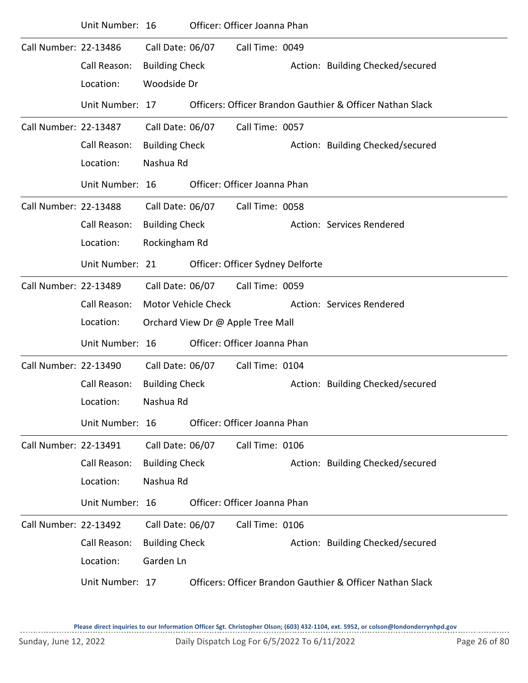|                              | Unit Number: 16 |                            | Officer: Officer Joanna Phan      |                                                           |
|------------------------------|-----------------|----------------------------|-----------------------------------|-----------------------------------------------------------|
| Call Number: 22-13486        |                 | Call Date: 06/07           | Call Time: 0049                   |                                                           |
|                              | Call Reason:    | <b>Building Check</b>      |                                   | Action: Building Checked/secured                          |
|                              | Location:       | Woodside Dr                |                                   |                                                           |
|                              | Unit Number: 17 |                            |                                   | Officers: Officer Brandon Gauthier & Officer Nathan Slack |
| Call Number: 22-13487        |                 | Call Date: 06/07           | Call Time: 0057                   |                                                           |
|                              | Call Reason:    | <b>Building Check</b>      |                                   | Action: Building Checked/secured                          |
|                              | Location:       | Nashua Rd                  |                                   |                                                           |
|                              | Unit Number: 16 |                            | Officer: Officer Joanna Phan      |                                                           |
| Call Number: 22-13488        |                 | Call Date: 06/07           | Call Time: 0058                   |                                                           |
|                              | Call Reason:    | <b>Building Check</b>      |                                   | Action: Services Rendered                                 |
|                              | Location:       | Rockingham Rd              |                                   |                                                           |
|                              | Unit Number: 21 |                            | Officer: Officer Sydney Delforte  |                                                           |
| Call Number: 22-13489        |                 | Call Date: 06/07           | Call Time: 0059                   |                                                           |
|                              | Call Reason:    | <b>Motor Vehicle Check</b> |                                   | Action: Services Rendered                                 |
|                              | Location:       |                            | Orchard View Dr @ Apple Tree Mall |                                                           |
|                              | Unit Number: 16 |                            | Officer: Officer Joanna Phan      |                                                           |
| Call Number: 22-13490        |                 | Call Date: 06/07           | Call Time: 0104                   |                                                           |
|                              | Call Reason:    | <b>Building Check</b>      |                                   | Action: Building Checked/secured                          |
|                              | Location:       | Nashua Rd                  |                                   |                                                           |
|                              | Unit Number: 16 |                            | Officer: Officer Joanna Phan      |                                                           |
| Call Number: 22-13491        |                 | Call Date: 06/07           | Call Time: 0106                   |                                                           |
|                              | Call Reason:    | <b>Building Check</b>      |                                   | Action: Building Checked/secured                          |
|                              | Location:       | Nashua Rd                  |                                   |                                                           |
|                              | Unit Number: 16 |                            | Officer: Officer Joanna Phan      |                                                           |
| <b>Call Number: 22-13492</b> |                 | Call Date: 06/07           | Call Time: 0106                   |                                                           |
|                              | Call Reason:    | <b>Building Check</b>      |                                   | Action: Building Checked/secured                          |
|                              | Location:       | Garden Ln                  |                                   |                                                           |
|                              | Unit Number: 17 |                            |                                   | Officers: Officer Brandon Gauthier & Officer Nathan Slack |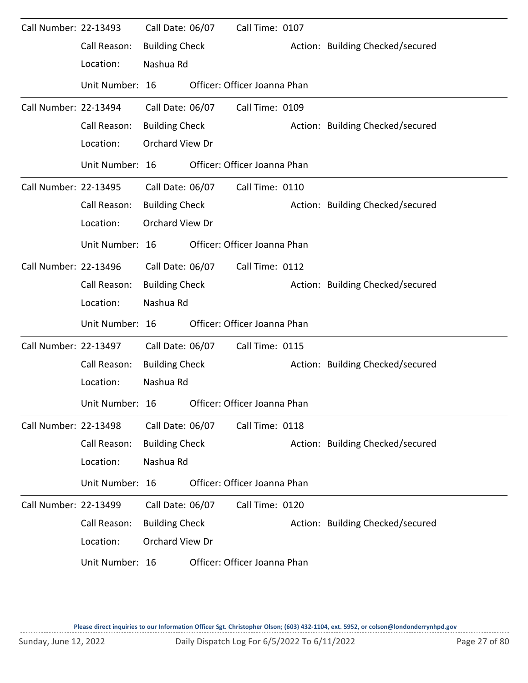| Call Number: 22-13493 |                 | Call Date: 06/07      | Call Time: 0107              |                                  |
|-----------------------|-----------------|-----------------------|------------------------------|----------------------------------|
|                       | Call Reason:    | <b>Building Check</b> |                              | Action: Building Checked/secured |
|                       | Location:       | Nashua Rd             |                              |                                  |
|                       | Unit Number: 16 |                       | Officer: Officer Joanna Phan |                                  |
| Call Number: 22-13494 |                 | Call Date: 06/07      | Call Time: 0109              |                                  |
|                       | Call Reason:    | <b>Building Check</b> |                              | Action: Building Checked/secured |
|                       | Location:       | Orchard View Dr       |                              |                                  |
|                       | Unit Number: 16 |                       | Officer: Officer Joanna Phan |                                  |
| Call Number: 22-13495 |                 | Call Date: 06/07      | Call Time: 0110              |                                  |
|                       | Call Reason:    | <b>Building Check</b> |                              | Action: Building Checked/secured |
|                       | Location:       | Orchard View Dr       |                              |                                  |
|                       | Unit Number: 16 |                       | Officer: Officer Joanna Phan |                                  |
| Call Number: 22-13496 |                 | Call Date: 06/07      | Call Time: 0112              |                                  |
|                       | Call Reason:    | <b>Building Check</b> |                              | Action: Building Checked/secured |
|                       | Location:       | Nashua Rd             |                              |                                  |
|                       | Unit Number: 16 |                       | Officer: Officer Joanna Phan |                                  |
| Call Number: 22-13497 |                 | Call Date: 06/07      | Call Time: 0115              |                                  |
|                       | Call Reason:    | <b>Building Check</b> |                              | Action: Building Checked/secured |
|                       | Location:       | Nashua Rd             |                              |                                  |
|                       | Unit Number: 16 |                       | Officer: Officer Joanna Phan |                                  |
| Call Number: 22-13498 |                 | Call Date: 06/07      | Call Time: 0118              |                                  |
|                       | Call Reason:    | <b>Building Check</b> |                              | Action: Building Checked/secured |
|                       | Location:       | Nashua Rd             |                              |                                  |
|                       | Unit Number: 16 |                       | Officer: Officer Joanna Phan |                                  |
| Call Number: 22-13499 |                 | Call Date: 06/07      | Call Time: 0120              |                                  |
|                       | Call Reason:    | <b>Building Check</b> |                              | Action: Building Checked/secured |
|                       | Location:       | Orchard View Dr       |                              |                                  |
|                       | Unit Number: 16 |                       | Officer: Officer Joanna Phan |                                  |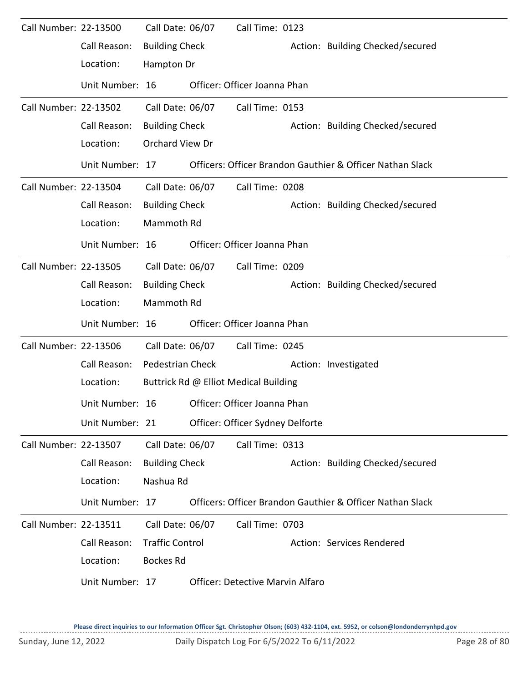| Call Number: 22-13500 |                 | Call Date: 06/07        | Call Time: 0123                         |                                                           |
|-----------------------|-----------------|-------------------------|-----------------------------------------|-----------------------------------------------------------|
|                       | Call Reason:    | <b>Building Check</b>   |                                         | Action: Building Checked/secured                          |
|                       | Location:       | Hampton Dr              |                                         |                                                           |
|                       | Unit Number: 16 |                         | Officer: Officer Joanna Phan            |                                                           |
| Call Number: 22-13502 |                 | Call Date: 06/07        | Call Time: 0153                         |                                                           |
|                       | Call Reason:    | <b>Building Check</b>   |                                         | Action: Building Checked/secured                          |
|                       | Location:       | Orchard View Dr         |                                         |                                                           |
|                       | Unit Number: 17 |                         |                                         | Officers: Officer Brandon Gauthier & Officer Nathan Slack |
| Call Number: 22-13504 |                 | Call Date: 06/07        | Call Time: 0208                         |                                                           |
|                       | Call Reason:    | <b>Building Check</b>   |                                         | Action: Building Checked/secured                          |
|                       | Location:       | Mammoth Rd              |                                         |                                                           |
|                       | Unit Number: 16 |                         | Officer: Officer Joanna Phan            |                                                           |
| Call Number: 22-13505 |                 | Call Date: 06/07        | Call Time: 0209                         |                                                           |
|                       | Call Reason:    | <b>Building Check</b>   |                                         | Action: Building Checked/secured                          |
|                       | Location:       | Mammoth Rd              |                                         |                                                           |
|                       | Unit Number: 16 |                         | Officer: Officer Joanna Phan            |                                                           |
| Call Number: 22-13506 |                 | Call Date: 06/07        | Call Time: 0245                         |                                                           |
|                       | Call Reason:    | <b>Pedestrian Check</b> |                                         | Action: Investigated                                      |
|                       | Location:       |                         | Buttrick Rd @ Elliot Medical Building   |                                                           |
|                       | Unit Number: 16 |                         | Officer: Officer Joanna Phan            |                                                           |
|                       | Unit Number: 21 |                         | Officer: Officer Sydney Delforte        |                                                           |
| Call Number: 22-13507 |                 | Call Date: 06/07        | Call Time: 0313                         |                                                           |
|                       | Call Reason:    | <b>Building Check</b>   |                                         | Action: Building Checked/secured                          |
|                       | Location:       | Nashua Rd               |                                         |                                                           |
|                       | Unit Number: 17 |                         |                                         | Officers: Officer Brandon Gauthier & Officer Nathan Slack |
| Call Number: 22-13511 |                 | Call Date: 06/07        | Call Time: 0703                         |                                                           |
|                       | Call Reason:    | <b>Traffic Control</b>  |                                         | Action: Services Rendered                                 |
|                       | Location:       | <b>Bockes Rd</b>        |                                         |                                                           |
|                       | Unit Number: 17 |                         | <b>Officer: Detective Marvin Alfaro</b> |                                                           |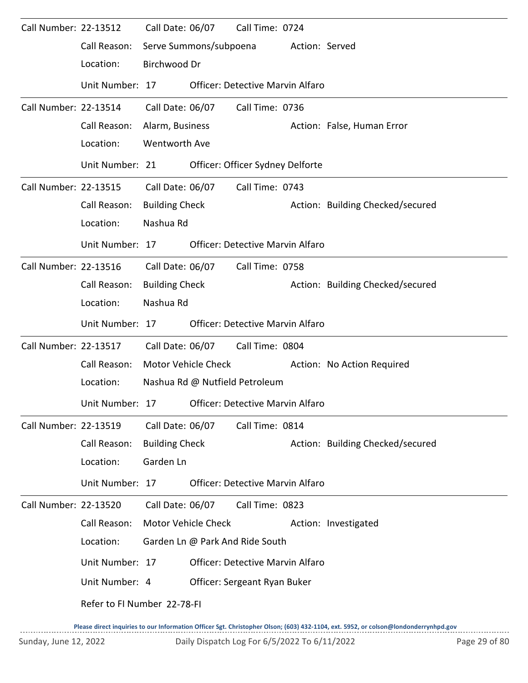| Call Number: 22-13512 |                             | Call Date: 06/07       |                     | Call Time: 0724                         |                |                                  |
|-----------------------|-----------------------------|------------------------|---------------------|-----------------------------------------|----------------|----------------------------------|
|                       | Call Reason:                | Serve Summons/subpoena |                     |                                         | Action: Served |                                  |
|                       | Location:                   | Birchwood Dr           |                     |                                         |                |                                  |
|                       | Unit Number: 17             |                        |                     | <b>Officer: Detective Marvin Alfaro</b> |                |                                  |
| Call Number: 22-13514 |                             | Call Date: 06/07       |                     | Call Time: 0736                         |                |                                  |
|                       | Call Reason:                | Alarm, Business        |                     |                                         |                | Action: False, Human Error       |
|                       | Location:                   | <b>Wentworth Ave</b>   |                     |                                         |                |                                  |
|                       | Unit Number: 21             |                        |                     | Officer: Officer Sydney Delforte        |                |                                  |
| Call Number: 22-13515 |                             | Call Date: 06/07       |                     | Call Time: 0743                         |                |                                  |
|                       | Call Reason:                | <b>Building Check</b>  |                     |                                         |                | Action: Building Checked/secured |
|                       | Location:                   | Nashua Rd              |                     |                                         |                |                                  |
|                       | Unit Number: 17             |                        |                     | Officer: Detective Marvin Alfaro        |                |                                  |
| Call Number: 22-13516 |                             | Call Date: 06/07       |                     | Call Time: 0758                         |                |                                  |
|                       | Call Reason:                | <b>Building Check</b>  |                     |                                         |                | Action: Building Checked/secured |
|                       | Location:                   | Nashua Rd              |                     |                                         |                |                                  |
|                       | Unit Number: 17             |                        |                     | <b>Officer: Detective Marvin Alfaro</b> |                |                                  |
| Call Number: 22-13517 |                             | Call Date: 06/07       |                     | Call Time: 0804                         |                |                                  |
|                       | Call Reason:                | Motor Vehicle Check    |                     |                                         |                | Action: No Action Required       |
|                       | Location:                   |                        |                     | Nashua Rd @ Nutfield Petroleum          |                |                                  |
|                       | Unit Number: 17             |                        |                     | Officer: Detective Marvin Alfaro        |                |                                  |
| Call Number: 22-13519 |                             | Call Date: 06/07       |                     | Call Time: 0814                         |                |                                  |
|                       | Call Reason:                | <b>Building Check</b>  |                     |                                         |                | Action: Building Checked/secured |
|                       | Location:                   | Garden Ln              |                     |                                         |                |                                  |
|                       | Unit Number: 17             |                        |                     | <b>Officer: Detective Marvin Alfaro</b> |                |                                  |
| Call Number: 22-13520 |                             | Call Date: 06/07       |                     | Call Time: 0823                         |                |                                  |
|                       | Call Reason:                |                        | Motor Vehicle Check |                                         |                | Action: Investigated             |
|                       | Location:                   |                        |                     | Garden Ln @ Park And Ride South         |                |                                  |
|                       | Unit Number: 17             |                        |                     | <b>Officer: Detective Marvin Alfaro</b> |                |                                  |
|                       | Unit Number: 4              |                        |                     | Officer: Sergeant Ryan Buker            |                |                                  |
|                       | Refer to FI Number 22-78-FI |                        |                     |                                         |                |                                  |
|                       |                             |                        |                     |                                         |                |                                  |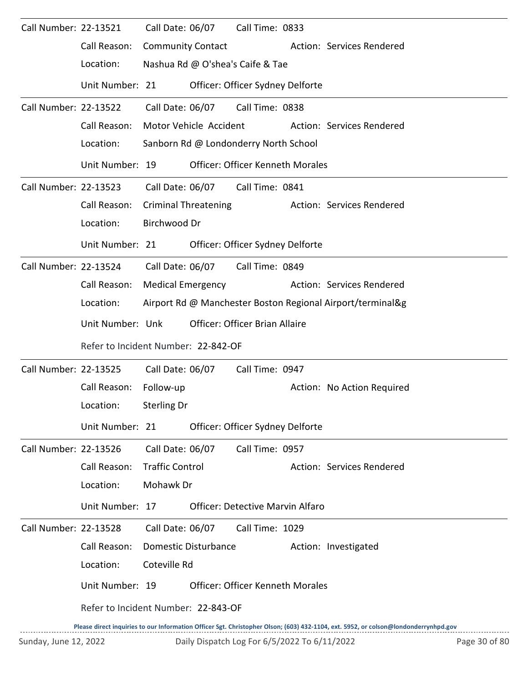| Call Number: 22-13521 |                                     | Call Date: 06/07         |                             | Call Time: 0833                         |                                                                                                                                     |
|-----------------------|-------------------------------------|--------------------------|-----------------------------|-----------------------------------------|-------------------------------------------------------------------------------------------------------------------------------------|
|                       | Call Reason:                        | <b>Community Contact</b> |                             |                                         | Action: Services Rendered                                                                                                           |
|                       | Location:                           |                          |                             | Nashua Rd @ O'shea's Caife & Tae        |                                                                                                                                     |
|                       | Unit Number: 21                     |                          |                             | Officer: Officer Sydney Delforte        |                                                                                                                                     |
| Call Number: 22-13522 |                                     | Call Date: 06/07         |                             | Call Time: 0838                         |                                                                                                                                     |
|                       | Call Reason:                        |                          | Motor Vehicle Accident      |                                         | Action: Services Rendered                                                                                                           |
|                       | Location:                           |                          |                             | Sanborn Rd @ Londonderry North School   |                                                                                                                                     |
|                       | Unit Number: 19                     |                          |                             | <b>Officer: Officer Kenneth Morales</b> |                                                                                                                                     |
| Call Number: 22-13523 |                                     | Call Date: 06/07         |                             | Call Time: 0841                         |                                                                                                                                     |
|                       | Call Reason:                        |                          | <b>Criminal Threatening</b> |                                         | Action: Services Rendered                                                                                                           |
|                       | Location:                           | Birchwood Dr             |                             |                                         |                                                                                                                                     |
|                       | Unit Number: 21                     |                          |                             | Officer: Officer Sydney Delforte        |                                                                                                                                     |
| Call Number: 22-13524 |                                     | Call Date: 06/07         |                             | Call Time: 0849                         |                                                                                                                                     |
|                       | Call Reason:                        | <b>Medical Emergency</b> |                             |                                         | Action: Services Rendered                                                                                                           |
|                       | Location:                           |                          |                             |                                         | Airport Rd @ Manchester Boston Regional Airport/terminal&g                                                                          |
|                       | Unit Number: Unk                    |                          |                             | Officer: Officer Brian Allaire          |                                                                                                                                     |
|                       | Refer to Incident Number: 22-842-OF |                          |                             |                                         |                                                                                                                                     |
| Call Number: 22-13525 |                                     | Call Date: 06/07         |                             | Call Time: 0947                         |                                                                                                                                     |
|                       | Call Reason:                        | Follow-up                |                             |                                         | Action: No Action Required                                                                                                          |
|                       | Location:                           | Sterling Dr              |                             |                                         |                                                                                                                                     |
|                       | Unit Number: 21                     |                          |                             | Officer: Officer Sydney Delforte        |                                                                                                                                     |
| Call Number: 22-13526 |                                     | Call Date: 06/07         |                             | Call Time: 0957                         |                                                                                                                                     |
|                       | Call Reason:                        | <b>Traffic Control</b>   |                             |                                         | Action: Services Rendered                                                                                                           |
|                       | Location:                           | Mohawk Dr                |                             |                                         |                                                                                                                                     |
|                       | Unit Number: 17                     |                          |                             | <b>Officer: Detective Marvin Alfaro</b> |                                                                                                                                     |
| Call Number: 22-13528 |                                     | Call Date: 06/07         |                             | Call Time: 1029                         |                                                                                                                                     |
|                       | Call Reason:                        |                          | Domestic Disturbance        |                                         | Action: Investigated                                                                                                                |
|                       | Location:                           | Coteville Rd             |                             |                                         |                                                                                                                                     |
|                       | Unit Number: 19                     |                          |                             | <b>Officer: Officer Kenneth Morales</b> |                                                                                                                                     |
|                       | Refer to Incident Number: 22-843-OF |                          |                             |                                         |                                                                                                                                     |
|                       |                                     |                          |                             |                                         | Please direct inquiries to our Information Officer Sgt. Christopher Olson; (603) 432-1104, ext. 5952, or colson@londonderrynhpd.gov |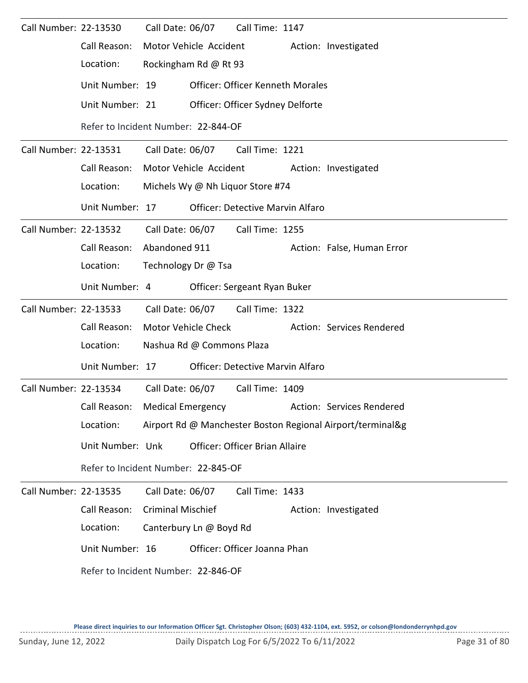| Call Number: 22-13530 |                                     |                                     | Call Date: 06/07          | Call Time: 1147                         |  |                                                            |  |  |  |  |
|-----------------------|-------------------------------------|-------------------------------------|---------------------------|-----------------------------------------|--|------------------------------------------------------------|--|--|--|--|
|                       | Call Reason:                        |                                     | Motor Vehicle Accident    |                                         |  | Action: Investigated                                       |  |  |  |  |
|                       | Location:                           |                                     | Rockingham Rd @ Rt 93     |                                         |  |                                                            |  |  |  |  |
|                       | Unit Number: 19                     |                                     |                           | <b>Officer: Officer Kenneth Morales</b> |  |                                                            |  |  |  |  |
|                       | Unit Number: 21                     |                                     |                           | Officer: Officer Sydney Delforte        |  |                                                            |  |  |  |  |
|                       |                                     | Refer to Incident Number: 22-844-OF |                           |                                         |  |                                                            |  |  |  |  |
| Call Number: 22-13531 |                                     | Call Date: 06/07                    |                           | Call Time: 1221                         |  |                                                            |  |  |  |  |
|                       | Call Reason:                        |                                     | Motor Vehicle Accident    |                                         |  | Action: Investigated                                       |  |  |  |  |
|                       | Location:                           |                                     |                           | Michels Wy @ Nh Liquor Store #74        |  |                                                            |  |  |  |  |
|                       | Unit Number: 17                     |                                     |                           | <b>Officer: Detective Marvin Alfaro</b> |  |                                                            |  |  |  |  |
| Call Number: 22-13532 |                                     |                                     | Call Date: 06/07          | Call Time: 1255                         |  |                                                            |  |  |  |  |
|                       | Call Reason:                        | Abandoned 911                       |                           |                                         |  | Action: False, Human Error                                 |  |  |  |  |
|                       | Location:                           | Technology Dr @ Tsa                 |                           |                                         |  |                                                            |  |  |  |  |
|                       | Unit Number: 4                      |                                     |                           | Officer: Sergeant Ryan Buker            |  |                                                            |  |  |  |  |
| Call Number: 22-13533 |                                     |                                     | Call Date: 06/07          | Call Time: 1322                         |  |                                                            |  |  |  |  |
|                       | Call Reason:                        |                                     | Motor Vehicle Check       |                                         |  | Action: Services Rendered                                  |  |  |  |  |
|                       | Location:                           |                                     | Nashua Rd @ Commons Plaza |                                         |  |                                                            |  |  |  |  |
|                       | Unit Number: 17                     |                                     |                           | <b>Officer: Detective Marvin Alfaro</b> |  |                                                            |  |  |  |  |
| Call Number: 22-13534 |                                     | Call Date: 06/07                    |                           | Call Time: 1409                         |  |                                                            |  |  |  |  |
|                       | Call Reason:                        | <b>Medical Emergency</b>            |                           |                                         |  | Action: Services Rendered                                  |  |  |  |  |
|                       | Location:                           |                                     |                           |                                         |  | Airport Rd @ Manchester Boston Regional Airport/terminal&g |  |  |  |  |
|                       | Unit Number: Unk                    |                                     |                           | <b>Officer: Officer Brian Allaire</b>   |  |                                                            |  |  |  |  |
|                       | Refer to Incident Number: 22-845-OF |                                     |                           |                                         |  |                                                            |  |  |  |  |
| Call Number: 22-13535 |                                     | Call Date: 06/07                    |                           | Call Time: 1433                         |  |                                                            |  |  |  |  |
|                       | Call Reason:                        | <b>Criminal Mischief</b>            |                           |                                         |  | Action: Investigated                                       |  |  |  |  |
|                       | Location:                           |                                     | Canterbury Ln @ Boyd Rd   |                                         |  |                                                            |  |  |  |  |
|                       | Unit Number: 16                     |                                     |                           | Officer: Officer Joanna Phan            |  |                                                            |  |  |  |  |
|                       | Refer to Incident Number: 22-846-OF |                                     |                           |                                         |  |                                                            |  |  |  |  |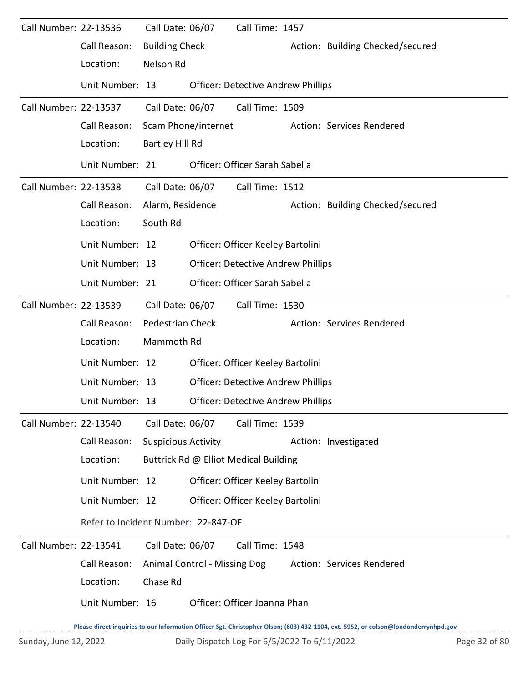| Call Number: 22-13536 |                                     | Call Date: 06/07           |                              | Call Time: 1457                           |                                                                                                                                     |
|-----------------------|-------------------------------------|----------------------------|------------------------------|-------------------------------------------|-------------------------------------------------------------------------------------------------------------------------------------|
|                       | Call Reason:                        | <b>Building Check</b>      |                              |                                           | Action: Building Checked/secured                                                                                                    |
|                       | Location:                           | Nelson Rd                  |                              |                                           |                                                                                                                                     |
|                       | Unit Number: 13                     |                            |                              | <b>Officer: Detective Andrew Phillips</b> |                                                                                                                                     |
| Call Number: 22-13537 |                                     | Call Date: 06/07           |                              | Call Time: 1509                           |                                                                                                                                     |
|                       | Call Reason:                        |                            | Scam Phone/internet          |                                           | Action: Services Rendered                                                                                                           |
|                       | Location:                           | Bartley Hill Rd            |                              |                                           |                                                                                                                                     |
|                       | Unit Number: 21                     |                            |                              | Officer: Officer Sarah Sabella            |                                                                                                                                     |
| Call Number: 22-13538 |                                     | Call Date: 06/07           |                              | Call Time: 1512                           |                                                                                                                                     |
|                       | Call Reason:                        | Alarm, Residence           |                              |                                           | Action: Building Checked/secured                                                                                                    |
|                       | Location:                           | South Rd                   |                              |                                           |                                                                                                                                     |
|                       | Unit Number: 12                     |                            |                              | Officer: Officer Keeley Bartolini         |                                                                                                                                     |
|                       | Unit Number: 13                     |                            |                              | <b>Officer: Detective Andrew Phillips</b> |                                                                                                                                     |
|                       | Unit Number: 21                     |                            |                              | Officer: Officer Sarah Sabella            |                                                                                                                                     |
| Call Number: 22-13539 |                                     | Call Date: 06/07           |                              | Call Time: 1530                           |                                                                                                                                     |
|                       | Call Reason:                        | Pedestrian Check           |                              |                                           | Action: Services Rendered                                                                                                           |
|                       | Location:                           | Mammoth Rd                 |                              |                                           |                                                                                                                                     |
|                       | Unit Number: 12                     |                            |                              | Officer: Officer Keeley Bartolini         |                                                                                                                                     |
|                       | Unit Number: 13                     |                            |                              | <b>Officer: Detective Andrew Phillips</b> |                                                                                                                                     |
|                       | Unit Number: 13                     |                            |                              | <b>Officer: Detective Andrew Phillips</b> |                                                                                                                                     |
| Call Number: 22-13540 |                                     | Call Date: 06/07           |                              | Call Time: 1539                           |                                                                                                                                     |
|                       | Call Reason:                        | <b>Suspicious Activity</b> |                              |                                           | Action: Investigated                                                                                                                |
|                       | Location:                           |                            |                              | Buttrick Rd @ Elliot Medical Building     |                                                                                                                                     |
|                       | Unit Number: 12                     |                            |                              | Officer: Officer Keeley Bartolini         |                                                                                                                                     |
|                       | Unit Number: 12                     |                            |                              | Officer: Officer Keeley Bartolini         |                                                                                                                                     |
|                       | Refer to Incident Number: 22-847-OF |                            |                              |                                           |                                                                                                                                     |
| Call Number: 22-13541 |                                     | Call Date: 06/07           |                              | Call Time: 1548                           |                                                                                                                                     |
|                       | Call Reason:                        |                            | Animal Control - Missing Dog |                                           | Action: Services Rendered                                                                                                           |
|                       | Location:                           | Chase Rd                   |                              |                                           |                                                                                                                                     |
|                       | Unit Number: 16                     |                            |                              | Officer: Officer Joanna Phan              |                                                                                                                                     |
|                       |                                     |                            |                              |                                           | Please direct inquiries to our Information Officer Sgt. Christopher Olson; (603) 432-1104, ext. 5952, or colson@londonderrynhpd.gov |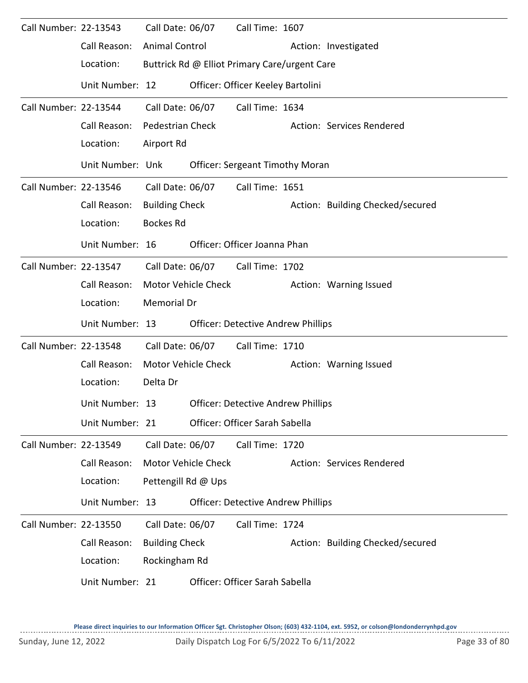| Call Number: 22-13543 | Call Reason:<br>Location:<br>Unit Number: 12 | <b>Animal Control</b>   | Call Date: 06/07           | Call Time: 1607<br>Buttrick Rd @ Elliot Primary Care/urgent Care<br>Officer: Officer Keeley Bartolini |  | Action: Investigated             |
|-----------------------|----------------------------------------------|-------------------------|----------------------------|-------------------------------------------------------------------------------------------------------|--|----------------------------------|
| Call Number: 22-13544 |                                              | Call Date: 06/07        |                            | Call Time: 1634                                                                                       |  |                                  |
|                       | Call Reason:                                 | <b>Pedestrian Check</b> |                            |                                                                                                       |  | Action: Services Rendered        |
|                       | Location:                                    | Airport Rd              |                            |                                                                                                       |  |                                  |
|                       | Unit Number: Unk                             |                         |                            | <b>Officer: Sergeant Timothy Moran</b>                                                                |  |                                  |
| Call Number: 22-13546 |                                              | Call Date: 06/07        |                            | Call Time: 1651                                                                                       |  |                                  |
|                       | Call Reason:                                 | <b>Building Check</b>   |                            |                                                                                                       |  | Action: Building Checked/secured |
|                       | Location:                                    | <b>Bockes Rd</b>        |                            |                                                                                                       |  |                                  |
|                       | Unit Number: 16                              |                         |                            | Officer: Officer Joanna Phan                                                                          |  |                                  |
| Call Number: 22-13547 |                                              | Call Date: 06/07        |                            | Call Time: 1702                                                                                       |  |                                  |
|                       | Call Reason:                                 |                         | Motor Vehicle Check        |                                                                                                       |  | Action: Warning Issued           |
|                       | Location:                                    | Memorial Dr             |                            |                                                                                                       |  |                                  |
|                       | Unit Number: 13                              |                         |                            | <b>Officer: Detective Andrew Phillips</b>                                                             |  |                                  |
| Call Number: 22-13548 |                                              | Call Date: 06/07        |                            | Call Time: 1710                                                                                       |  |                                  |
|                       | Call Reason:                                 |                         | Motor Vehicle Check        |                                                                                                       |  | Action: Warning Issued           |
|                       | Location:                                    | Delta Dr                |                            |                                                                                                       |  |                                  |
|                       | Unit Number: 13                              |                         |                            | <b>Officer: Detective Andrew Phillips</b>                                                             |  |                                  |
|                       | Unit Number: 21                              |                         |                            | Officer: Officer Sarah Sabella                                                                        |  |                                  |
| Call Number: 22-13549 |                                              | Call Date: 06/07        |                            | Call Time: 1720                                                                                       |  |                                  |
|                       | Call Reason:                                 |                         | <b>Motor Vehicle Check</b> |                                                                                                       |  | Action: Services Rendered        |
|                       | Location:                                    | Pettengill Rd @ Ups     |                            |                                                                                                       |  |                                  |
|                       | Unit Number: 13                              |                         |                            | <b>Officer: Detective Andrew Phillips</b>                                                             |  |                                  |
| Call Number: 22-13550 |                                              | Call Date: 06/07        |                            | Call Time: 1724                                                                                       |  |                                  |
|                       | Call Reason:                                 | <b>Building Check</b>   |                            |                                                                                                       |  | Action: Building Checked/secured |
|                       |                                              |                         |                            |                                                                                                       |  |                                  |
|                       | Unit Number: 21                              |                         |                            | Officer: Officer Sarah Sabella                                                                        |  |                                  |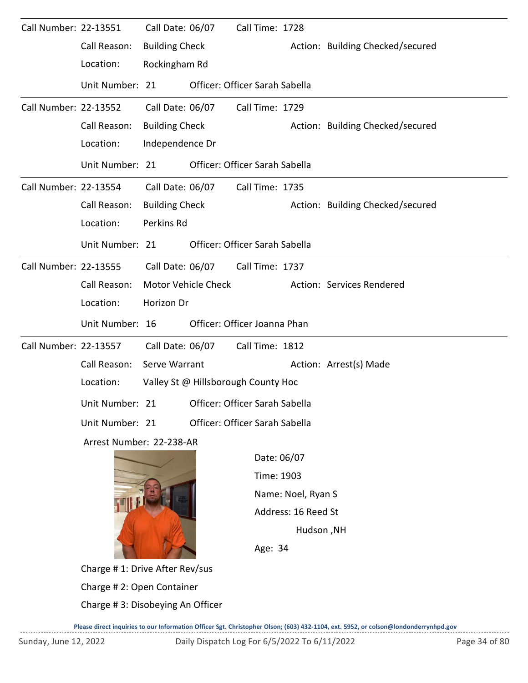| Call Number: 22-13551 |                                  | Call Date: 06/07                    |                                                  | Call Time: 1728 |                     |                                  |  |  |  |  |  |
|-----------------------|----------------------------------|-------------------------------------|--------------------------------------------------|-----------------|---------------------|----------------------------------|--|--|--|--|--|
|                       | Call Reason:                     | <b>Building Check</b>               |                                                  |                 |                     | Action: Building Checked/secured |  |  |  |  |  |
|                       | Location:                        | Rockingham Rd                       |                                                  |                 |                     |                                  |  |  |  |  |  |
|                       | Unit Number: 21                  |                                     | Officer: Officer Sarah Sabella                   |                 |                     |                                  |  |  |  |  |  |
| Call Number: 22-13552 |                                  | Call Date: 06/07                    |                                                  | Call Time: 1729 |                     |                                  |  |  |  |  |  |
|                       | Call Reason:                     | <b>Building Check</b>               |                                                  |                 |                     | Action: Building Checked/secured |  |  |  |  |  |
|                       | Location:                        | Independence Dr                     |                                                  |                 |                     |                                  |  |  |  |  |  |
|                       | Unit Number: 21                  |                                     | Officer: Officer Sarah Sabella                   |                 |                     |                                  |  |  |  |  |  |
| Call Number: 22-13554 |                                  | Call Date: 06/07                    |                                                  | Call Time: 1735 |                     |                                  |  |  |  |  |  |
|                       | Call Reason:                     | <b>Building Check</b>               |                                                  |                 |                     | Action: Building Checked/secured |  |  |  |  |  |
|                       | Location:                        | Perkins Rd                          |                                                  |                 |                     |                                  |  |  |  |  |  |
|                       | Unit Number: 21                  |                                     | Officer: Officer Sarah Sabella                   |                 |                     |                                  |  |  |  |  |  |
| Call Number: 22-13555 |                                  | Call Date: 06/07                    |                                                  | Call Time: 1737 |                     |                                  |  |  |  |  |  |
|                       | Call Reason:                     |                                     | Motor Vehicle Check<br>Action: Services Rendered |                 |                     |                                  |  |  |  |  |  |
|                       | Location:                        | Horizon Dr                          |                                                  |                 |                     |                                  |  |  |  |  |  |
|                       | Unit Number: 16                  |                                     | Officer: Officer Joanna Phan                     |                 |                     |                                  |  |  |  |  |  |
| Call Number: 22-13557 |                                  | Call Date: 06/07                    |                                                  | Call Time: 1812 |                     |                                  |  |  |  |  |  |
|                       | Call Reason:                     | Serve Warrant                       |                                                  |                 |                     | Action: Arrest(s) Made           |  |  |  |  |  |
|                       | Location:                        | Valley St @ Hillsborough County Hoc |                                                  |                 |                     |                                  |  |  |  |  |  |
|                       | Unit Number: 21                  |                                     | Officer: Officer Sarah Sabella                   |                 |                     |                                  |  |  |  |  |  |
|                       | Unit Number: 21                  |                                     | Officer: Officer Sarah Sabella                   |                 |                     |                                  |  |  |  |  |  |
|                       | Arrest Number: 22-238-AR         |                                     |                                                  |                 |                     |                                  |  |  |  |  |  |
|                       |                                  |                                     |                                                  |                 | Date: 06/07         |                                  |  |  |  |  |  |
|                       |                                  |                                     |                                                  |                 | Time: 1903          |                                  |  |  |  |  |  |
|                       |                                  |                                     |                                                  |                 | Name: Noel, Ryan S  |                                  |  |  |  |  |  |
|                       |                                  |                                     |                                                  |                 | Address: 16 Reed St |                                  |  |  |  |  |  |
|                       |                                  |                                     |                                                  |                 | Hudson, NH          |                                  |  |  |  |  |  |
|                       |                                  |                                     |                                                  |                 | Age: 34             |                                  |  |  |  |  |  |
|                       | Charge #1: Drive After Rev/sus   |                                     |                                                  |                 |                     |                                  |  |  |  |  |  |
|                       | Charge #2: Open Container        |                                     |                                                  |                 |                     |                                  |  |  |  |  |  |
|                       | Charge #3: Disobeying An Officer |                                     |                                                  |                 |                     |                                  |  |  |  |  |  |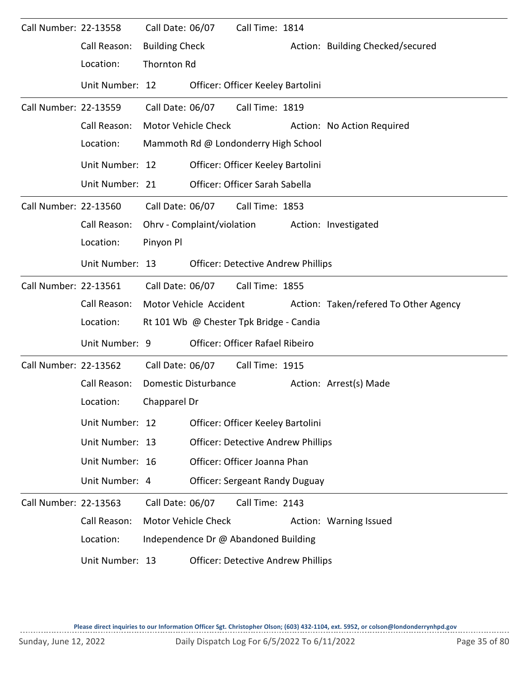| Call Number: 22-13558 |                 | Call Date: 06/07      |                             | Call Time: 1814                           |                                       |
|-----------------------|-----------------|-----------------------|-----------------------------|-------------------------------------------|---------------------------------------|
|                       | Call Reason:    | <b>Building Check</b> |                             |                                           | Action: Building Checked/secured      |
|                       | Location:       | <b>Thornton Rd</b>    |                             |                                           |                                       |
|                       | Unit Number: 12 |                       |                             | Officer: Officer Keeley Bartolini         |                                       |
| Call Number: 22-13559 |                 | Call Date: 06/07      |                             | Call Time: 1819                           |                                       |
|                       | Call Reason:    | Motor Vehicle Check   |                             |                                           | Action: No Action Required            |
|                       | Location:       |                       |                             | Mammoth Rd @ Londonderry High School      |                                       |
|                       | Unit Number: 12 |                       |                             | Officer: Officer Keeley Bartolini         |                                       |
|                       | Unit Number: 21 |                       |                             | Officer: Officer Sarah Sabella            |                                       |
| Call Number: 22-13560 |                 | Call Date: 06/07      |                             | Call Time: 1853                           |                                       |
|                       | Call Reason:    |                       |                             | Ohrv - Complaint/violation                | Action: Investigated                  |
|                       | Location:       | Pinyon Pl             |                             |                                           |                                       |
|                       | Unit Number: 13 |                       |                             | <b>Officer: Detective Andrew Phillips</b> |                                       |
| Call Number: 22-13561 |                 | Call Date: 06/07      |                             | Call Time: 1855                           |                                       |
|                       | Call Reason:    |                       | Motor Vehicle Accident      |                                           | Action: Taken/refered To Other Agency |
|                       | Location:       |                       |                             | Rt 101 Wb @ Chester Tpk Bridge - Candia   |                                       |
|                       | Unit Number: 9  |                       |                             | Officer: Officer Rafael Ribeiro           |                                       |
| Call Number: 22-13562 |                 | Call Date: 06/07      |                             | Call Time: 1915                           |                                       |
|                       | Call Reason:    |                       | <b>Domestic Disturbance</b> |                                           | Action: Arrest(s) Made                |
|                       | Location:       | Chapparel Dr          |                             |                                           |                                       |
|                       | Unit Number: 12 |                       |                             | Officer: Officer Keeley Bartolini         |                                       |
|                       | Unit Number: 13 |                       |                             | <b>Officer: Detective Andrew Phillips</b> |                                       |
|                       | Unit Number: 16 |                       |                             | Officer: Officer Joanna Phan              |                                       |
|                       | Unit Number: 4  |                       |                             | <b>Officer: Sergeant Randy Duguay</b>     |                                       |
| Call Number: 22-13563 |                 | Call Date: 06/07      |                             | Call Time: 2143                           |                                       |
|                       | Call Reason:    |                       | <b>Motor Vehicle Check</b>  |                                           | Action: Warning Issued                |
|                       | Location:       |                       |                             | Independence Dr @ Abandoned Building      |                                       |
|                       | Unit Number: 13 |                       |                             | <b>Officer: Detective Andrew Phillips</b> |                                       |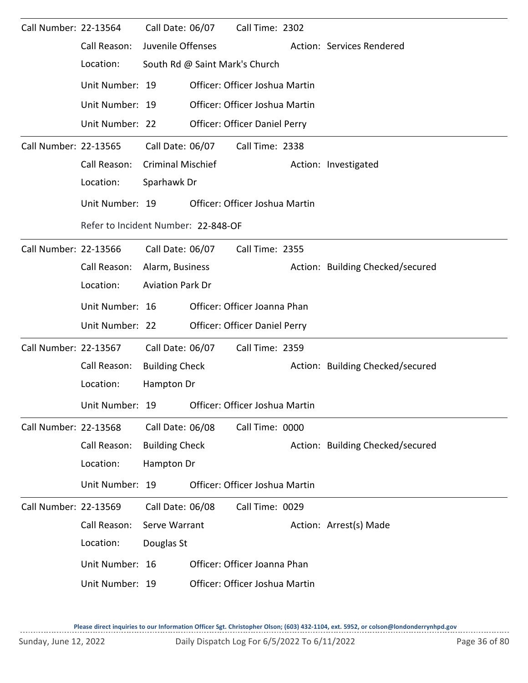| Call Number: 22-13564 |                                                | Call Date: 06/07         | Call Time: 2302                |                                  |
|-----------------------|------------------------------------------------|--------------------------|--------------------------------|----------------------------------|
|                       | Call Reason:                                   | Juvenile Offenses        |                                | Action: Services Rendered        |
|                       | Location:                                      |                          | South Rd @ Saint Mark's Church |                                  |
|                       | Unit Number: 19                                |                          | Officer: Officer Joshua Martin |                                  |
|                       | Unit Number: 19                                |                          | Officer: Officer Joshua Martin |                                  |
|                       | Unit Number: 22                                |                          | Officer: Officer Daniel Perry  |                                  |
| Call Number: 22-13565 |                                                | Call Date: 06/07         | Call Time: 2338                |                                  |
|                       | Call Reason:                                   | <b>Criminal Mischief</b> |                                | Action: Investigated             |
|                       | Location:                                      | Sparhawk Dr              |                                |                                  |
|                       | Unit Number: 19                                |                          | Officer: Officer Joshua Martin |                                  |
|                       | Refer to Incident Number: 22-848-OF            |                          |                                |                                  |
| Call Number: 22-13566 |                                                | Call Date: 06/07         | Call Time: 2355                |                                  |
|                       | Call Reason:                                   | Alarm, Business          |                                | Action: Building Checked/secured |
|                       | Location:                                      | <b>Aviation Park Dr</b>  |                                |                                  |
|                       | Unit Number: 16                                |                          | Officer: Officer Joanna Phan   |                                  |
|                       | Unit Number: 22                                |                          | Officer: Officer Daniel Perry  |                                  |
| Call Number: 22-13567 |                                                | Call Date: 06/07         | Call Time: 2359                |                                  |
|                       | Call Reason:                                   | <b>Building Check</b>    |                                | Action: Building Checked/secured |
|                       | Location:                                      | Hampton Dr               |                                |                                  |
|                       | Unit Number: 19 Officer: Officer Joshua Martin |                          |                                |                                  |
| Call Number: 22-13568 |                                                | Call Date: 06/08         | Call Time: 0000                |                                  |
|                       | Call Reason:                                   | <b>Building Check</b>    |                                | Action: Building Checked/secured |
|                       | Location:                                      | Hampton Dr               |                                |                                  |
|                       | Unit Number: 19                                |                          | Officer: Officer Joshua Martin |                                  |
| Call Number: 22-13569 |                                                | Call Date: 06/08         | Call Time: 0029                |                                  |
|                       | Call Reason:                                   | Serve Warrant            |                                | Action: Arrest(s) Made           |
|                       | Location:                                      | Douglas St               |                                |                                  |
|                       | Unit Number: 16                                |                          | Officer: Officer Joanna Phan   |                                  |
|                       | Unit Number: 19                                |                          | Officer: Officer Joshua Martin |                                  |
|                       |                                                |                          |                                |                                  |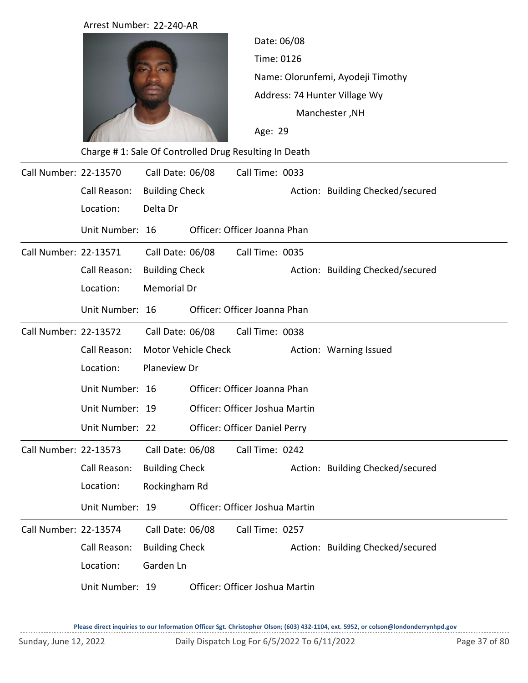|                       | Arrest Number: 22-240-AR                              |                       |                     |                                |                                                                    |                                  |  |  |  |
|-----------------------|-------------------------------------------------------|-----------------------|---------------------|--------------------------------|--------------------------------------------------------------------|----------------------------------|--|--|--|
|                       |                                                       |                       |                     |                                | Date: 06/08                                                        |                                  |  |  |  |
|                       |                                                       |                       |                     | Time: 0126                     |                                                                    |                                  |  |  |  |
|                       |                                                       |                       |                     |                                | Name: Olorunfemi, Ayodeji Timothy<br>Address: 74 Hunter Village Wy |                                  |  |  |  |
|                       |                                                       |                       |                     |                                |                                                                    |                                  |  |  |  |
|                       |                                                       |                       |                     |                                | Manchester, NH                                                     |                                  |  |  |  |
|                       |                                                       |                       |                     | Age: 29                        |                                                                    |                                  |  |  |  |
|                       | Charge #1: Sale Of Controlled Drug Resulting In Death |                       |                     |                                |                                                                    |                                  |  |  |  |
| Call Number: 22-13570 |                                                       | Call Date: 06/08      |                     | Call Time: 0033                |                                                                    |                                  |  |  |  |
|                       | Call Reason:                                          | <b>Building Check</b> |                     |                                |                                                                    | Action: Building Checked/secured |  |  |  |
|                       | Location:                                             | Delta Dr              |                     |                                |                                                                    |                                  |  |  |  |
|                       | Unit Number: 16                                       |                       |                     | Officer: Officer Joanna Phan   |                                                                    |                                  |  |  |  |
| Call Number: 22-13571 |                                                       | Call Date: 06/08      |                     | Call Time: 0035                |                                                                    |                                  |  |  |  |
|                       | Call Reason:                                          | <b>Building Check</b> |                     |                                |                                                                    | Action: Building Checked/secured |  |  |  |
|                       | Location:                                             | <b>Memorial Dr</b>    |                     |                                |                                                                    |                                  |  |  |  |
|                       | Unit Number: 16                                       |                       |                     | Officer: Officer Joanna Phan   |                                                                    |                                  |  |  |  |
| Call Number: 22-13572 |                                                       | Call Date: 06/08      |                     | Call Time: 0038                |                                                                    |                                  |  |  |  |
|                       | Call Reason:                                          |                       | Motor Vehicle Check |                                |                                                                    | Action: Warning Issued           |  |  |  |
|                       | Location:                                             | Planeview Dr          |                     |                                |                                                                    |                                  |  |  |  |
|                       | Unit Number: 16                                       |                       |                     | Officer: Officer Joanna Phan   |                                                                    |                                  |  |  |  |
|                       | Unit Number: 19                                       |                       |                     | Officer: Officer Joshua Martin |                                                                    |                                  |  |  |  |
|                       | Unit Number: 22                                       |                       |                     | Officer: Officer Daniel Perry  |                                                                    |                                  |  |  |  |
| Call Number: 22-13573 |                                                       | Call Date: 06/08      |                     | Call Time: 0242                |                                                                    |                                  |  |  |  |
|                       | Call Reason:                                          | <b>Building Check</b> |                     |                                |                                                                    | Action: Building Checked/secured |  |  |  |
|                       | Location:                                             | Rockingham Rd         |                     |                                |                                                                    |                                  |  |  |  |
|                       | Unit Number: 19                                       |                       |                     | Officer: Officer Joshua Martin |                                                                    |                                  |  |  |  |
| Call Number: 22-13574 |                                                       | Call Date: 06/08      |                     | Call Time: 0257                |                                                                    |                                  |  |  |  |
|                       | Call Reason:                                          | <b>Building Check</b> |                     |                                |                                                                    | Action: Building Checked/secured |  |  |  |
|                       | Location:                                             | Garden Ln             |                     |                                |                                                                    |                                  |  |  |  |
|                       | Unit Number: 19                                       |                       |                     | Officer: Officer Joshua Martin |                                                                    |                                  |  |  |  |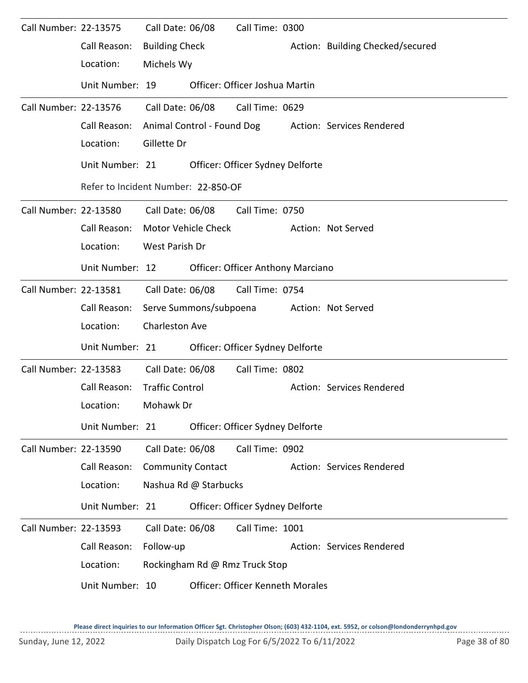| Call Number: 22-13575 | Call Reason:                        | Call Date: 06/08<br><b>Building Check</b> |                        | Call Time: 0300                          | Action: Building Checked/secured                     |
|-----------------------|-------------------------------------|-------------------------------------------|------------------------|------------------------------------------|------------------------------------------------------|
|                       | Location:                           | Michels Wy                                |                        |                                          |                                                      |
|                       | Unit Number: 19                     |                                           |                        | Officer: Officer Joshua Martin           |                                                      |
| Call Number: 22-13576 |                                     | Call Date: 06/08                          |                        | Call Time: 0629                          |                                                      |
|                       | Call Reason:                        |                                           |                        |                                          | Animal Control - Found Dog Action: Services Rendered |
|                       | Location:                           | Gillette Dr                               |                        |                                          |                                                      |
|                       | Unit Number: 21                     |                                           |                        | Officer: Officer Sydney Delforte         |                                                      |
|                       | Refer to Incident Number: 22-850-OF |                                           |                        |                                          |                                                      |
| Call Number: 22-13580 |                                     | Call Date: 06/08                          |                        | Call Time: 0750                          |                                                      |
|                       | Call Reason:                        |                                           | Motor Vehicle Check    |                                          | Action: Not Served                                   |
|                       | Location:                           | West Parish Dr                            |                        |                                          |                                                      |
|                       | Unit Number: 12                     |                                           |                        | <b>Officer: Officer Anthony Marciano</b> |                                                      |
| Call Number: 22-13581 |                                     |                                           | Call Date: 06/08       | Call Time: 0754                          |                                                      |
|                       | Call Reason:                        |                                           | Serve Summons/subpoena |                                          | Action: Not Served                                   |
|                       | Location:                           | Charleston Ave                            |                        |                                          |                                                      |
|                       | Unit Number: 21                     |                                           |                        | Officer: Officer Sydney Delforte         |                                                      |
| Call Number: 22-13583 |                                     | Call Date: 06/08                          |                        | Call Time: 0802                          |                                                      |
|                       | Call Reason:                        | <b>Traffic Control</b>                    |                        |                                          | Action: Services Rendered                            |
|                       | Location:                           | Mohawk Dr                                 |                        |                                          |                                                      |
|                       | Unit Number: 21                     |                                           |                        | Officer: Officer Sydney Delforte         |                                                      |
| Call Number: 22-13590 |                                     | Call Date: 06/08                          |                        | Call Time: 0902                          |                                                      |
|                       | Call Reason:                        | <b>Community Contact</b>                  |                        |                                          | Action: Services Rendered                            |
|                       | Location:                           |                                           | Nashua Rd @ Starbucks  |                                          |                                                      |
|                       | Unit Number: 21                     |                                           |                        | Officer: Officer Sydney Delforte         |                                                      |
| Call Number: 22-13593 |                                     | Call Date: 06/08                          |                        | Call Time: 1001                          |                                                      |
|                       | Call Reason:                        | Follow-up                                 |                        |                                          | Action: Services Rendered                            |
|                       | Location:                           |                                           |                        | Rockingham Rd @ Rmz Truck Stop           |                                                      |
|                       | Unit Number: 10                     |                                           |                        | <b>Officer: Officer Kenneth Morales</b>  |                                                      |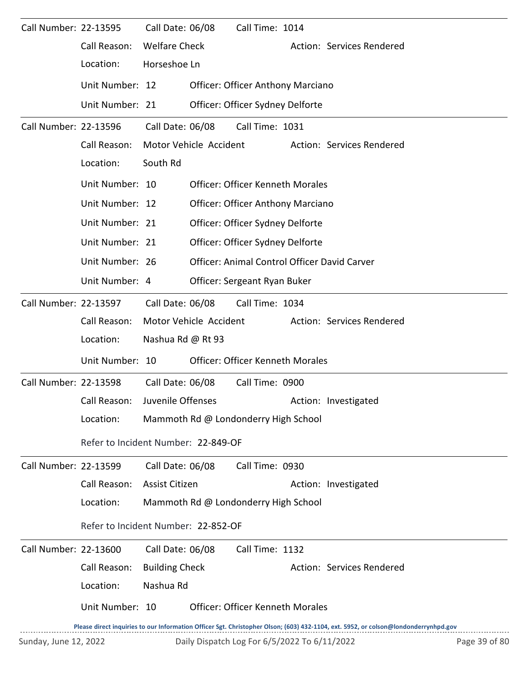| Call Number: 22-13595 |                 | Call Date: 06/08<br>Call Time: 1014                                                                                                 |
|-----------------------|-----------------|-------------------------------------------------------------------------------------------------------------------------------------|
|                       | Call Reason:    | <b>Welfare Check</b><br>Action: Services Rendered                                                                                   |
|                       | Location:       | Horseshoe Ln                                                                                                                        |
|                       | Unit Number: 12 | <b>Officer: Officer Anthony Marciano</b>                                                                                            |
|                       | Unit Number: 21 | Officer: Officer Sydney Delforte                                                                                                    |
| Call Number: 22-13596 |                 | Call Date: 06/08<br>Call Time: 1031                                                                                                 |
|                       | Call Reason:    | Motor Vehicle Accident<br>Action: Services Rendered                                                                                 |
|                       | Location:       | South Rd                                                                                                                            |
|                       | Unit Number: 10 | <b>Officer: Officer Kenneth Morales</b>                                                                                             |
|                       | Unit Number: 12 | <b>Officer: Officer Anthony Marciano</b>                                                                                            |
|                       | Unit Number: 21 | Officer: Officer Sydney Delforte                                                                                                    |
|                       | Unit Number: 21 | Officer: Officer Sydney Delforte                                                                                                    |
|                       | Unit Number: 26 | Officer: Animal Control Officer David Carver                                                                                        |
|                       | Unit Number: 4  | Officer: Sergeant Ryan Buker                                                                                                        |
| Call Number: 22-13597 |                 | Call Date: 06/08<br>Call Time: 1034                                                                                                 |
|                       | Call Reason:    | Motor Vehicle Accident<br>Action: Services Rendered                                                                                 |
|                       | Location:       | Nashua Rd @ Rt 93                                                                                                                   |
|                       | Unit Number: 10 | <b>Officer: Officer Kenneth Morales</b>                                                                                             |
| Call Number: 22-13598 |                 | Call Date: 06/08<br>Call Time: 0900                                                                                                 |
|                       | Call Reason:    | Juvenile Offenses<br>Action: Investigated                                                                                           |
|                       | Location:       | Mammoth Rd @ Londonderry High School                                                                                                |
|                       |                 | Refer to Incident Number: 22-849-OF                                                                                                 |
| Call Number: 22-13599 |                 | Call Date: 06/08<br>Call Time: 0930                                                                                                 |
|                       | Call Reason:    | Assist Citizen<br>Action: Investigated                                                                                              |
|                       | Location:       | Mammoth Rd @ Londonderry High School                                                                                                |
|                       |                 | Refer to Incident Number: 22-852-OF                                                                                                 |
| Call Number: 22-13600 |                 | Call Date: 06/08<br>Call Time: 1132                                                                                                 |
|                       | Call Reason:    | <b>Building Check</b><br>Action: Services Rendered                                                                                  |
|                       | Location:       | Nashua Rd                                                                                                                           |
|                       | Unit Number: 10 | <b>Officer: Officer Kenneth Morales</b>                                                                                             |
|                       |                 | Please direct inquiries to our Information Officer Sgt. Christopher Olson; (603) 432-1104, ext. 5952, or colson@londonderrynhpd.gov |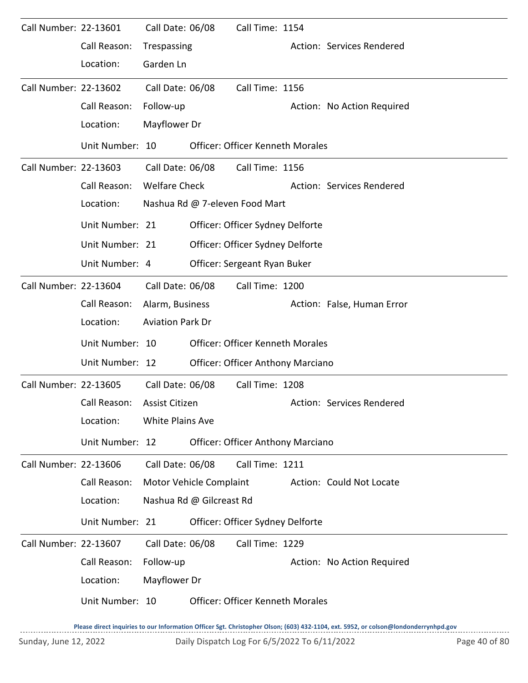| Call Number: 22-13601 |                 | Call Date: 06/08        |                          | Call Time: 1154                          |                            |
|-----------------------|-----------------|-------------------------|--------------------------|------------------------------------------|----------------------------|
|                       | Call Reason:    | Trespassing             |                          |                                          | Action: Services Rendered  |
|                       | Location:       | Garden Ln               |                          |                                          |                            |
| Call Number: 22-13602 |                 | Call Date: 06/08        |                          | Call Time: 1156                          |                            |
|                       | Call Reason:    | Follow-up               |                          |                                          | Action: No Action Required |
|                       | Location:       | Mayflower Dr            |                          |                                          |                            |
|                       | Unit Number: 10 |                         |                          | <b>Officer: Officer Kenneth Morales</b>  |                            |
| Call Number: 22-13603 |                 | Call Date: 06/08        |                          | Call Time: 1156                          |                            |
|                       | Call Reason:    | <b>Welfare Check</b>    |                          |                                          | Action: Services Rendered  |
|                       | Location:       |                         |                          | Nashua Rd @ 7-eleven Food Mart           |                            |
|                       | Unit Number: 21 |                         |                          | Officer: Officer Sydney Delforte         |                            |
|                       | Unit Number: 21 |                         |                          | Officer: Officer Sydney Delforte         |                            |
|                       | Unit Number: 4  |                         |                          | Officer: Sergeant Ryan Buker             |                            |
| Call Number: 22-13604 |                 | Call Date: 06/08        |                          | Call Time: 1200                          |                            |
|                       | Call Reason:    | Alarm, Business         |                          |                                          | Action: False, Human Error |
|                       | Location:       | <b>Aviation Park Dr</b> |                          |                                          |                            |
|                       | Unit Number: 10 |                         |                          | <b>Officer: Officer Kenneth Morales</b>  |                            |
|                       | Unit Number: 12 |                         |                          | <b>Officer: Officer Anthony Marciano</b> |                            |
| Call Number: 22-13605 |                 | Call Date: 06/08        |                          | Call Time: 1208                          |                            |
|                       | Call Reason:    | Assist Citizen          |                          |                                          | Action: Services Rendered  |
|                       | Location:       | <b>White Plains Ave</b> |                          |                                          |                            |
|                       | Unit Number: 12 |                         |                          | <b>Officer: Officer Anthony Marciano</b> |                            |
| Call Number: 22-13606 |                 | Call Date: 06/08        |                          | Call Time: 1211                          |                            |
|                       | Call Reason:    |                         | Motor Vehicle Complaint  |                                          | Action: Could Not Locate   |
|                       | Location:       |                         | Nashua Rd @ Gilcreast Rd |                                          |                            |
|                       | Unit Number: 21 |                         |                          | Officer: Officer Sydney Delforte         |                            |
| Call Number: 22-13607 |                 | Call Date: 06/08        |                          | Call Time: 1229                          |                            |
|                       | Call Reason:    | Follow-up               |                          |                                          | Action: No Action Required |
|                       | Location:       | Mayflower Dr            |                          |                                          |                            |
|                       | Unit Number: 10 |                         |                          | <b>Officer: Officer Kenneth Morales</b>  |                            |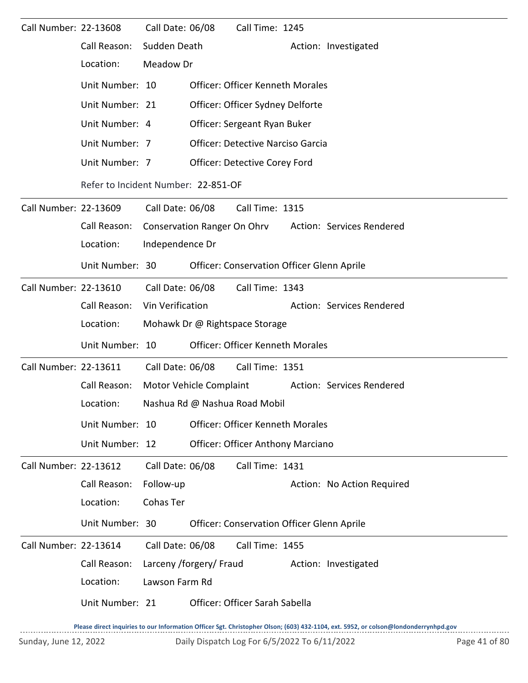| Call Number: 22-13608 |                                     | Call Date: 06/08 |                                    | Call Time: 1245                            |  |                            |  |  |  |
|-----------------------|-------------------------------------|------------------|------------------------------------|--------------------------------------------|--|----------------------------|--|--|--|
|                       | Call Reason:                        | Sudden Death     |                                    |                                            |  | Action: Investigated       |  |  |  |
|                       | Location:                           | Meadow Dr        |                                    |                                            |  |                            |  |  |  |
|                       | Unit Number: 10                     |                  |                                    | <b>Officer: Officer Kenneth Morales</b>    |  |                            |  |  |  |
|                       | Unit Number: 21                     |                  |                                    | Officer: Officer Sydney Delforte           |  |                            |  |  |  |
|                       | Unit Number: 4                      |                  |                                    | Officer: Sergeant Ryan Buker               |  |                            |  |  |  |
|                       | Unit Number: 7                      |                  |                                    | <b>Officer: Detective Narciso Garcia</b>   |  |                            |  |  |  |
|                       | Unit Number: 7                      |                  |                                    | Officer: Detective Corey Ford              |  |                            |  |  |  |
|                       | Refer to Incident Number: 22-851-OF |                  |                                    |                                            |  |                            |  |  |  |
| Call Number: 22-13609 |                                     | Call Date: 06/08 |                                    | Call Time: 1315                            |  |                            |  |  |  |
|                       | Call Reason:                        |                  | <b>Conservation Ranger On Ohrv</b> |                                            |  | Action: Services Rendered  |  |  |  |
|                       | Location:                           | Independence Dr  |                                    |                                            |  |                            |  |  |  |
|                       | Unit Number: 30                     |                  |                                    | Officer: Conservation Officer Glenn Aprile |  |                            |  |  |  |
| Call Number: 22-13610 |                                     | Call Date: 06/08 |                                    | Call Time: 1343                            |  |                            |  |  |  |
|                       | Call Reason:                        | Vin Verification |                                    |                                            |  | Action: Services Rendered  |  |  |  |
|                       | Location:                           |                  |                                    | Mohawk Dr @ Rightspace Storage             |  |                            |  |  |  |
|                       | Unit Number: 10                     |                  |                                    | <b>Officer: Officer Kenneth Morales</b>    |  |                            |  |  |  |
| Call Number: 22-13611 |                                     | Call Date: 06/08 |                                    | Call Time: 1351                            |  |                            |  |  |  |
|                       | Call Reason:                        |                  | Motor Vehicle Complaint            |                                            |  | Action: Services Rendered  |  |  |  |
|                       | Location:                           |                  |                                    | Nashua Rd @ Nashua Road Mobil              |  |                            |  |  |  |
|                       | Unit Number: 10                     |                  |                                    | Officer: Officer Kenneth Morales           |  |                            |  |  |  |
|                       | Unit Number: 12                     |                  |                                    | <b>Officer: Officer Anthony Marciano</b>   |  |                            |  |  |  |
| Call Number: 22-13612 |                                     | Call Date: 06/08 |                                    | Call Time: 1431                            |  |                            |  |  |  |
|                       | Call Reason:                        | Follow-up        |                                    |                                            |  | Action: No Action Required |  |  |  |
|                       | Location:                           | Cohas Ter        |                                    |                                            |  |                            |  |  |  |
|                       | Unit Number: 30                     |                  |                                    | Officer: Conservation Officer Glenn Aprile |  |                            |  |  |  |
| Call Number: 22-13614 |                                     | Call Date: 06/08 |                                    | Call Time: 1455                            |  |                            |  |  |  |
|                       | Call Reason:                        |                  | Larceny /forgery/ Fraud            |                                            |  | Action: Investigated       |  |  |  |
|                       | Location:                           | Lawson Farm Rd   |                                    |                                            |  |                            |  |  |  |
|                       | Unit Number: 21                     |                  |                                    | Officer: Officer Sarah Sabella             |  |                            |  |  |  |
|                       |                                     |                  |                                    |                                            |  |                            |  |  |  |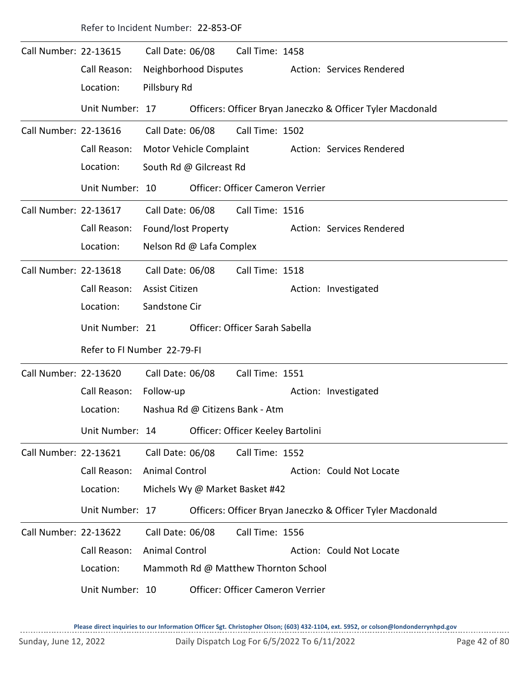| Refer to Incident Number: 22-853-OF |  |
|-------------------------------------|--|
|-------------------------------------|--|

| Call Number: 22-13615 |                             | Call Date: 06/08        |                          | Call Time: 1458                      |                                                            |
|-----------------------|-----------------------------|-------------------------|--------------------------|--------------------------------------|------------------------------------------------------------|
|                       | Call Reason:                |                         | Neighborhood Disputes    |                                      | Action: Services Rendered                                  |
|                       | Location:                   | Pillsbury Rd            |                          |                                      |                                                            |
|                       | Unit Number: 17             |                         |                          |                                      | Officers: Officer Bryan Janeczko & Officer Tyler Macdonald |
| Call Number: 22-13616 |                             | Call Date: 06/08        |                          | Call Time: 1502                      |                                                            |
|                       | Call Reason:                | Motor Vehicle Complaint |                          |                                      | Action: Services Rendered                                  |
|                       | Location:                   |                         | South Rd @ Gilcreast Rd  |                                      |                                                            |
|                       | Unit Number: 10             |                         |                          | Officer: Officer Cameron Verrier     |                                                            |
| Call Number: 22-13617 |                             | Call Date: 06/08        |                          | Call Time: 1516                      |                                                            |
|                       | Call Reason:                | Found/lost Property     |                          |                                      | Action: Services Rendered                                  |
|                       | Location:                   |                         | Nelson Rd @ Lafa Complex |                                      |                                                            |
| Call Number: 22-13618 |                             | Call Date: 06/08        |                          | Call Time: 1518                      |                                                            |
|                       | Call Reason:                | Assist Citizen          |                          |                                      | Action: Investigated                                       |
|                       | Location:                   | Sandstone Cir           |                          |                                      |                                                            |
|                       | Unit Number: 21             |                         |                          | Officer: Officer Sarah Sabella       |                                                            |
|                       | Refer to FI Number 22-79-FI |                         |                          |                                      |                                                            |
| Call Number: 22-13620 |                             |                         |                          | Call Time: 1551                      |                                                            |
|                       |                             | Call Date: 06/08        |                          |                                      |                                                            |
|                       | Call Reason:                | Follow-up               |                          |                                      | Action: Investigated                                       |
|                       | Location:                   |                         |                          | Nashua Rd @ Citizens Bank - Atm      |                                                            |
|                       | Unit Number: 14             |                         |                          | Officer: Officer Keeley Bartolini    |                                                            |
| Call Number: 22-13621 |                             | Call Date: 06/08        |                          | Call Time: 1552                      |                                                            |
|                       | Call Reason:                | <b>Animal Control</b>   |                          |                                      | Action: Could Not Locate                                   |
|                       | Location:                   |                         |                          | Michels Wy @ Market Basket #42       |                                                            |
|                       | Unit Number: 17             |                         |                          |                                      | Officers: Officer Bryan Janeczko & Officer Tyler Macdonald |
| Call Number: 22-13622 |                             | Call Date: 06/08        |                          | Call Time: 1556                      |                                                            |
|                       | Call Reason:                | <b>Animal Control</b>   |                          |                                      | Action: Could Not Locate                                   |
|                       | Location:                   |                         |                          | Mammoth Rd @ Matthew Thornton School |                                                            |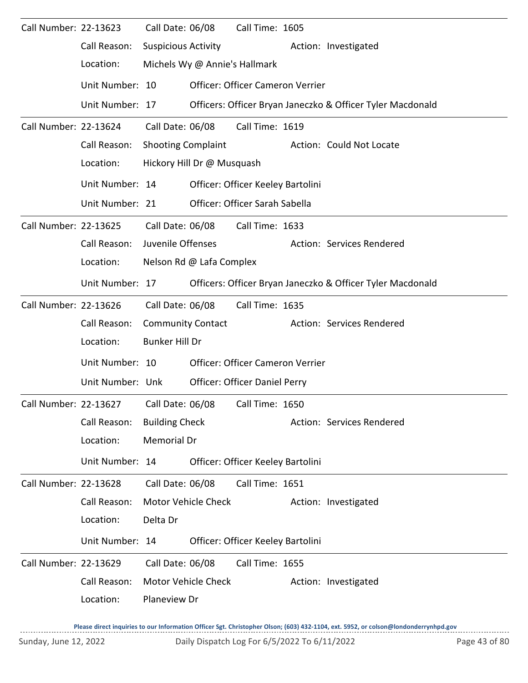| Call Number: 22-13623 |                                                        | Call Date: 06/08           |                               | Call Time: 1605                   |                                                            |
|-----------------------|--------------------------------------------------------|----------------------------|-------------------------------|-----------------------------------|------------------------------------------------------------|
|                       | Call Reason:                                           | <b>Suspicious Activity</b> |                               |                                   | Action: Investigated                                       |
|                       | Location:                                              |                            | Michels Wy @ Annie's Hallmark |                                   |                                                            |
|                       | Unit Number: 10                                        |                            |                               | Officer: Officer Cameron Verrier  |                                                            |
|                       | Unit Number: 17                                        |                            |                               |                                   | Officers: Officer Bryan Janeczko & Officer Tyler Macdonald |
| Call Number: 22-13624 |                                                        | Call Date: 06/08           |                               | Call Time: 1619                   |                                                            |
|                       | Call Reason:                                           | <b>Shooting Complaint</b>  |                               |                                   | Action: Could Not Locate                                   |
|                       | Location:                                              |                            | Hickory Hill Dr @ Musquash    |                                   |                                                            |
|                       | Unit Number: 14                                        |                            |                               | Officer: Officer Keeley Bartolini |                                                            |
|                       | Unit Number: 21                                        |                            |                               | Officer: Officer Sarah Sabella    |                                                            |
| Call Number: 22-13625 |                                                        | Call Date: 06/08           |                               | Call Time: 1633                   |                                                            |
|                       | Call Reason:                                           | Juvenile Offenses          |                               |                                   | Action: Services Rendered                                  |
|                       | Location:                                              |                            | Nelson Rd @ Lafa Complex      |                                   |                                                            |
|                       | Unit Number: 17                                        |                            |                               |                                   | Officers: Officer Bryan Janeczko & Officer Tyler Macdonald |
| Call Number: 22-13626 |                                                        | Call Date: 06/08           |                               | Call Time: 1635                   |                                                            |
|                       | Call Reason:                                           | <b>Community Contact</b>   |                               |                                   | Action: Services Rendered                                  |
|                       | Location:                                              | <b>Bunker Hill Dr</b>      |                               |                                   |                                                            |
|                       | Unit Number: 10                                        |                            |                               | Officer: Officer Cameron Verrier  |                                                            |
|                       | Unit Number: Unk                                       |                            |                               | Officer: Officer Daniel Perry     |                                                            |
|                       | Call Number: 22-13627 Call Date: 06/08 Call Time: 1650 |                            |                               |                                   |                                                            |
|                       | Call Reason:                                           | <b>Building Check</b>      |                               |                                   | Action: Services Rendered                                  |
|                       | Location:                                              | <b>Memorial Dr</b>         |                               |                                   |                                                            |
|                       | Unit Number: 14                                        |                            |                               | Officer: Officer Keeley Bartolini |                                                            |
| Call Number: 22-13628 |                                                        | Call Date: 06/08           |                               | Call Time: 1651                   |                                                            |
|                       | Call Reason:                                           |                            | Motor Vehicle Check           |                                   | Action: Investigated                                       |
|                       | Location:                                              | Delta Dr                   |                               |                                   |                                                            |
|                       | Unit Number: 14                                        |                            |                               | Officer: Officer Keeley Bartolini |                                                            |
| Call Number: 22-13629 |                                                        | Call Date: 06/08           |                               | Call Time: 1655                   |                                                            |
|                       | Call Reason:                                           |                            | Motor Vehicle Check           |                                   | Action: Investigated                                       |
|                       | Location:                                              | Planeview Dr               |                               |                                   |                                                            |
|                       |                                                        |                            |                               |                                   |                                                            |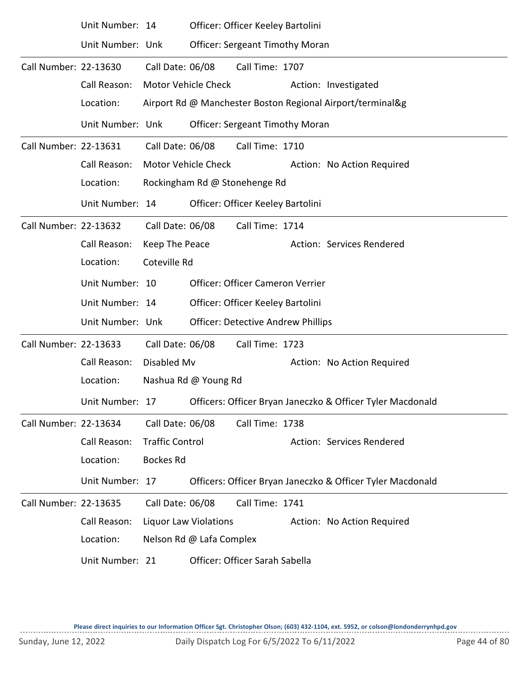|                       | Unit Number: 14  |                        |                                   | Officer: Officer Keeley Bartolini         |                                                            |
|-----------------------|------------------|------------------------|-----------------------------------|-------------------------------------------|------------------------------------------------------------|
|                       | Unit Number: Unk |                        |                                   | <b>Officer: Sergeant Timothy Moran</b>    |                                                            |
| Call Number: 22-13630 |                  | Call Date: 06/08       |                                   | Call Time: 1707                           |                                                            |
|                       | Call Reason:     | Motor Vehicle Check    |                                   |                                           | Action: Investigated                                       |
|                       | Location:        |                        |                                   |                                           | Airport Rd @ Manchester Boston Regional Airport/terminal&g |
|                       | Unit Number: Unk |                        |                                   | <b>Officer: Sergeant Timothy Moran</b>    |                                                            |
| Call Number: 22-13631 |                  | Call Date: 06/08       |                                   | Call Time: 1710                           |                                                            |
|                       | Call Reason:     |                        | <b>Motor Vehicle Check</b>        |                                           | Action: No Action Required                                 |
|                       | Location:        |                        | Rockingham Rd @ Stonehenge Rd     |                                           |                                                            |
|                       | Unit Number: 14  |                        | Officer: Officer Keeley Bartolini |                                           |                                                            |
| Call Number: 22-13632 |                  | Call Date: 06/08       |                                   | Call Time: 1714                           |                                                            |
|                       | Call Reason:     | Keep The Peace         |                                   |                                           | Action: Services Rendered                                  |
|                       | Location:        | Coteville Rd           |                                   |                                           |                                                            |
|                       | Unit Number: 10  |                        |                                   | <b>Officer: Officer Cameron Verrier</b>   |                                                            |
|                       | Unit Number: 14  |                        |                                   | Officer: Officer Keeley Bartolini         |                                                            |
|                       | Unit Number: Unk |                        |                                   | <b>Officer: Detective Andrew Phillips</b> |                                                            |
| Call Number: 22-13633 |                  | Call Date: 06/08       |                                   | Call Time: 1723                           |                                                            |
|                       | Call Reason:     | Disabled Mv            |                                   |                                           | Action: No Action Required                                 |
|                       | Location:        |                        | Nashua Rd @ Young Rd              |                                           |                                                            |
|                       | Unit Number: 17  |                        |                                   |                                           | Officers: Officer Bryan Janeczko & Officer Tyler Macdonald |
| Call Number: 22-13634 |                  | Call Date: 06/08       |                                   | Call Time: 1738                           |                                                            |
|                       | Call Reason:     | <b>Traffic Control</b> |                                   |                                           | Action: Services Rendered                                  |
|                       | Location:        | <b>Bockes Rd</b>       |                                   |                                           |                                                            |
|                       | Unit Number: 17  |                        |                                   |                                           | Officers: Officer Bryan Janeczko & Officer Tyler Macdonald |
| Call Number: 22-13635 |                  | Call Date: 06/08       |                                   | Call Time: 1741                           |                                                            |
|                       | Call Reason:     |                        | Liquor Law Violations             |                                           | Action: No Action Required                                 |
|                       | Location:        |                        | Nelson Rd @ Lafa Complex          |                                           |                                                            |
|                       | Unit Number: 21  |                        |                                   | Officer: Officer Sarah Sabella            |                                                            |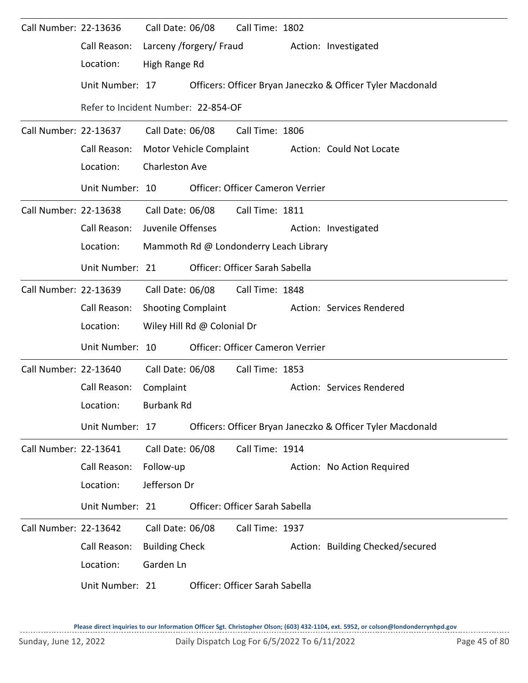| Call Number: 22-13636 |                                     | Call Date: 06/08          |                             | Call Time: 1802                        |                                                            |
|-----------------------|-------------------------------------|---------------------------|-----------------------------|----------------------------------------|------------------------------------------------------------|
|                       | Call Reason:                        |                           | Larceny /forgery/ Fraud     |                                        | Action: Investigated                                       |
|                       | Location:                           | High Range Rd             |                             |                                        |                                                            |
|                       | Unit Number: 17                     |                           |                             |                                        | Officers: Officer Bryan Janeczko & Officer Tyler Macdonald |
|                       | Refer to Incident Number: 22-854-OF |                           |                             |                                        |                                                            |
| Call Number: 22-13637 |                                     |                           | Call Date: 06/08            | Call Time: 1806                        |                                                            |
|                       | Call Reason:                        |                           | Motor Vehicle Complaint     |                                        | Action: Could Not Locate                                   |
|                       | Location:                           | <b>Charleston Ave</b>     |                             |                                        |                                                            |
|                       | Unit Number: 10                     |                           |                             | Officer: Officer Cameron Verrier       |                                                            |
| Call Number: 22-13638 |                                     | Call Date: 06/08          |                             | Call Time: 1811                        |                                                            |
|                       | Call Reason:                        | Juvenile Offenses         |                             |                                        | Action: Investigated                                       |
|                       | Location:                           |                           |                             | Mammoth Rd @ Londonderry Leach Library |                                                            |
|                       | Unit Number: 21                     |                           |                             | Officer: Officer Sarah Sabella         |                                                            |
| Call Number: 22-13639 |                                     |                           | Call Date: 06/08            | Call Time: 1848                        |                                                            |
|                       | Call Reason:                        | <b>Shooting Complaint</b> |                             |                                        | Action: Services Rendered                                  |
|                       | Location:                           |                           | Wiley Hill Rd @ Colonial Dr |                                        |                                                            |
|                       | Unit Number: 10                     |                           |                             | Officer: Officer Cameron Verrier       |                                                            |
| Call Number: 22-13640 |                                     | Call Date: 06/08          |                             | Call Time: 1853                        |                                                            |
|                       | Call Reason:                        | Complaint                 |                             |                                        | Action: Services Rendered                                  |
|                       | Location:                           | Burbank Rd                |                             |                                        |                                                            |
|                       | Unit Number: 17                     |                           |                             |                                        | Officers: Officer Bryan Janeczko & Officer Tyler Macdonald |
| Call Number: 22-13641 |                                     | Call Date: 06/08          |                             | Call Time: 1914                        |                                                            |
|                       | Call Reason:                        | Follow-up                 |                             |                                        | Action: No Action Required                                 |
|                       | Location:                           | Jefferson Dr              |                             |                                        |                                                            |
|                       | Unit Number: 21                     |                           |                             | Officer: Officer Sarah Sabella         |                                                            |
| Call Number: 22-13642 |                                     | Call Date: 06/08          |                             | Call Time: 1937                        |                                                            |
|                       | Call Reason:                        | <b>Building Check</b>     |                             |                                        | Action: Building Checked/secured                           |
|                       | Location:                           | Garden Ln                 |                             |                                        |                                                            |
|                       | Unit Number: 21                     |                           |                             | Officer: Officer Sarah Sabella         |                                                            |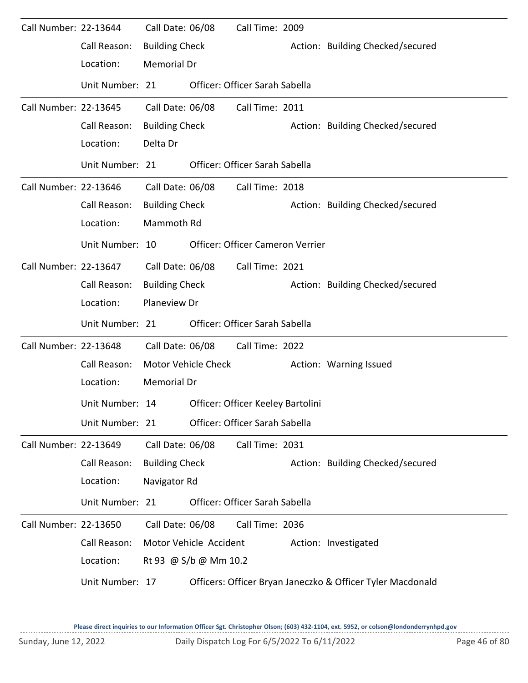| Call Number: 22-13644 | Call Reason:<br>Location: | Call Date: 06/08<br><b>Building Check</b><br><b>Memorial Dr</b> |                        | Call Time: 2009                   | Action: Building Checked/secured                           |
|-----------------------|---------------------------|-----------------------------------------------------------------|------------------------|-----------------------------------|------------------------------------------------------------|
|                       | Unit Number: 21           |                                                                 |                        | Officer: Officer Sarah Sabella    |                                                            |
| Call Number: 22-13645 |                           | Call Date: 06/08                                                |                        | Call Time: 2011                   |                                                            |
|                       | Call Reason:              | <b>Building Check</b>                                           |                        |                                   | Action: Building Checked/secured                           |
|                       | Location:                 | Delta Dr                                                        |                        |                                   |                                                            |
|                       | Unit Number: 21           |                                                                 |                        | Officer: Officer Sarah Sabella    |                                                            |
| Call Number: 22-13646 |                           | Call Date: 06/08                                                |                        | Call Time: 2018                   |                                                            |
|                       | Call Reason:              | <b>Building Check</b>                                           |                        |                                   | Action: Building Checked/secured                           |
|                       | Location:                 | Mammoth Rd                                                      |                        |                                   |                                                            |
|                       | Unit Number: 10           |                                                                 |                        | Officer: Officer Cameron Verrier  |                                                            |
| Call Number: 22-13647 |                           | Call Date: 06/08                                                |                        | Call Time: 2021                   |                                                            |
|                       | Call Reason:              | <b>Building Check</b>                                           |                        |                                   | Action: Building Checked/secured                           |
|                       | Location:                 | Planeview Dr                                                    |                        |                                   |                                                            |
|                       | Unit Number: 21           |                                                                 |                        | Officer: Officer Sarah Sabella    |                                                            |
| Call Number: 22-13648 |                           | Call Date: 06/08                                                |                        | Call Time: 2022                   |                                                            |
|                       | Call Reason:              |                                                                 | Motor Vehicle Check    |                                   | Action: Warning Issued                                     |
|                       | Location:                 | Memorial Dr                                                     |                        |                                   |                                                            |
|                       | Unit Number: 14           |                                                                 |                        | Officer: Officer Keeley Bartolini |                                                            |
|                       | Unit Number: 21           |                                                                 |                        | Officer: Officer Sarah Sabella    |                                                            |
| Call Number: 22-13649 |                           | Call Date: 06/08                                                |                        | Call Time: 2031                   |                                                            |
|                       | Call Reason:              | <b>Building Check</b>                                           |                        |                                   | Action: Building Checked/secured                           |
|                       | Location:                 | Navigator Rd                                                    |                        |                                   |                                                            |
|                       | Unit Number: 21           |                                                                 |                        | Officer: Officer Sarah Sabella    |                                                            |
| Call Number: 22-13650 |                           | Call Date: 06/08                                                |                        | Call Time: 2036                   |                                                            |
|                       | Call Reason:              |                                                                 | Motor Vehicle Accident |                                   | Action: Investigated                                       |
|                       | Location:                 |                                                                 | Rt 93 @ S/b @ Mm 10.2  |                                   |                                                            |
|                       | Unit Number: 17           |                                                                 |                        |                                   | Officers: Officer Bryan Janeczko & Officer Tyler Macdonald |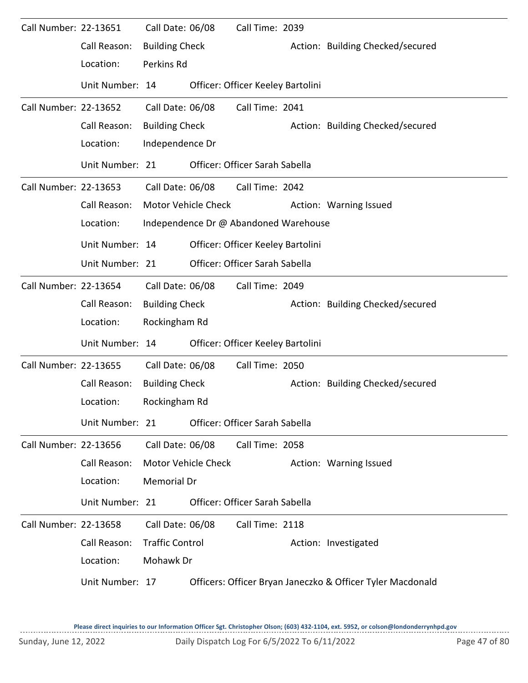| Call Number: 22-13651 | Call Reason:<br>Location: | Call Date: 06/08<br><b>Building Check</b><br>Perkins Rd |                            | Call Time: 2039                       | Action: Building Checked/secured                           |
|-----------------------|---------------------------|---------------------------------------------------------|----------------------------|---------------------------------------|------------------------------------------------------------|
|                       | Unit Number: 14           |                                                         |                            | Officer: Officer Keeley Bartolini     |                                                            |
| Call Number: 22-13652 |                           | Call Date: 06/08                                        |                            | Call Time: 2041                       |                                                            |
|                       | Call Reason:              | <b>Building Check</b>                                   |                            |                                       | Action: Building Checked/secured                           |
|                       | Location:                 | Independence Dr                                         |                            |                                       |                                                            |
|                       | Unit Number: 21           |                                                         |                            | Officer: Officer Sarah Sabella        |                                                            |
| Call Number: 22-13653 |                           | Call Date: 06/08                                        |                            | Call Time: 2042                       |                                                            |
|                       | Call Reason:              |                                                         | Motor Vehicle Check        |                                       | Action: Warning Issued                                     |
|                       | Location:                 |                                                         |                            | Independence Dr @ Abandoned Warehouse |                                                            |
|                       | Unit Number: 14           |                                                         |                            | Officer: Officer Keeley Bartolini     |                                                            |
|                       | Unit Number: 21           |                                                         |                            | Officer: Officer Sarah Sabella        |                                                            |
| Call Number: 22-13654 |                           | Call Date: 06/08                                        |                            | Call Time: 2049                       |                                                            |
|                       | Call Reason:              | <b>Building Check</b>                                   |                            |                                       | Action: Building Checked/secured                           |
|                       | Location:                 | Rockingham Rd                                           |                            |                                       |                                                            |
|                       | Unit Number: 14           |                                                         |                            | Officer: Officer Keeley Bartolini     |                                                            |
| Call Number: 22-13655 |                           | Call Date: 06/08                                        |                            | Call Time: 2050                       |                                                            |
|                       | Call Reason:              | <b>Building Check</b>                                   |                            |                                       | Action: Building Checked/secured                           |
|                       | Location:                 | Rockingham Rd                                           |                            |                                       |                                                            |
|                       | Unit Number: 21           |                                                         |                            | Officer: Officer Sarah Sabella        |                                                            |
| Call Number: 22-13656 |                           | Call Date: 06/08                                        |                            | Call Time: 2058                       |                                                            |
|                       | Call Reason:              |                                                         | <b>Motor Vehicle Check</b> |                                       | Action: Warning Issued                                     |
|                       | Location:                 | <b>Memorial Dr</b>                                      |                            |                                       |                                                            |
|                       | Unit Number: 21           |                                                         |                            | Officer: Officer Sarah Sabella        |                                                            |
| Call Number: 22-13658 |                           | Call Date: 06/08                                        |                            | Call Time: 2118                       |                                                            |
|                       | Call Reason:              | <b>Traffic Control</b>                                  |                            |                                       | Action: Investigated                                       |
|                       | Location:                 | Mohawk Dr                                               |                            |                                       |                                                            |
|                       | Unit Number: 17           |                                                         |                            |                                       | Officers: Officer Bryan Janeczko & Officer Tyler Macdonald |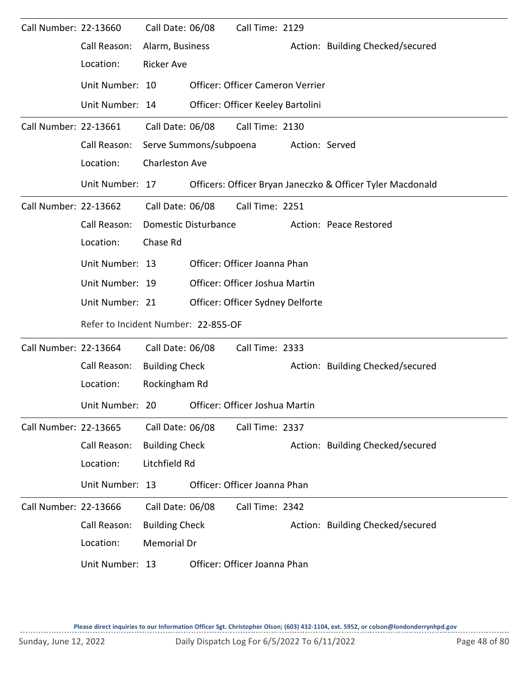| Call Number: 22-13660 |                                                | Call Date: 06/08      |                        | Call Time: 2129                   |                |                                                            |
|-----------------------|------------------------------------------------|-----------------------|------------------------|-----------------------------------|----------------|------------------------------------------------------------|
|                       | Call Reason:                                   | Alarm, Business       |                        |                                   |                | Action: Building Checked/secured                           |
|                       | Location:                                      | <b>Ricker Ave</b>     |                        |                                   |                |                                                            |
|                       | Unit Number: 10                                |                       |                        | Officer: Officer Cameron Verrier  |                |                                                            |
|                       | Unit Number: 14                                |                       |                        | Officer: Officer Keeley Bartolini |                |                                                            |
| Call Number: 22-13661 |                                                | Call Date: 06/08      |                        | Call Time: 2130                   |                |                                                            |
|                       | Call Reason:                                   |                       | Serve Summons/subpoena |                                   | Action: Served |                                                            |
|                       | Location:                                      | <b>Charleston Ave</b> |                        |                                   |                |                                                            |
|                       | Unit Number: 17                                |                       |                        |                                   |                | Officers: Officer Bryan Janeczko & Officer Tyler Macdonald |
| Call Number: 22-13662 |                                                | Call Date: 06/08      |                        | Call Time: 2251                   |                |                                                            |
|                       | Call Reason:                                   |                       | Domestic Disturbance   |                                   |                | Action: Peace Restored                                     |
|                       | Location:                                      | Chase Rd              |                        |                                   |                |                                                            |
|                       | Unit Number: 13                                |                       |                        | Officer: Officer Joanna Phan      |                |                                                            |
|                       | Unit Number: 19                                |                       |                        | Officer: Officer Joshua Martin    |                |                                                            |
|                       | Unit Number: 21                                |                       |                        | Officer: Officer Sydney Delforte  |                |                                                            |
|                       | Refer to Incident Number: 22-855-OF            |                       |                        |                                   |                |                                                            |
| Call Number: 22-13664 |                                                | Call Date: 06/08      |                        | Call Time: 2333                   |                |                                                            |
|                       | Call Reason:                                   | <b>Building Check</b> |                        |                                   |                | Action: Building Checked/secured                           |
|                       | Location:                                      | Rockingham Rd         |                        |                                   |                |                                                            |
|                       | Unit Number: 20 Officer: Officer Joshua Martin |                       |                        |                                   |                |                                                            |
| Call Number: 22-13665 |                                                | Call Date: 06/08      |                        | Call Time: 2337                   |                |                                                            |
|                       | Call Reason:                                   | <b>Building Check</b> |                        |                                   |                | Action: Building Checked/secured                           |
|                       | Location:                                      | Litchfield Rd         |                        |                                   |                |                                                            |
|                       | Unit Number: 13                                |                       |                        | Officer: Officer Joanna Phan      |                |                                                            |
| Call Number: 22-13666 |                                                | Call Date: 06/08      |                        | Call Time: 2342                   |                |                                                            |
|                       | Call Reason:                                   | <b>Building Check</b> |                        |                                   |                | Action: Building Checked/secured                           |
|                       | Location:                                      | Memorial Dr           |                        |                                   |                |                                                            |
|                       | Unit Number: 13                                |                       |                        | Officer: Officer Joanna Phan      |                |                                                            |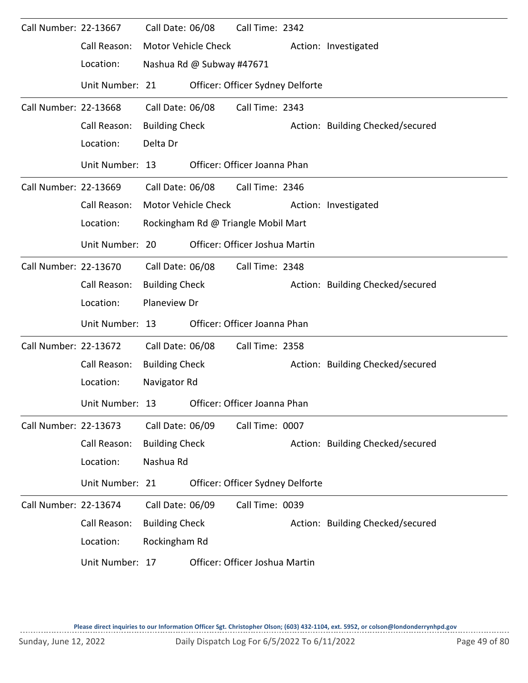| Call Number: 22-13667 |                 | Call Date: 06/08      |                           | Call Time: 2342                     |                                  |
|-----------------------|-----------------|-----------------------|---------------------------|-------------------------------------|----------------------------------|
|                       | Call Reason:    |                       | Motor Vehicle Check       |                                     | Action: Investigated             |
|                       | Location:       |                       | Nashua Rd @ Subway #47671 |                                     |                                  |
|                       | Unit Number: 21 |                       |                           | Officer: Officer Sydney Delforte    |                                  |
| Call Number: 22-13668 |                 | Call Date: 06/08      |                           | Call Time: 2343                     |                                  |
|                       | Call Reason:    | <b>Building Check</b> |                           |                                     | Action: Building Checked/secured |
|                       | Location:       | Delta Dr              |                           |                                     |                                  |
|                       | Unit Number: 13 |                       |                           | Officer: Officer Joanna Phan        |                                  |
| Call Number: 22-13669 |                 |                       | Call Date: 06/08          | Call Time: 2346                     |                                  |
|                       | Call Reason:    |                       | Motor Vehicle Check       |                                     | Action: Investigated             |
|                       | Location:       |                       |                           | Rockingham Rd @ Triangle Mobil Mart |                                  |
|                       | Unit Number: 20 |                       |                           | Officer: Officer Joshua Martin      |                                  |
| Call Number: 22-13670 |                 | Call Date: 06/08      |                           | Call Time: 2348                     |                                  |
|                       | Call Reason:    | <b>Building Check</b> |                           |                                     | Action: Building Checked/secured |
|                       | Location:       | Planeview Dr          |                           |                                     |                                  |
|                       | Unit Number: 13 |                       |                           | Officer: Officer Joanna Phan        |                                  |
| Call Number: 22-13672 |                 | Call Date: 06/08      |                           | Call Time: 2358                     |                                  |
|                       | Call Reason:    | <b>Building Check</b> |                           |                                     | Action: Building Checked/secured |
|                       | Location:       | Navigator Rd          |                           |                                     |                                  |
|                       | Unit Number: 13 |                       |                           | Officer: Officer Joanna Phan        |                                  |
| Call Number: 22-13673 |                 | Call Date: 06/09      |                           | Call Time: 0007                     |                                  |
|                       | Call Reason:    | <b>Building Check</b> |                           |                                     | Action: Building Checked/secured |
|                       | Location:       | Nashua Rd             |                           |                                     |                                  |
|                       | Unit Number: 21 |                       |                           | Officer: Officer Sydney Delforte    |                                  |
| Call Number: 22-13674 |                 | Call Date: 06/09      |                           | Call Time: 0039                     |                                  |
|                       | Call Reason:    | <b>Building Check</b> |                           |                                     | Action: Building Checked/secured |
|                       | Location:       | Rockingham Rd         |                           |                                     |                                  |
|                       | Unit Number: 17 |                       |                           | Officer: Officer Joshua Martin      |                                  |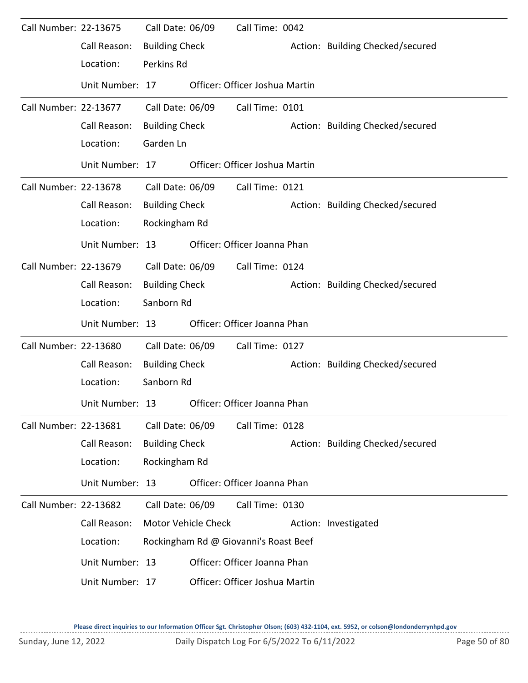| Call Number: 22-13675 |                 | Call Date: 06/09      |                     | Call Time: 0042                       |                                  |
|-----------------------|-----------------|-----------------------|---------------------|---------------------------------------|----------------------------------|
|                       | Call Reason:    | <b>Building Check</b> |                     |                                       | Action: Building Checked/secured |
|                       | Location:       | Perkins Rd            |                     |                                       |                                  |
|                       | Unit Number: 17 |                       |                     | Officer: Officer Joshua Martin        |                                  |
| Call Number: 22-13677 |                 | Call Date: 06/09      |                     | Call Time: 0101                       |                                  |
|                       | Call Reason:    | <b>Building Check</b> |                     |                                       | Action: Building Checked/secured |
|                       | Location:       | Garden Ln             |                     |                                       |                                  |
|                       | Unit Number: 17 |                       |                     | Officer: Officer Joshua Martin        |                                  |
| Call Number: 22-13678 |                 | Call Date: 06/09      |                     | Call Time: 0121                       |                                  |
|                       | Call Reason:    | <b>Building Check</b> |                     |                                       | Action: Building Checked/secured |
|                       | Location:       | Rockingham Rd         |                     |                                       |                                  |
|                       | Unit Number: 13 |                       |                     | Officer: Officer Joanna Phan          |                                  |
| Call Number: 22-13679 |                 | Call Date: 06/09      |                     | Call Time: 0124                       |                                  |
|                       | Call Reason:    | <b>Building Check</b> |                     |                                       | Action: Building Checked/secured |
|                       | Location:       | Sanborn Rd            |                     |                                       |                                  |
|                       | Unit Number: 13 |                       |                     | Officer: Officer Joanna Phan          |                                  |
| Call Number: 22-13680 |                 | Call Date: 06/09      |                     | Call Time: 0127                       |                                  |
|                       | Call Reason:    | <b>Building Check</b> |                     |                                       | Action: Building Checked/secured |
|                       | Location:       | Sanborn Rd            |                     |                                       |                                  |
|                       | Unit Number: 13 |                       |                     | Officer: Officer Joanna Phan          |                                  |
| Call Number: 22-13681 |                 | Call Date: 06/09      |                     | Call Time: 0128                       |                                  |
|                       | Call Reason:    | <b>Building Check</b> |                     |                                       | Action: Building Checked/secured |
|                       | Location:       | Rockingham Rd         |                     |                                       |                                  |
|                       | Unit Number: 13 |                       |                     | Officer: Officer Joanna Phan          |                                  |
| Call Number: 22-13682 |                 | Call Date: 06/09      |                     | Call Time: 0130                       |                                  |
|                       | Call Reason:    |                       | Motor Vehicle Check |                                       | Action: Investigated             |
|                       | Location:       |                       |                     | Rockingham Rd @ Giovanni's Roast Beef |                                  |
|                       | Unit Number: 13 |                       |                     | Officer: Officer Joanna Phan          |                                  |
|                       | Unit Number: 17 |                       |                     | Officer: Officer Joshua Martin        |                                  |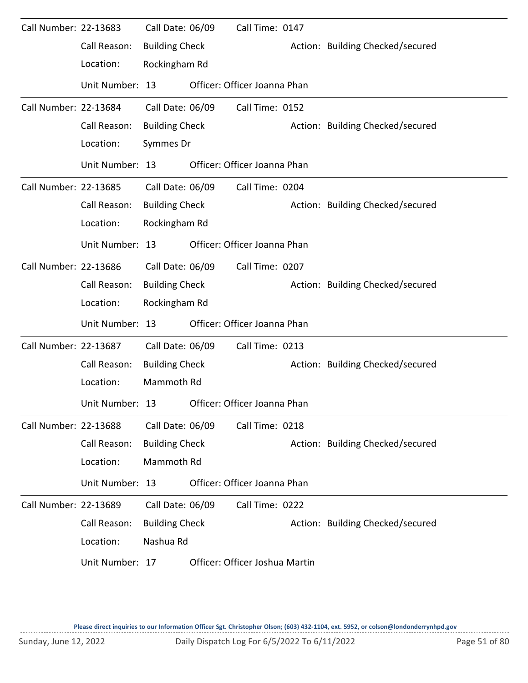| Call Number: 22-13683 |                 | Call Date: 06/09      | Call Time: 0147                |                                  |
|-----------------------|-----------------|-----------------------|--------------------------------|----------------------------------|
|                       | Call Reason:    | <b>Building Check</b> |                                | Action: Building Checked/secured |
|                       | Location:       | Rockingham Rd         |                                |                                  |
|                       | Unit Number: 13 |                       | Officer: Officer Joanna Phan   |                                  |
| Call Number: 22-13684 |                 | Call Date: 06/09      | Call Time: 0152                |                                  |
|                       | Call Reason:    | <b>Building Check</b> |                                | Action: Building Checked/secured |
|                       | Location:       | Symmes Dr             |                                |                                  |
|                       | Unit Number: 13 |                       | Officer: Officer Joanna Phan   |                                  |
| Call Number: 22-13685 |                 | Call Date: 06/09      | Call Time: 0204                |                                  |
|                       | Call Reason:    | <b>Building Check</b> |                                | Action: Building Checked/secured |
|                       | Location:       | Rockingham Rd         |                                |                                  |
|                       | Unit Number: 13 |                       | Officer: Officer Joanna Phan   |                                  |
| Call Number: 22-13686 |                 | Call Date: 06/09      | Call Time: 0207                |                                  |
|                       | Call Reason:    | <b>Building Check</b> |                                | Action: Building Checked/secured |
|                       | Location:       | Rockingham Rd         |                                |                                  |
|                       | Unit Number: 13 |                       | Officer: Officer Joanna Phan   |                                  |
| Call Number: 22-13687 |                 | Call Date: 06/09      | Call Time: 0213                |                                  |
|                       | Call Reason:    | <b>Building Check</b> |                                | Action: Building Checked/secured |
|                       | Location:       | Mammoth Rd            |                                |                                  |
|                       | Unit Number: 13 |                       | Officer: Officer Joanna Phan   |                                  |
| Call Number: 22-13688 |                 | Call Date: 06/09      | Call Time: 0218                |                                  |
|                       | Call Reason:    | <b>Building Check</b> |                                | Action: Building Checked/secured |
|                       | Location:       | Mammoth Rd            |                                |                                  |
|                       | Unit Number: 13 |                       | Officer: Officer Joanna Phan   |                                  |
| Call Number: 22-13689 |                 | Call Date: 06/09      | Call Time: 0222                |                                  |
|                       | Call Reason:    | <b>Building Check</b> |                                | Action: Building Checked/secured |
|                       | Location:       | Nashua Rd             |                                |                                  |
|                       | Unit Number: 17 |                       | Officer: Officer Joshua Martin |                                  |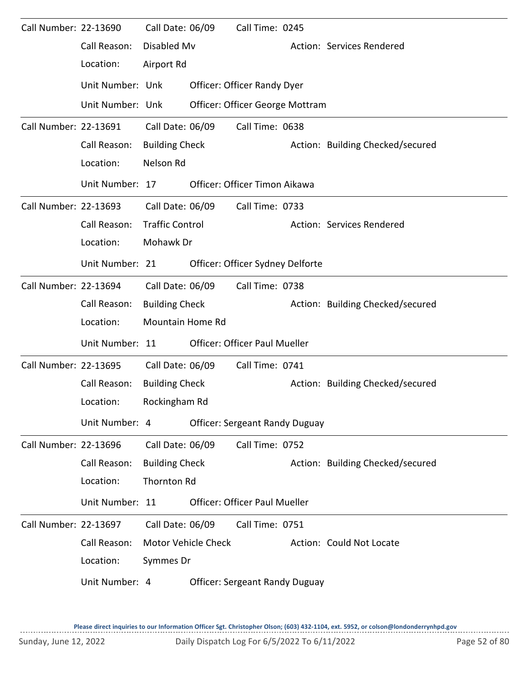| Call Number: 22-13690 |                  | Call Date: 06/09        |                            | Call Time: 0245                       |                                  |
|-----------------------|------------------|-------------------------|----------------------------|---------------------------------------|----------------------------------|
|                       | Call Reason:     | Disabled Mv             |                            |                                       | Action: Services Rendered        |
|                       | Location:        | Airport Rd              |                            |                                       |                                  |
|                       | Unit Number: Unk |                         |                            | Officer: Officer Randy Dyer           |                                  |
|                       | Unit Number: Unk |                         |                            | Officer: Officer George Mottram       |                                  |
| Call Number: 22-13691 |                  | Call Date: 06/09        |                            | Call Time: 0638                       |                                  |
|                       | Call Reason:     | <b>Building Check</b>   |                            |                                       | Action: Building Checked/secured |
|                       | Location:        | Nelson Rd               |                            |                                       |                                  |
|                       | Unit Number: 17  |                         |                            | Officer: Officer Timon Aikawa         |                                  |
| Call Number: 22-13693 |                  | Call Date: 06/09        |                            | Call Time: 0733                       |                                  |
|                       | Call Reason:     | <b>Traffic Control</b>  |                            |                                       | Action: Services Rendered        |
|                       | Location:        | Mohawk Dr               |                            |                                       |                                  |
|                       | Unit Number: 21  |                         |                            | Officer: Officer Sydney Delforte      |                                  |
| Call Number: 22-13694 |                  | Call Date: 06/09        |                            | Call Time: 0738                       |                                  |
|                       | Call Reason:     | <b>Building Check</b>   |                            |                                       | Action: Building Checked/secured |
|                       | Location:        | <b>Mountain Home Rd</b> |                            |                                       |                                  |
|                       | Unit Number: 11  |                         |                            | <b>Officer: Officer Paul Mueller</b>  |                                  |
| Call Number: 22-13695 |                  | Call Date: 06/09        |                            | Call Time: 0741                       |                                  |
|                       | Call Reason:     | <b>Building Check</b>   |                            |                                       | Action: Building Checked/secured |
|                       | Location:        | Rockingham Rd           |                            |                                       |                                  |
|                       | Unit Number: 4   |                         |                            | <b>Officer: Sergeant Randy Duguay</b> |                                  |
| Call Number: 22-13696 |                  | Call Date: 06/09        |                            | Call Time: 0752                       |                                  |
|                       | Call Reason:     | <b>Building Check</b>   |                            |                                       | Action: Building Checked/secured |
|                       | Location:        | Thornton Rd             |                            |                                       |                                  |
|                       | Unit Number: 11  |                         |                            | <b>Officer: Officer Paul Mueller</b>  |                                  |
| Call Number: 22-13697 |                  | Call Date: 06/09        |                            | Call Time: 0751                       |                                  |
|                       | Call Reason:     |                         | <b>Motor Vehicle Check</b> |                                       | Action: Could Not Locate         |
|                       | Location:        | Symmes Dr               |                            |                                       |                                  |
|                       | Unit Number: 4   |                         |                            | <b>Officer: Sergeant Randy Duguay</b> |                                  |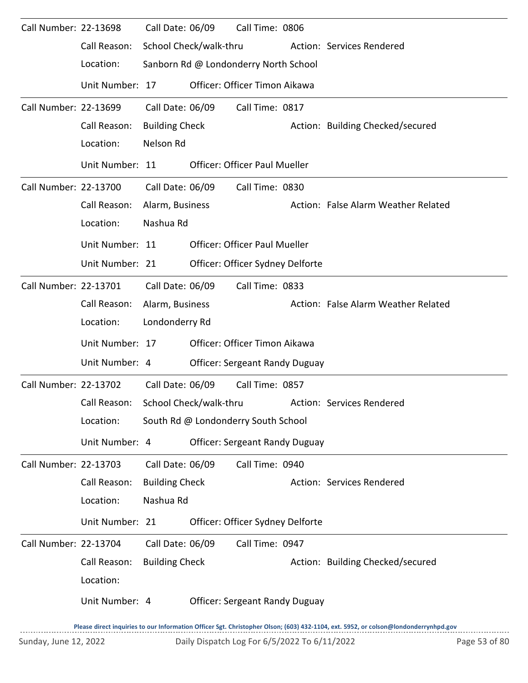| Call Number: 22-13698 |                 | Call Date: 06/09      |                        | Call Time: 0806                       |                                                                                                                                     |
|-----------------------|-----------------|-----------------------|------------------------|---------------------------------------|-------------------------------------------------------------------------------------------------------------------------------------|
|                       | Call Reason:    |                       | School Check/walk-thru |                                       | Action: Services Rendered                                                                                                           |
|                       | Location:       |                       |                        | Sanborn Rd @ Londonderry North School |                                                                                                                                     |
|                       | Unit Number: 17 |                       |                        | Officer: Officer Timon Aikawa         |                                                                                                                                     |
| Call Number: 22-13699 |                 | Call Date: 06/09      |                        | Call Time: 0817                       |                                                                                                                                     |
|                       | Call Reason:    | <b>Building Check</b> |                        |                                       | Action: Building Checked/secured                                                                                                    |
|                       | Location:       | Nelson Rd             |                        |                                       |                                                                                                                                     |
|                       | Unit Number: 11 |                       |                        | <b>Officer: Officer Paul Mueller</b>  |                                                                                                                                     |
| Call Number: 22-13700 |                 | Call Date: 06/09      |                        | Call Time: 0830                       |                                                                                                                                     |
|                       | Call Reason:    | Alarm, Business       |                        |                                       | Action: False Alarm Weather Related                                                                                                 |
|                       | Location:       | Nashua Rd             |                        |                                       |                                                                                                                                     |
|                       | Unit Number: 11 |                       |                        | <b>Officer: Officer Paul Mueller</b>  |                                                                                                                                     |
|                       | Unit Number: 21 |                       |                        | Officer: Officer Sydney Delforte      |                                                                                                                                     |
| Call Number: 22-13701 |                 | Call Date: 06/09      |                        | Call Time: 0833                       |                                                                                                                                     |
|                       | Call Reason:    | Alarm, Business       |                        |                                       | Action: False Alarm Weather Related                                                                                                 |
|                       | Location:       | Londonderry Rd        |                        |                                       |                                                                                                                                     |
|                       | Unit Number: 17 |                       |                        | Officer: Officer Timon Aikawa         |                                                                                                                                     |
|                       | Unit Number: 4  |                       |                        | <b>Officer: Sergeant Randy Duguay</b> |                                                                                                                                     |
| Call Number: 22-13702 |                 | Call Date: 06/09      |                        | Call Time: 0857                       |                                                                                                                                     |
|                       | Call Reason:    |                       | School Check/walk-thru |                                       | Action: Services Rendered                                                                                                           |
|                       | Location:       |                       |                        | South Rd @ Londonderry South School   |                                                                                                                                     |
|                       | Unit Number: 4  |                       |                        | <b>Officer: Sergeant Randy Duguay</b> |                                                                                                                                     |
| Call Number: 22-13703 |                 | Call Date: 06/09      |                        | Call Time: 0940                       |                                                                                                                                     |
|                       | Call Reason:    | <b>Building Check</b> |                        |                                       | Action: Services Rendered                                                                                                           |
|                       | Location:       | Nashua Rd             |                        |                                       |                                                                                                                                     |
|                       | Unit Number: 21 |                       |                        | Officer: Officer Sydney Delforte      |                                                                                                                                     |
| Call Number: 22-13704 |                 | Call Date: 06/09      |                        | Call Time: 0947                       |                                                                                                                                     |
|                       | Call Reason:    | <b>Building Check</b> |                        |                                       | Action: Building Checked/secured                                                                                                    |
|                       | Location:       |                       |                        |                                       |                                                                                                                                     |
|                       | Unit Number: 4  |                       |                        | <b>Officer: Sergeant Randy Duguay</b> |                                                                                                                                     |
|                       |                 |                       |                        |                                       | Please direct inquiries to our Information Officer Sgt. Christopher Olson; (603) 432-1104, ext. 5952, or colson@londonderrynhpd.gov |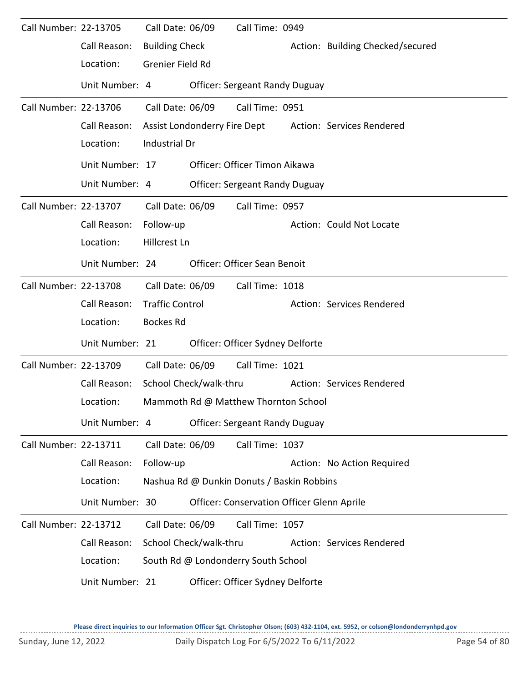| Call Number: 22-13705 |                                                  | Call Date: 06/09       |                        | Call Time: 0949                                   |  |                                                        |
|-----------------------|--------------------------------------------------|------------------------|------------------------|---------------------------------------------------|--|--------------------------------------------------------|
|                       | Call Reason:                                     | <b>Building Check</b>  |                        |                                                   |  | Action: Building Checked/secured                       |
|                       | Location:                                        | Grenier Field Rd       |                        |                                                   |  |                                                        |
|                       | Unit Number: 4                                   |                        |                        | <b>Officer: Sergeant Randy Duguay</b>             |  |                                                        |
| Call Number: 22-13706 |                                                  | Call Date: 06/09       |                        | Call Time: 0951                                   |  |                                                        |
|                       | Call Reason:                                     |                        |                        |                                                   |  | Assist Londonderry Fire Dept Action: Services Rendered |
|                       | Location:                                        | Industrial Dr          |                        |                                                   |  |                                                        |
|                       | Unit Number: 17                                  |                        |                        | Officer: Officer Timon Aikawa                     |  |                                                        |
|                       | Unit Number: 4                                   |                        |                        | <b>Officer: Sergeant Randy Duguay</b>             |  |                                                        |
| Call Number: 22-13707 |                                                  | Call Date: 06/09       |                        | Call Time: 0957                                   |  |                                                        |
|                       | Call Reason:                                     | Follow-up              |                        |                                                   |  | Action: Could Not Locate                               |
|                       | Location:                                        | Hillcrest Ln           |                        |                                                   |  |                                                        |
|                       | Unit Number: 24                                  |                        |                        | Officer: Officer Sean Benoit                      |  |                                                        |
| Call Number: 22-13708 |                                                  | Call Date: 06/09       |                        | Call Time: 1018                                   |  |                                                        |
|                       | Call Reason:                                     | <b>Traffic Control</b> |                        |                                                   |  | Action: Services Rendered                              |
|                       | Location:                                        | <b>Bockes Rd</b>       |                        |                                                   |  |                                                        |
|                       | Unit Number: 21                                  |                        |                        | Officer: Officer Sydney Delforte                  |  |                                                        |
| Call Number: 22-13709 |                                                  | Call Date: 06/09       |                        | Call Time: 1021                                   |  |                                                        |
|                       | Call Reason:                                     |                        | School Check/walk-thru |                                                   |  | Action: Services Rendered                              |
|                       | Location:                                        |                        |                        | Mammoth Rd @ Matthew Thornton School              |  |                                                        |
|                       | Unit Number: 4                                   |                        |                        | <b>Officer: Sergeant Randy Duguay</b>             |  |                                                        |
| Call Number: 22-13711 |                                                  | Call Date: 06/09       |                        | Call Time: 1037                                   |  |                                                        |
|                       | Call Reason:                                     | Follow-up              |                        |                                                   |  | Action: No Action Required                             |
|                       | Location:                                        |                        |                        | Nashua Rd @ Dunkin Donuts / Baskin Robbins        |  |                                                        |
|                       | Unit Number: 30                                  |                        |                        | <b>Officer: Conservation Officer Glenn Aprile</b> |  |                                                        |
| Call Number: 22-13712 |                                                  | Call Date: 06/09       |                        | Call Time: 1057                                   |  |                                                        |
|                       | Call Reason:                                     |                        | School Check/walk-thru |                                                   |  | Action: Services Rendered                              |
|                       | Location:<br>South Rd @ Londonderry South School |                        |                        |                                                   |  |                                                        |
|                       | Unit Number: 21                                  |                        |                        | Officer: Officer Sydney Delforte                  |  |                                                        |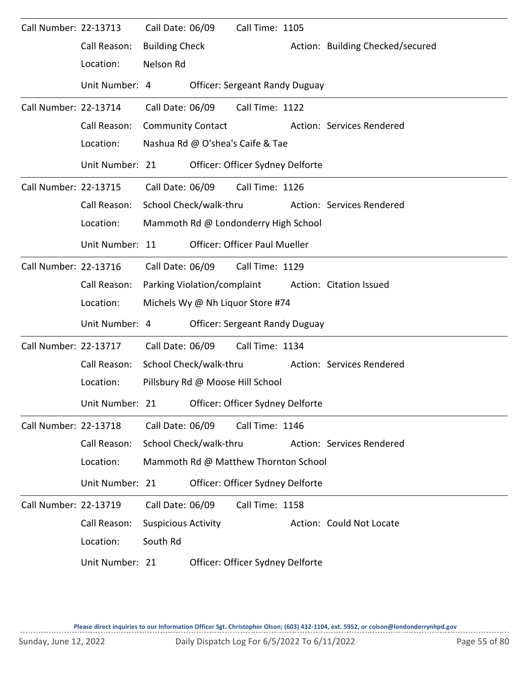| Call Number: 22-13713 |                 | Call Date: 06/09           |                                  | Call Time: 1105                       |  |                                  |  |  |  |
|-----------------------|-----------------|----------------------------|----------------------------------|---------------------------------------|--|----------------------------------|--|--|--|
|                       | Call Reason:    | <b>Building Check</b>      |                                  |                                       |  | Action: Building Checked/secured |  |  |  |
|                       | Location:       | Nelson Rd                  |                                  |                                       |  |                                  |  |  |  |
|                       | Unit Number: 4  |                            |                                  | <b>Officer: Sergeant Randy Duguay</b> |  |                                  |  |  |  |
| Call Number: 22-13714 |                 | Call Date: 06/09           |                                  | Call Time: 1122                       |  |                                  |  |  |  |
|                       | Call Reason:    |                            | <b>Community Contact</b>         |                                       |  | Action: Services Rendered        |  |  |  |
|                       | Location:       |                            |                                  | Nashua Rd @ O'shea's Caife & Tae      |  |                                  |  |  |  |
|                       | Unit Number: 21 |                            |                                  | Officer: Officer Sydney Delforte      |  |                                  |  |  |  |
| Call Number: 22-13715 |                 | Call Date: 06/09           |                                  | Call Time: 1126                       |  |                                  |  |  |  |
|                       | Call Reason:    |                            | School Check/walk-thru           |                                       |  | Action: Services Rendered        |  |  |  |
|                       | Location:       |                            |                                  | Mammoth Rd @ Londonderry High School  |  |                                  |  |  |  |
|                       | Unit Number: 11 |                            |                                  | <b>Officer: Officer Paul Mueller</b>  |  |                                  |  |  |  |
| Call Number: 22-13716 |                 | Call Date: 06/09           |                                  | Call Time: 1129                       |  |                                  |  |  |  |
|                       | Call Reason:    |                            | Parking Violation/complaint      |                                       |  | Action: Citation Issued          |  |  |  |
|                       | Location:       |                            |                                  | Michels Wy @ Nh Liquor Store #74      |  |                                  |  |  |  |
|                       | Unit Number: 4  |                            |                                  | <b>Officer: Sergeant Randy Duguay</b> |  |                                  |  |  |  |
| Call Number: 22-13717 |                 | Call Date: 06/09           |                                  | Call Time: 1134                       |  |                                  |  |  |  |
|                       | Call Reason:    | School Check/walk-thru     |                                  |                                       |  | Action: Services Rendered        |  |  |  |
|                       | Location:       |                            | Pillsbury Rd @ Moose Hill School |                                       |  |                                  |  |  |  |
|                       | Unit Number: 21 |                            |                                  | Officer: Officer Sydney Delforte      |  |                                  |  |  |  |
| Call Number: 22-13718 |                 | Call Date: 06/09           |                                  | Call Time: 1146                       |  |                                  |  |  |  |
|                       | Call Reason:    |                            | School Check/walk-thru           |                                       |  | Action: Services Rendered        |  |  |  |
|                       | Location:       |                            |                                  | Mammoth Rd @ Matthew Thornton School  |  |                                  |  |  |  |
|                       | Unit Number: 21 |                            |                                  | Officer: Officer Sydney Delforte      |  |                                  |  |  |  |
| Call Number: 22-13719 |                 | Call Date: 06/09           |                                  | Call Time: 1158                       |  |                                  |  |  |  |
|                       | Call Reason:    | <b>Suspicious Activity</b> |                                  |                                       |  | Action: Could Not Locate         |  |  |  |
|                       | Location:       | South Rd                   |                                  |                                       |  |                                  |  |  |  |
|                       | Unit Number: 21 |                            |                                  | Officer: Officer Sydney Delforte      |  |                                  |  |  |  |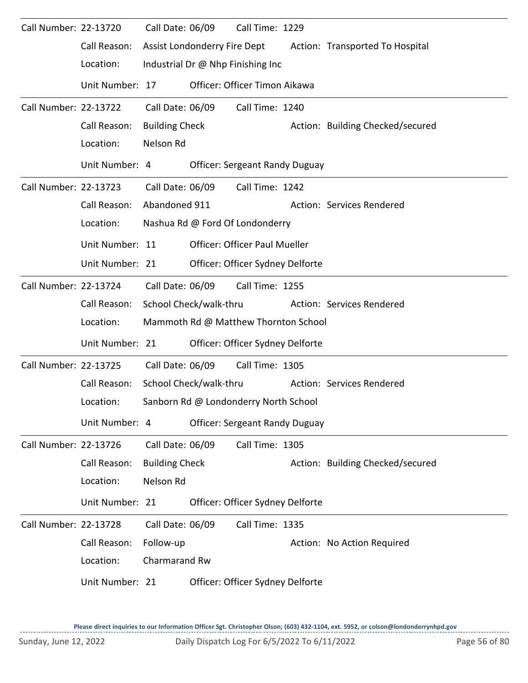| Call Number: 22-13720        | Call Reason:<br>Location: | Call Date: 06/09      | Assist Londonderry Fire Dept | Call Time: 1229<br>Industrial Dr @ Nhp Finishing Inc | Action: Transported To Hospital  |
|------------------------------|---------------------------|-----------------------|------------------------------|------------------------------------------------------|----------------------------------|
|                              | Unit Number: 17           |                       |                              | Officer: Officer Timon Aikawa                        |                                  |
| <b>Call Number: 22-13722</b> |                           | Call Date: 06/09      |                              | Call Time: 1240                                      |                                  |
|                              | Call Reason:              | <b>Building Check</b> |                              |                                                      | Action: Building Checked/secured |
|                              | Location:                 | Nelson Rd             |                              |                                                      |                                  |
|                              | Unit Number: 4            |                       |                              | <b>Officer: Sergeant Randy Duguay</b>                |                                  |
| Call Number: 22-13723        |                           | Call Date: 06/09      |                              | Call Time: 1242                                      |                                  |
|                              | Call Reason:              | Abandoned 911         |                              |                                                      | Action: Services Rendered        |
|                              | Location:                 |                       |                              | Nashua Rd @ Ford Of Londonderry                      |                                  |
|                              | Unit Number: 11           |                       |                              | <b>Officer: Officer Paul Mueller</b>                 |                                  |
|                              | Unit Number: 21           |                       |                              | Officer: Officer Sydney Delforte                     |                                  |
| Call Number: 22-13724        |                           | Call Date: 06/09      |                              | Call Time: 1255                                      |                                  |
|                              | Call Reason:              |                       | School Check/walk-thru       |                                                      | Action: Services Rendered        |
|                              | Location:                 |                       |                              | Mammoth Rd @ Matthew Thornton School                 |                                  |
|                              | Unit Number: 21           |                       |                              | Officer: Officer Sydney Delforte                     |                                  |
| Call Number: 22-13725        |                           | Call Date: 06/09      |                              | Call Time: 1305                                      |                                  |
|                              | Call Reason:              |                       | School Check/walk-thru       |                                                      | Action: Services Rendered        |
|                              | Location:                 |                       |                              | Sanborn Rd @ Londonderry North School                |                                  |
|                              | Unit Number: 4            |                       |                              | <b>Officer: Sergeant Randy Duguay</b>                |                                  |
| Call Number: 22-13726        |                           | Call Date: 06/09      |                              | Call Time: 1305                                      |                                  |
|                              | Call Reason:              | <b>Building Check</b> |                              |                                                      | Action: Building Checked/secured |
|                              | Location:                 | Nelson Rd             |                              |                                                      |                                  |
|                              | Unit Number: 21           |                       |                              | Officer: Officer Sydney Delforte                     |                                  |
| Call Number: 22-13728        |                           | Call Date: 06/09      |                              | Call Time: 1335                                      |                                  |
|                              | Call Reason:              | Follow-up             |                              |                                                      | Action: No Action Required       |
|                              | Location:                 | Charmarand Rw         |                              |                                                      |                                  |
|                              | Unit Number: 21           |                       |                              | Officer: Officer Sydney Delforte                     |                                  |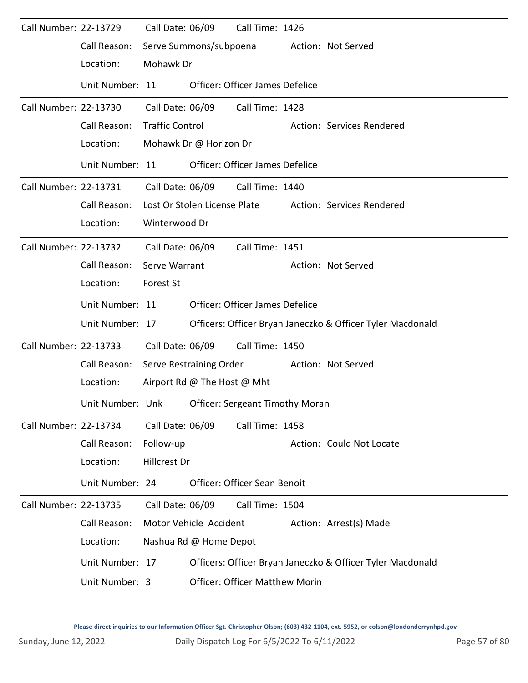| Call Number: 22-13729 |                  | Call Date: 06/09       |                              | Call Time: 1426                        |                                                            |
|-----------------------|------------------|------------------------|------------------------------|----------------------------------------|------------------------------------------------------------|
|                       | Call Reason:     |                        | Serve Summons/subpoena       |                                        | Action: Not Served                                         |
|                       | Location:        | Mohawk Dr              |                              |                                        |                                                            |
|                       | Unit Number: 11  |                        |                              | <b>Officer: Officer James Defelice</b> |                                                            |
| Call Number: 22-13730 |                  | Call Date: 06/09       |                              | Call Time: 1428                        |                                                            |
|                       | Call Reason:     | <b>Traffic Control</b> |                              |                                        | Action: Services Rendered                                  |
|                       | Location:        |                        | Mohawk Dr @ Horizon Dr       |                                        |                                                            |
|                       | Unit Number: 11  |                        |                              | <b>Officer: Officer James Defelice</b> |                                                            |
| Call Number: 22-13731 |                  |                        | Call Date: 06/09             | Call Time: 1440                        |                                                            |
|                       | Call Reason:     |                        | Lost Or Stolen License Plate |                                        | Action: Services Rendered                                  |
|                       | Location:        | Winterwood Dr          |                              |                                        |                                                            |
| Call Number: 22-13732 |                  | Call Date: 06/09       |                              | Call Time: 1451                        |                                                            |
|                       | Call Reason:     | Serve Warrant          |                              |                                        | Action: Not Served                                         |
|                       | Location:        | Forest St              |                              |                                        |                                                            |
|                       | Unit Number: 11  |                        |                              | <b>Officer: Officer James Defelice</b> |                                                            |
|                       | Unit Number: 17  |                        |                              |                                        | Officers: Officer Bryan Janeczko & Officer Tyler Macdonald |
| Call Number: 22-13733 |                  | Call Date: 06/09       |                              | Call Time: 1450                        |                                                            |
|                       | Call Reason:     |                        | Serve Restraining Order      |                                        | Action: Not Served                                         |
|                       | Location:        |                        | Airport Rd @ The Host @ Mht  |                                        |                                                            |
|                       | Unit Number: Unk |                        |                              | Officer: Sergeant Timothy Moran        |                                                            |
| Call Number: 22-13734 |                  | Call Date: 06/09       |                              | Call Time: 1458                        |                                                            |
|                       | Call Reason:     | Follow-up              |                              |                                        | Action: Could Not Locate                                   |
|                       | Location:        | Hillcrest Dr           |                              |                                        |                                                            |
|                       | Unit Number: 24  |                        |                              | Officer: Officer Sean Benoit           |                                                            |
| Call Number: 22-13735 |                  | Call Date: 06/09       |                              | Call Time: 1504                        |                                                            |
|                       | Call Reason:     |                        | Motor Vehicle Accident       |                                        | Action: Arrest(s) Made                                     |
|                       | Location:        |                        | Nashua Rd @ Home Depot       |                                        |                                                            |
|                       | Unit Number: 17  |                        |                              |                                        | Officers: Officer Bryan Janeczko & Officer Tyler Macdonald |
|                       | Unit Number: 3   |                        |                              | <b>Officer: Officer Matthew Morin</b>  |                                                            |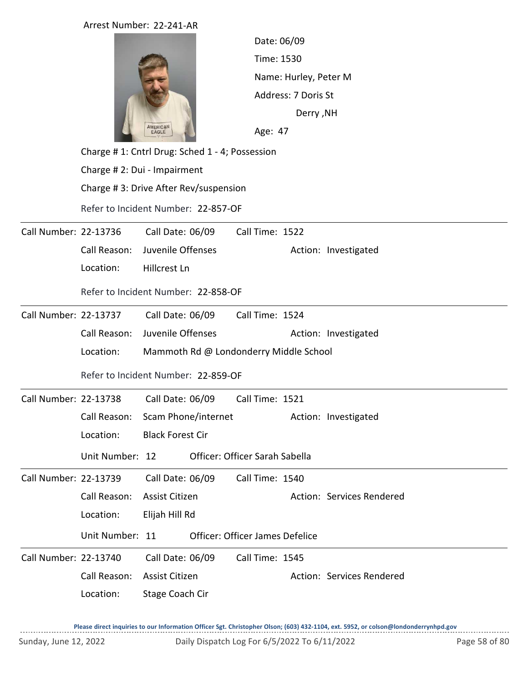|                       | Arrest Number: 22-241-AR              |                                                |                                 |                                         |                           |  |  |  |  |  |
|-----------------------|---------------------------------------|------------------------------------------------|---------------------------------|-----------------------------------------|---------------------------|--|--|--|--|--|
|                       |                                       |                                                |                                 | Date: 06/09                             |                           |  |  |  |  |  |
|                       |                                       |                                                | Time: 1530                      |                                         |                           |  |  |  |  |  |
|                       |                                       |                                                |                                 | Name: Hurley, Peter M                   |                           |  |  |  |  |  |
|                       |                                       |                                                |                                 | Address: 7 Doris St<br><b>Derry, NH</b> |                           |  |  |  |  |  |
|                       |                                       |                                                |                                 |                                         |                           |  |  |  |  |  |
|                       |                                       | AMERICAN<br>EAGLE                              |                                 | Age: 47                                 |                           |  |  |  |  |  |
|                       |                                       | Charge #1: Cntrl Drug: Sched 1 - 4; Possession |                                 |                                         |                           |  |  |  |  |  |
|                       |                                       | Charge # 2: Dui - Impairment                   |                                 |                                         |                           |  |  |  |  |  |
|                       | Charge #3: Drive After Rev/suspension |                                                |                                 |                                         |                           |  |  |  |  |  |
|                       | Refer to Incident Number: 22-857-OF   |                                                |                                 |                                         |                           |  |  |  |  |  |
| Call Number: 22-13736 |                                       | Call Date: 06/09                               | Call Time: 1522                 |                                         |                           |  |  |  |  |  |
|                       | Call Reason:                          | Juvenile Offenses                              |                                 |                                         | Action: Investigated      |  |  |  |  |  |
|                       | Location:                             | Hillcrest Ln                                   |                                 |                                         |                           |  |  |  |  |  |
|                       | Refer to Incident Number: 22-858-OF   |                                                |                                 |                                         |                           |  |  |  |  |  |
| Call Number: 22-13737 |                                       | Call Date: 06/09                               | Call Time: 1524                 |                                         |                           |  |  |  |  |  |
|                       | Call Reason:                          | Juvenile Offenses                              |                                 |                                         | Action: Investigated      |  |  |  |  |  |
|                       | Location:                             | Mammoth Rd @ Londonderry Middle School         |                                 |                                         |                           |  |  |  |  |  |
|                       |                                       | Refer to Incident Number: 22-859-OF            |                                 |                                         |                           |  |  |  |  |  |
| Call Number: 22-13738 |                                       | Call Date: 06/09                               | Call Time: 1521                 |                                         |                           |  |  |  |  |  |
|                       |                                       | Call Reason: Scam Phone/internet               |                                 |                                         | Action: Investigated      |  |  |  |  |  |
|                       | Location:                             | <b>Black Forest Cir</b>                        |                                 |                                         |                           |  |  |  |  |  |
|                       | Unit Number: 12                       |                                                | Officer: Officer Sarah Sabella  |                                         |                           |  |  |  |  |  |
| Call Number: 22-13739 |                                       | Call Date: 06/09                               | Call Time: 1540                 |                                         |                           |  |  |  |  |  |
|                       | Call Reason:                          | Assist Citizen                                 |                                 |                                         | Action: Services Rendered |  |  |  |  |  |
|                       | Location:                             | Elijah Hill Rd                                 |                                 |                                         |                           |  |  |  |  |  |
|                       | Unit Number: 11                       |                                                | Officer: Officer James Defelice |                                         |                           |  |  |  |  |  |
| Call Number: 22-13740 |                                       | Call Date: 06/09                               | Call Time: 1545                 |                                         |                           |  |  |  |  |  |
|                       | Call Reason:                          | Assist Citizen                                 |                                 |                                         | Action: Services Rendered |  |  |  |  |  |
|                       | Location:                             | <b>Stage Coach Cir</b>                         |                                 |                                         |                           |  |  |  |  |  |
|                       |                                       |                                                |                                 |                                         |                           |  |  |  |  |  |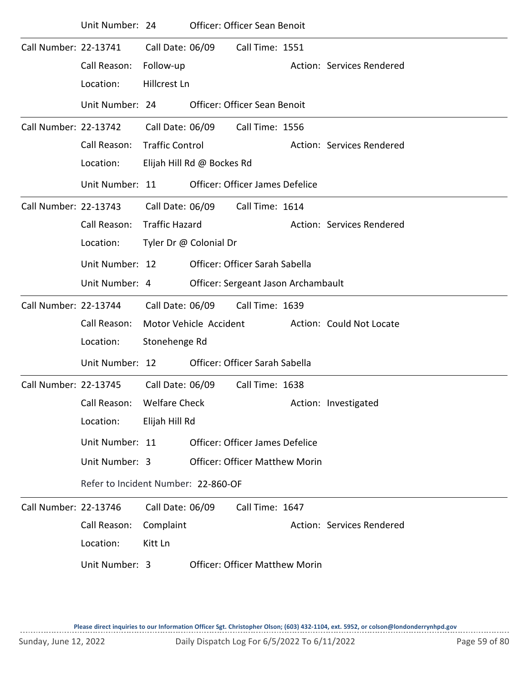|                       | Unit Number: 24                     |                        |                            | <b>Officer: Officer Sean Benoit</b>   |  |                           |  |  |  |
|-----------------------|-------------------------------------|------------------------|----------------------------|---------------------------------------|--|---------------------------|--|--|--|
| Call Number: 22-13741 |                                     | Call Date: 06/09       |                            | Call Time: 1551                       |  |                           |  |  |  |
|                       | Call Reason:                        | Follow-up              |                            |                                       |  | Action: Services Rendered |  |  |  |
|                       | Location:                           | Hillcrest Ln           |                            |                                       |  |                           |  |  |  |
|                       | Unit Number: 24                     |                        |                            | <b>Officer: Officer Sean Benoit</b>   |  |                           |  |  |  |
| Call Number: 22-13742 |                                     | Call Date: 06/09       |                            | Call Time: 1556                       |  |                           |  |  |  |
|                       | Call Reason:                        | <b>Traffic Control</b> |                            |                                       |  | Action: Services Rendered |  |  |  |
|                       | Location:                           |                        | Elijah Hill Rd @ Bockes Rd |                                       |  |                           |  |  |  |
|                       | Unit Number: 11                     |                        |                            | Officer: Officer James Defelice       |  |                           |  |  |  |
| Call Number: 22-13743 |                                     |                        | Call Date: 06/09           | Call Time: 1614                       |  |                           |  |  |  |
|                       | Call Reason:                        | <b>Traffic Hazard</b>  |                            |                                       |  | Action: Services Rendered |  |  |  |
|                       | Location:                           | Tyler Dr @ Colonial Dr |                            |                                       |  |                           |  |  |  |
|                       | Unit Number: 12                     |                        |                            | Officer: Officer Sarah Sabella        |  |                           |  |  |  |
|                       | Unit Number: 4                      |                        |                            | Officer: Sergeant Jason Archambault   |  |                           |  |  |  |
| Call Number: 22-13744 |                                     | Call Date: 06/09       |                            | Call Time: 1639                       |  |                           |  |  |  |
|                       | Call Reason:                        | Motor Vehicle Accident |                            |                                       |  | Action: Could Not Locate  |  |  |  |
|                       | Location:                           | Stonehenge Rd          |                            |                                       |  |                           |  |  |  |
|                       | Unit Number: 12                     |                        |                            | Officer: Officer Sarah Sabella        |  |                           |  |  |  |
| Call Number: 22-13745 |                                     | Call Date: 06/09       |                            | Call Time: 1638                       |  |                           |  |  |  |
|                       | Call Reason: Welfare Check          |                        |                            |                                       |  | Action: Investigated      |  |  |  |
|                       | Location:                           | Elijah Hill Rd         |                            |                                       |  |                           |  |  |  |
|                       | Unit Number: 11                     |                        |                            | Officer: Officer James Defelice       |  |                           |  |  |  |
|                       | Unit Number: 3                      |                        |                            | <b>Officer: Officer Matthew Morin</b> |  |                           |  |  |  |
|                       | Refer to Incident Number: 22-860-OF |                        |                            |                                       |  |                           |  |  |  |
| Call Number: 22-13746 |                                     | Call Date: 06/09       |                            | Call Time: 1647                       |  |                           |  |  |  |
|                       | Call Reason:                        | Complaint              |                            |                                       |  | Action: Services Rendered |  |  |  |
|                       | Location:                           | Kitt Ln                |                            |                                       |  |                           |  |  |  |
|                       | Unit Number: 3                      |                        |                            | <b>Officer: Officer Matthew Morin</b> |  |                           |  |  |  |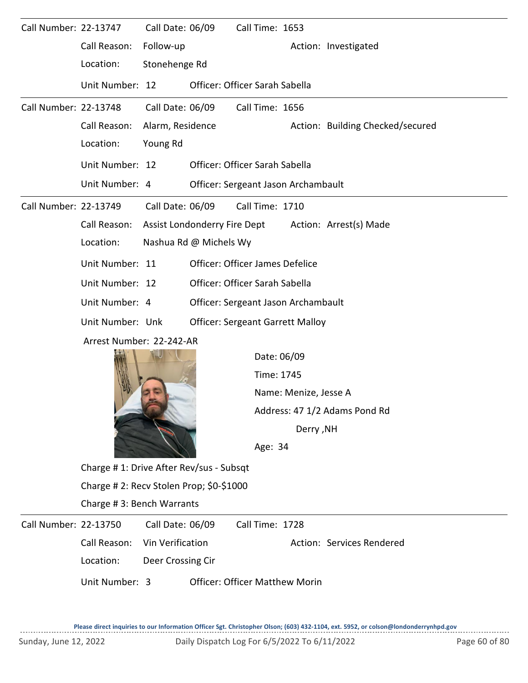| Call Number: 22-13747 |                                          | Call Date: 06/09       |                              | Call Time: 1653                         |                           |                                  |  |  |  |  |
|-----------------------|------------------------------------------|------------------------|------------------------------|-----------------------------------------|---------------------------|----------------------------------|--|--|--|--|
|                       | Call Reason:                             | Follow-up              |                              |                                         |                           | Action: Investigated             |  |  |  |  |
|                       | Location:                                | Stonehenge Rd          |                              |                                         |                           |                                  |  |  |  |  |
|                       | Unit Number: 12                          |                        |                              | Officer: Officer Sarah Sabella          |                           |                                  |  |  |  |  |
| Call Number: 22-13748 |                                          | Call Date: 06/09       |                              | Call Time: 1656                         |                           |                                  |  |  |  |  |
|                       | Call Reason:                             | Alarm, Residence       |                              |                                         |                           | Action: Building Checked/secured |  |  |  |  |
|                       | Location:                                | Young Rd               |                              |                                         |                           |                                  |  |  |  |  |
|                       | Unit Number: 12                          |                        |                              | Officer: Officer Sarah Sabella          |                           |                                  |  |  |  |  |
|                       | Unit Number: 4                           |                        |                              | Officer: Sergeant Jason Archambault     |                           |                                  |  |  |  |  |
| Call Number: 22-13749 |                                          | Call Date: 06/09       |                              | Call Time: 1710                         |                           |                                  |  |  |  |  |
|                       | Call Reason:                             |                        | Assist Londonderry Fire Dept |                                         |                           | Action: Arrest(s) Made           |  |  |  |  |
|                       | Location:                                | Nashua Rd @ Michels Wy |                              |                                         |                           |                                  |  |  |  |  |
|                       | Unit Number: 11                          |                        |                              | Officer: Officer James Defelice         |                           |                                  |  |  |  |  |
|                       | Unit Number: 12                          |                        |                              | Officer: Officer Sarah Sabella          |                           |                                  |  |  |  |  |
|                       | Unit Number: 4                           |                        |                              | Officer: Sergeant Jason Archambault     |                           |                                  |  |  |  |  |
|                       | Unit Number: Unk                         |                        |                              | <b>Officer: Sergeant Garrett Malloy</b> |                           |                                  |  |  |  |  |
|                       | Arrest Number: 22-242-AR                 |                        |                              |                                         |                           |                                  |  |  |  |  |
|                       |                                          |                        |                              |                                         | Date: 06/09               |                                  |  |  |  |  |
|                       |                                          |                        |                              | Time: 1745                              |                           |                                  |  |  |  |  |
|                       |                                          |                        |                              |                                         | Name: Menize, Jesse A     |                                  |  |  |  |  |
|                       |                                          |                        |                              |                                         |                           | Address: 47 1/2 Adams Pond Rd    |  |  |  |  |
|                       |                                          |                        |                              |                                         | <b>Derry, NH</b>          |                                  |  |  |  |  |
|                       |                                          |                        |                              | Age: 34                                 |                           |                                  |  |  |  |  |
|                       | Charge #1: Drive After Rev/sus - Subsqt  |                        |                              |                                         |                           |                                  |  |  |  |  |
|                       | Charge # 2: Recv Stolen Prop; \$0-\$1000 |                        |                              |                                         |                           |                                  |  |  |  |  |
|                       | Charge #3: Bench Warrants                |                        |                              |                                         |                           |                                  |  |  |  |  |
| Call Number: 22-13750 |                                          | Call Date: 06/09       |                              | Call Time: 1728                         |                           |                                  |  |  |  |  |
|                       | Call Reason:<br>Location:                | Vin Verification       |                              |                                         | Action: Services Rendered |                                  |  |  |  |  |
|                       |                                          | Deer Crossing Cir      |                              |                                         |                           |                                  |  |  |  |  |
|                       | Unit Number: 3                           |                        |                              | <b>Officer: Officer Matthew Morin</b>   |                           |                                  |  |  |  |  |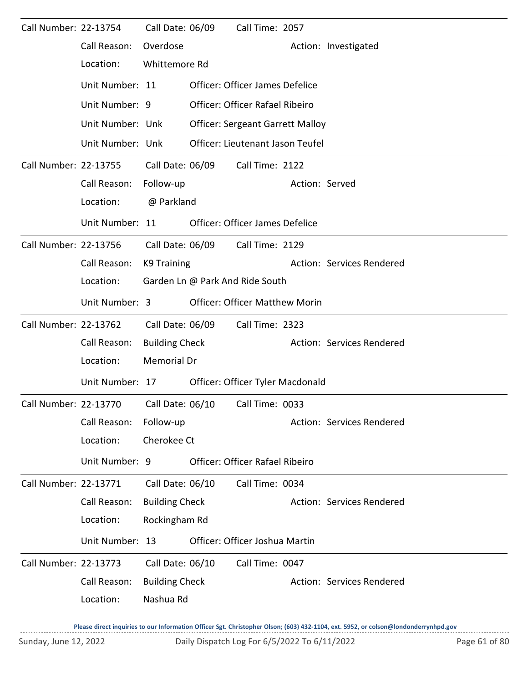| Call Number: 22-13754 |                                                              | Call Date: 06/09                |                  | Call Time: 2057                         |                |                           |  |  |  |
|-----------------------|--------------------------------------------------------------|---------------------------------|------------------|-----------------------------------------|----------------|---------------------------|--|--|--|
|                       | Call Reason:                                                 | Overdose                        |                  |                                         |                | Action: Investigated      |  |  |  |
|                       | Location:                                                    | Whittemore Rd                   |                  |                                         |                |                           |  |  |  |
|                       | Unit Number: 11                                              |                                 |                  | Officer: Officer James Defelice         |                |                           |  |  |  |
|                       | Unit Number: 9                                               |                                 |                  | <b>Officer: Officer Rafael Ribeiro</b>  |                |                           |  |  |  |
|                       | Unit Number: Unk                                             |                                 |                  | <b>Officer: Sergeant Garrett Malloy</b> |                |                           |  |  |  |
|                       | Unit Number: Unk                                             |                                 |                  | Officer: Lieutenant Jason Teufel        |                |                           |  |  |  |
| Call Number: 22-13755 |                                                              |                                 | Call Date: 06/09 | Call Time: 2122                         |                |                           |  |  |  |
|                       | Call Reason:                                                 | Follow-up                       |                  |                                         | Action: Served |                           |  |  |  |
|                       | Location:                                                    | @ Parkland                      |                  |                                         |                |                           |  |  |  |
|                       | Unit Number: 11                                              |                                 |                  | <b>Officer: Officer James Defelice</b>  |                |                           |  |  |  |
| Call Number: 22-13756 |                                                              | Call Date: 06/09                |                  | Call Time: 2129                         |                |                           |  |  |  |
|                       | Call Reason:                                                 | K9 Training                     |                  |                                         |                | Action: Services Rendered |  |  |  |
|                       | Location:                                                    | Garden Ln @ Park And Ride South |                  |                                         |                |                           |  |  |  |
|                       | Unit Number: 3                                               |                                 |                  | <b>Officer: Officer Matthew Morin</b>   |                |                           |  |  |  |
| Call Number: 22-13762 |                                                              | Call Date: 06/09                |                  | Call Time: 2323                         |                |                           |  |  |  |
|                       | Call Reason:                                                 | <b>Building Check</b>           |                  |                                         |                | Action: Services Rendered |  |  |  |
|                       | Location:                                                    | <b>Memorial Dr</b>              |                  |                                         |                |                           |  |  |  |
|                       | Unit Number: 17                                              |                                 |                  | Officer: Officer Tyler Macdonald        |                |                           |  |  |  |
|                       | Call Number: 22-13770    Call Date: 06/10    Call Time: 0033 |                                 |                  |                                         |                |                           |  |  |  |
|                       | Call Reason:                                                 | Follow-up                       |                  |                                         |                | Action: Services Rendered |  |  |  |
|                       | Location:                                                    | Cherokee Ct                     |                  |                                         |                |                           |  |  |  |
|                       | Unit Number: 9                                               |                                 |                  | Officer: Officer Rafael Ribeiro         |                |                           |  |  |  |
| Call Number: 22-13771 |                                                              | Call Date: 06/10                |                  | Call Time: 0034                         |                |                           |  |  |  |
|                       | Call Reason:                                                 | <b>Building Check</b>           |                  |                                         |                | Action: Services Rendered |  |  |  |
|                       | Location:                                                    | Rockingham Rd                   |                  |                                         |                |                           |  |  |  |
|                       | Unit Number: 13                                              |                                 |                  | Officer: Officer Joshua Martin          |                |                           |  |  |  |
| Call Number: 22-13773 |                                                              | Call Date: 06/10                |                  | Call Time: 0047                         |                |                           |  |  |  |
|                       | Call Reason:                                                 | <b>Building Check</b>           |                  |                                         |                | Action: Services Rendered |  |  |  |
|                       | Location:                                                    | Nashua Rd                       |                  |                                         |                |                           |  |  |  |
|                       |                                                              |                                 |                  |                                         |                |                           |  |  |  |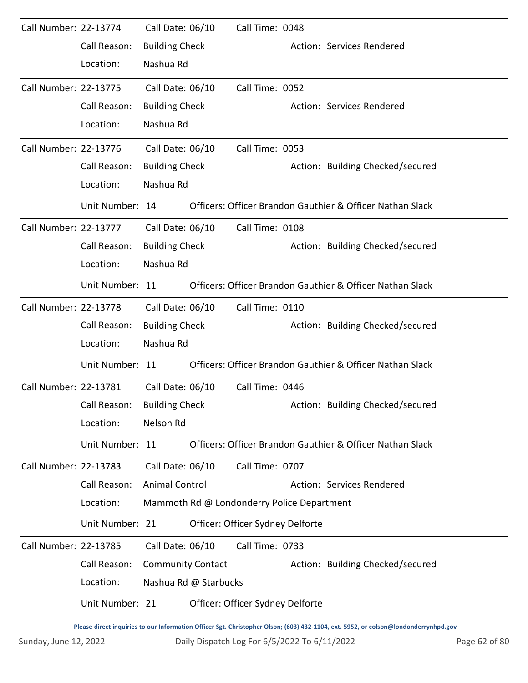| Call Number: 22-13774 |                             | Call Date: 06/10         |                       | Call Time: 0048                            |                                                           |
|-----------------------|-----------------------------|--------------------------|-----------------------|--------------------------------------------|-----------------------------------------------------------|
|                       | Call Reason:                | <b>Building Check</b>    |                       |                                            | Action: Services Rendered                                 |
|                       | Location:                   | Nashua Rd                |                       |                                            |                                                           |
| Call Number: 22-13775 |                             | Call Date: 06/10         |                       | Call Time: 0052                            |                                                           |
|                       | Call Reason:                | <b>Building Check</b>    |                       |                                            | Action: Services Rendered                                 |
|                       | Location:                   | Nashua Rd                |                       |                                            |                                                           |
| Call Number: 22-13776 |                             | Call Date: 06/10         |                       | Call Time: 0053                            |                                                           |
|                       | Call Reason:                | <b>Building Check</b>    |                       |                                            | Action: Building Checked/secured                          |
|                       | Location:                   | Nashua Rd                |                       |                                            |                                                           |
|                       | Unit Number: 14             |                          |                       |                                            | Officers: Officer Brandon Gauthier & Officer Nathan Slack |
| Call Number: 22-13777 |                             | Call Date: 06/10         |                       | Call Time: 0108                            |                                                           |
|                       | Call Reason:                | <b>Building Check</b>    |                       |                                            | Action: Building Checked/secured                          |
|                       | Location:                   | Nashua Rd                |                       |                                            |                                                           |
|                       | Unit Number: 11             |                          |                       |                                            | Officers: Officer Brandon Gauthier & Officer Nathan Slack |
| Call Number: 22-13778 |                             | Call Date: 06/10         |                       | Call Time: 0110                            |                                                           |
|                       | Call Reason:                | <b>Building Check</b>    |                       |                                            | Action: Building Checked/secured                          |
|                       | Location:                   | Nashua Rd                |                       |                                            |                                                           |
|                       | Unit Number: 11             |                          |                       |                                            | Officers: Officer Brandon Gauthier & Officer Nathan Slack |
| Call Number: 22-13781 |                             | Call Date: 06/10         |                       | Call Time: 0446                            |                                                           |
|                       | Call Reason: Building Check |                          |                       |                                            | Action: Building Checked/secured                          |
|                       | Location:                   | Nelson Rd                |                       |                                            |                                                           |
|                       | Unit Number: 11             |                          |                       |                                            | Officers: Officer Brandon Gauthier & Officer Nathan Slack |
| Call Number: 22-13783 |                             | Call Date: 06/10         |                       | Call Time: 0707                            |                                                           |
|                       | Call Reason:                | <b>Animal Control</b>    |                       |                                            | Action: Services Rendered                                 |
|                       | Location:                   |                          |                       | Mammoth Rd @ Londonderry Police Department |                                                           |
|                       | Unit Number: 21             |                          |                       | Officer: Officer Sydney Delforte           |                                                           |
| Call Number: 22-13785 |                             | Call Date: 06/10         |                       | Call Time: 0733                            |                                                           |
|                       | Call Reason:                | <b>Community Contact</b> |                       |                                            | Action: Building Checked/secured                          |
|                       | Location:                   |                          | Nashua Rd @ Starbucks |                                            |                                                           |
|                       | Unit Number: 21             |                          |                       | Officer: Officer Sydney Delforte           |                                                           |
|                       |                             |                          |                       |                                            |                                                           |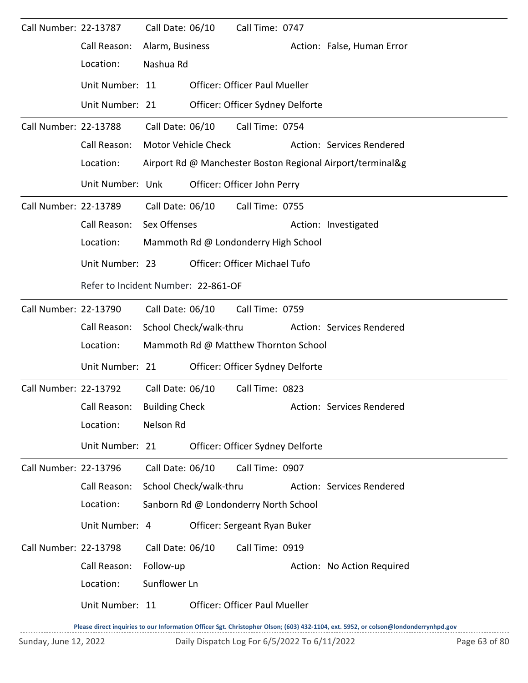| Call Number: 22-13787 |                  | Call Date: 06/10                    |                        | Call Time: 0747                       |  |                                                            |  |  |  |
|-----------------------|------------------|-------------------------------------|------------------------|---------------------------------------|--|------------------------------------------------------------|--|--|--|
|                       | Call Reason:     | Alarm, Business                     |                        |                                       |  | Action: False, Human Error                                 |  |  |  |
|                       | Location:        | Nashua Rd                           |                        |                                       |  |                                                            |  |  |  |
|                       | Unit Number: 11  |                                     |                        | <b>Officer: Officer Paul Mueller</b>  |  |                                                            |  |  |  |
|                       | Unit Number: 21  |                                     |                        | Officer: Officer Sydney Delforte      |  |                                                            |  |  |  |
| Call Number: 22-13788 |                  | Call Date: 06/10                    |                        | Call Time: 0754                       |  |                                                            |  |  |  |
|                       | Call Reason:     |                                     | Motor Vehicle Check    |                                       |  | Action: Services Rendered                                  |  |  |  |
|                       | Location:        |                                     |                        |                                       |  | Airport Rd @ Manchester Boston Regional Airport/terminal&g |  |  |  |
|                       | Unit Number: Unk |                                     |                        | Officer: Officer John Perry           |  |                                                            |  |  |  |
| Call Number: 22-13789 |                  | Call Date: 06/10                    |                        | Call Time: 0755                       |  |                                                            |  |  |  |
|                       | Call Reason:     | Sex Offenses                        |                        |                                       |  | Action: Investigated                                       |  |  |  |
|                       | Location:        |                                     |                        | Mammoth Rd @ Londonderry High School  |  |                                                            |  |  |  |
|                       | Unit Number: 23  |                                     |                        | Officer: Officer Michael Tufo         |  |                                                            |  |  |  |
|                       |                  | Refer to Incident Number: 22-861-OF |                        |                                       |  |                                                            |  |  |  |
| Call Number: 22-13790 |                  | Call Date: 06/10                    |                        | Call Time: 0759                       |  |                                                            |  |  |  |
|                       | Call Reason:     |                                     | School Check/walk-thru |                                       |  | Action: Services Rendered                                  |  |  |  |
|                       | Location:        |                                     |                        | Mammoth Rd @ Matthew Thornton School  |  |                                                            |  |  |  |
|                       | Unit Number: 21  |                                     |                        | Officer: Officer Sydney Delforte      |  |                                                            |  |  |  |
| Call Number: 22-13792 |                  | Call Date: 06/10                    |                        | Call Time: 0823                       |  |                                                            |  |  |  |
|                       | Call Reason:     | <b>Building Check</b>               |                        |                                       |  | Action: Services Rendered                                  |  |  |  |
|                       | Location:        | Nelson Rd                           |                        |                                       |  |                                                            |  |  |  |
|                       | Unit Number: 21  |                                     |                        | Officer: Officer Sydney Delforte      |  |                                                            |  |  |  |
| Call Number: 22-13796 |                  | Call Date: 06/10                    |                        | Call Time: 0907                       |  |                                                            |  |  |  |
|                       | Call Reason:     |                                     | School Check/walk-thru |                                       |  | Action: Services Rendered                                  |  |  |  |
|                       | Location:        |                                     |                        | Sanborn Rd @ Londonderry North School |  |                                                            |  |  |  |
|                       | Unit Number: 4   |                                     |                        | Officer: Sergeant Ryan Buker          |  |                                                            |  |  |  |
| Call Number: 22-13798 |                  | Call Date: 06/10                    |                        | Call Time: 0919                       |  |                                                            |  |  |  |
|                       | Call Reason:     | Follow-up                           |                        |                                       |  | Action: No Action Required                                 |  |  |  |
|                       | Location:        | Sunflower Ln                        |                        |                                       |  |                                                            |  |  |  |
|                       | Unit Number: 11  |                                     |                        | <b>Officer: Officer Paul Mueller</b>  |  |                                                            |  |  |  |
|                       |                  |                                     |                        |                                       |  |                                                            |  |  |  |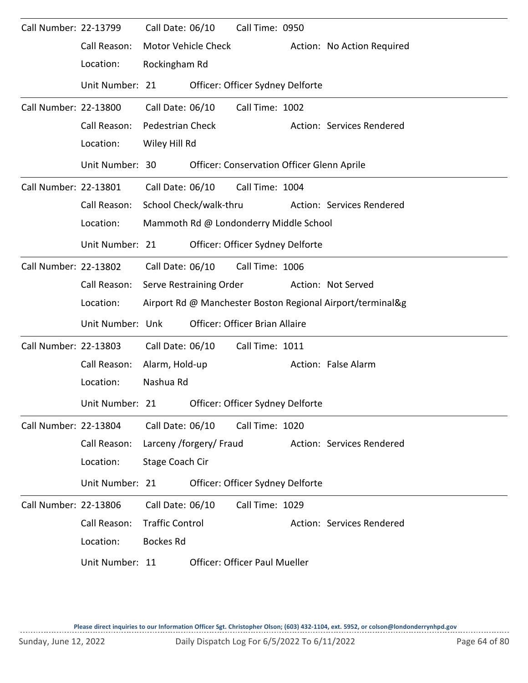| Call Number: 22-13799 |                  | Call Date: 06/10       |                         | Call Time: 0950                                   |                                                            |
|-----------------------|------------------|------------------------|-------------------------|---------------------------------------------------|------------------------------------------------------------|
|                       | Call Reason:     |                        | Motor Vehicle Check     |                                                   | Action: No Action Required                                 |
|                       | Location:        | Rockingham Rd          |                         |                                                   |                                                            |
|                       | Unit Number: 21  |                        |                         | Officer: Officer Sydney Delforte                  |                                                            |
| Call Number: 22-13800 |                  | Call Date: 06/10       |                         | Call Time: 1002                                   |                                                            |
|                       | Call Reason:     | Pedestrian Check       |                         |                                                   | Action: Services Rendered                                  |
|                       | Location:        | Wiley Hill Rd          |                         |                                                   |                                                            |
|                       | Unit Number: 30  |                        |                         | <b>Officer: Conservation Officer Glenn Aprile</b> |                                                            |
| Call Number: 22-13801 |                  |                        | Call Date: 06/10        | Call Time: 1004                                   |                                                            |
|                       | Call Reason:     |                        | School Check/walk-thru  |                                                   | Action: Services Rendered                                  |
|                       | Location:        |                        |                         | Mammoth Rd @ Londonderry Middle School            |                                                            |
|                       | Unit Number: 21  |                        |                         | Officer: Officer Sydney Delforte                  |                                                            |
| Call Number: 22-13802 |                  | Call Date: 06/10       |                         | Call Time: 1006                                   |                                                            |
|                       | Call Reason:     |                        | Serve Restraining Order |                                                   | Action: Not Served                                         |
|                       | Location:        |                        |                         |                                                   | Airport Rd @ Manchester Boston Regional Airport/terminal&g |
|                       | Unit Number: Unk |                        |                         | Officer: Officer Brian Allaire                    |                                                            |
| Call Number: 22-13803 |                  | Call Date: 06/10       |                         | Call Time: 1011                                   |                                                            |
|                       | Call Reason:     | Alarm, Hold-up         |                         |                                                   | Action: False Alarm                                        |
|                       | Location:        | Nashua Rd              |                         |                                                   |                                                            |
|                       | Unit Number: 21  |                        |                         | Officer: Officer Sydney Delforte                  |                                                            |
| Call Number: 22-13804 |                  | Call Date: 06/10       |                         | Call Time: 1020                                   |                                                            |
|                       | Call Reason:     |                        | Larceny /forgery/ Fraud |                                                   | Action: Services Rendered                                  |
|                       | Location:        | Stage Coach Cir        |                         |                                                   |                                                            |
|                       | Unit Number: 21  |                        |                         | Officer: Officer Sydney Delforte                  |                                                            |
| Call Number: 22-13806 |                  | Call Date: 06/10       |                         | Call Time: 1029                                   |                                                            |
|                       | Call Reason:     | <b>Traffic Control</b> |                         |                                                   | Action: Services Rendered                                  |
|                       | Location:        | <b>Bockes Rd</b>       |                         |                                                   |                                                            |
|                       | Unit Number: 11  |                        |                         | <b>Officer: Officer Paul Mueller</b>              |                                                            |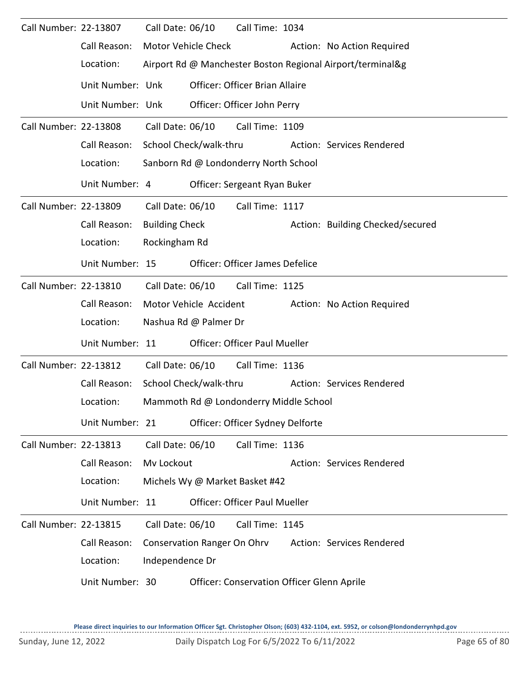| Call Number: 22-13807 |                  | Call Date: 06/10       |                                    | Call Time: 1034                            |                                                            |
|-----------------------|------------------|------------------------|------------------------------------|--------------------------------------------|------------------------------------------------------------|
|                       | Call Reason:     | Motor Vehicle Check    |                                    |                                            | Action: No Action Required                                 |
|                       | Location:        |                        |                                    |                                            | Airport Rd @ Manchester Boston Regional Airport/terminal&g |
|                       | Unit Number: Unk |                        |                                    | Officer: Officer Brian Allaire             |                                                            |
|                       | Unit Number: Unk |                        |                                    | Officer: Officer John Perry                |                                                            |
| Call Number: 22-13808 |                  | Call Date: 06/10       |                                    | Call Time: 1109                            |                                                            |
|                       | Call Reason:     | School Check/walk-thru |                                    |                                            | Action: Services Rendered                                  |
|                       | Location:        |                        |                                    | Sanborn Rd @ Londonderry North School      |                                                            |
|                       | Unit Number: 4   |                        |                                    | Officer: Sergeant Ryan Buker               |                                                            |
| Call Number: 22-13809 |                  | Call Date: 06/10       |                                    | Call Time: 1117                            |                                                            |
|                       | Call Reason:     | <b>Building Check</b>  |                                    |                                            | Action: Building Checked/secured                           |
|                       | Location:        | Rockingham Rd          |                                    |                                            |                                                            |
|                       | Unit Number: 15  |                        |                                    | <b>Officer: Officer James Defelice</b>     |                                                            |
| Call Number: 22-13810 |                  | Call Date: 06/10       |                                    | Call Time: 1125                            |                                                            |
|                       | Call Reason:     | Motor Vehicle Accident |                                    |                                            | Action: No Action Required                                 |
|                       | Location:        | Nashua Rd @ Palmer Dr  |                                    |                                            |                                                            |
|                       | Unit Number: 11  |                        |                                    | Officer: Officer Paul Mueller              |                                                            |
| Call Number: 22-13812 |                  | Call Date: 06/10       |                                    | Call Time: 1136                            |                                                            |
|                       | Call Reason:     | School Check/walk-thru |                                    |                                            | Action: Services Rendered                                  |
|                       | Location:        |                        |                                    | Mammoth Rd @ Londonderry Middle School     |                                                            |
|                       | Unit Number: 21  |                        |                                    | Officer: Officer Sydney Delforte           |                                                            |
| Call Number: 22-13813 |                  | Call Date: 06/10       |                                    | Call Time: 1136                            |                                                            |
|                       | Call Reason:     | Mv Lockout             |                                    |                                            | Action: Services Rendered                                  |
|                       | Location:        |                        |                                    | Michels Wy @ Market Basket #42             |                                                            |
|                       | Unit Number: 11  |                        |                                    | Officer: Officer Paul Mueller              |                                                            |
| Call Number: 22-13815 |                  | Call Date: 06/10       |                                    | Call Time: 1145                            |                                                            |
|                       | Call Reason:     |                        | <b>Conservation Ranger On Ohrv</b> |                                            | Action: Services Rendered                                  |
|                       | Location:        | Independence Dr        |                                    |                                            |                                                            |
|                       | Unit Number: 30  |                        |                                    | Officer: Conservation Officer Glenn Aprile |                                                            |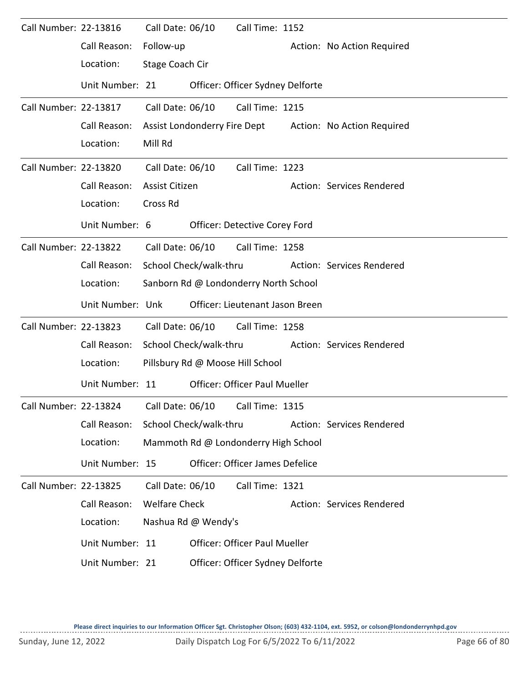| Call Number: 22-13816 |                                                              | Call Date: 06/10     |                        | Call Time: 1152                       |                                                         |
|-----------------------|--------------------------------------------------------------|----------------------|------------------------|---------------------------------------|---------------------------------------------------------|
|                       | Call Reason:                                                 | Follow-up            |                        |                                       | Action: No Action Required                              |
|                       | Location:                                                    | Stage Coach Cir      |                        |                                       |                                                         |
|                       | Unit Number: 21                                              |                      |                        | Officer: Officer Sydney Delforte      |                                                         |
| Call Number: 22-13817 |                                                              | Call Date: 06/10     |                        | Call Time: 1215                       |                                                         |
|                       | Call Reason:                                                 |                      |                        |                                       | Assist Londonderry Fire Dept Action: No Action Required |
|                       | Location:                                                    | Mill Rd              |                        |                                       |                                                         |
| Call Number: 22-13820 |                                                              | Call Date: 06/10     |                        | Call Time: 1223                       |                                                         |
|                       | Call Reason:                                                 | Assist Citizen       |                        |                                       | Action: Services Rendered                               |
|                       | Location:                                                    | Cross Rd             |                        |                                       |                                                         |
|                       | Unit Number: 6                                               |                      |                        | Officer: Detective Corey Ford         |                                                         |
| Call Number: 22-13822 |                                                              |                      |                        | Call Date: 06/10    Call Time: 1258   |                                                         |
|                       | Call Reason:                                                 |                      | School Check/walk-thru |                                       | <b>Action: Services Rendered</b>                        |
|                       | Location:                                                    |                      |                        | Sanborn Rd @ Londonderry North School |                                                         |
|                       | Unit Number: Unk                                             |                      |                        | Officer: Lieutenant Jason Breen       |                                                         |
| Call Number: 22-13823 |                                                              | Call Date: 06/10     |                        | Call Time: 1258                       |                                                         |
|                       | Call Reason:                                                 |                      | School Check/walk-thru |                                       | <b>Action: Services Rendered</b>                        |
|                       | Location:                                                    |                      |                        | Pillsbury Rd @ Moose Hill School      |                                                         |
|                       | Unit Number: 11                                              |                      |                        | <b>Officer: Officer Paul Mueller</b>  |                                                         |
|                       | Call Number: 22-13824    Call Date: 06/10    Call Time: 1315 |                      |                        |                                       |                                                         |
|                       | Call Reason:                                                 |                      | School Check/walk-thru |                                       | Action: Services Rendered                               |
|                       | Location:                                                    |                      |                        | Mammoth Rd @ Londonderry High School  |                                                         |
|                       | Unit Number: 15                                              |                      |                        | Officer: Officer James Defelice       |                                                         |
| Call Number: 22-13825 |                                                              | Call Date: 06/10     |                        | Call Time: 1321                       |                                                         |
|                       | Call Reason:                                                 | <b>Welfare Check</b> |                        |                                       | Action: Services Rendered                               |
|                       | Location:                                                    |                      | Nashua Rd @ Wendy's    |                                       |                                                         |
|                       | Unit Number: 11                                              |                      |                        | <b>Officer: Officer Paul Mueller</b>  |                                                         |
|                       | Unit Number: 21                                              |                      |                        | Officer: Officer Sydney Delforte      |                                                         |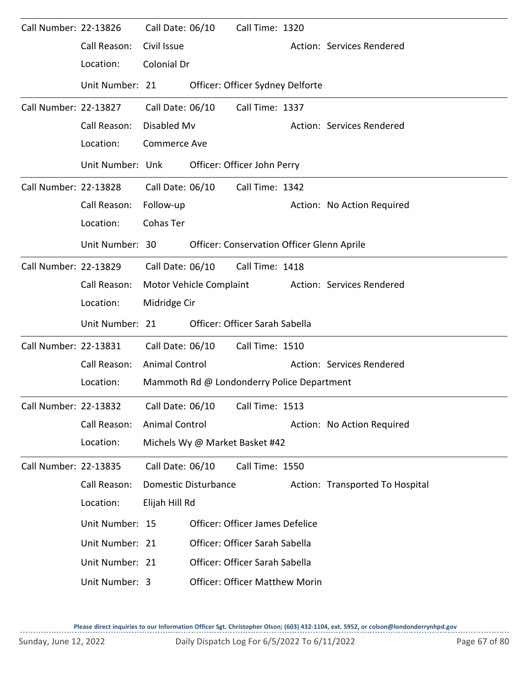| Call Number: 22-13826 |                  | Call Date: 06/10        | Call Time: 1320                            |                                 |
|-----------------------|------------------|-------------------------|--------------------------------------------|---------------------------------|
|                       | Call Reason:     | Civil Issue             |                                            | Action: Services Rendered       |
|                       | Location:        | Colonial Dr             |                                            |                                 |
|                       | Unit Number: 21  |                         | Officer: Officer Sydney Delforte           |                                 |
| Call Number: 22-13827 |                  | Call Date: 06/10        | Call Time: 1337                            |                                 |
|                       | Call Reason:     | Disabled Mv             |                                            | Action: Services Rendered       |
|                       | Location:        | <b>Commerce Ave</b>     |                                            |                                 |
|                       | Unit Number: Unk |                         | Officer: Officer John Perry                |                                 |
| Call Number: 22-13828 |                  | Call Date: 06/10        | Call Time: 1342                            |                                 |
|                       | Call Reason:     | Follow-up               |                                            | Action: No Action Required      |
|                       | Location:        | Cohas Ter               |                                            |                                 |
|                       | Unit Number: 30  |                         | Officer: Conservation Officer Glenn Aprile |                                 |
| Call Number: 22-13829 |                  | Call Date: 06/10        | Call Time: 1418                            |                                 |
|                       | Call Reason:     | Motor Vehicle Complaint |                                            | Action: Services Rendered       |
|                       | Location:        | Midridge Cir            |                                            |                                 |
|                       | Unit Number: 21  |                         | Officer: Officer Sarah Sabella             |                                 |
| Call Number: 22-13831 |                  | Call Date: 06/10        | Call Time: 1510                            |                                 |
|                       | Call Reason:     | <b>Animal Control</b>   |                                            | Action: Services Rendered       |
|                       | Location:        |                         | Mammoth Rd @ Londonderry Police Department |                                 |
| Call Number: 22-13832 |                  |                         | Call Date: 06/10 Call Time: 1513           |                                 |
|                       | Call Reason:     | <b>Animal Control</b>   |                                            | Action: No Action Required      |
|                       | Location:        |                         | Michels Wy @ Market Basket #42             |                                 |
| Call Number: 22-13835 |                  | Call Date: 06/10        | Call Time: 1550                            |                                 |
|                       | Call Reason:     | Domestic Disturbance    |                                            | Action: Transported To Hospital |
|                       | Location:        | Elijah Hill Rd          |                                            |                                 |
|                       | Unit Number: 15  |                         | Officer: Officer James Defelice            |                                 |
|                       | Unit Number: 21  |                         | Officer: Officer Sarah Sabella             |                                 |
|                       | Unit Number: 21  |                         | Officer: Officer Sarah Sabella             |                                 |
|                       | Unit Number: 3   |                         | <b>Officer: Officer Matthew Morin</b>      |                                 |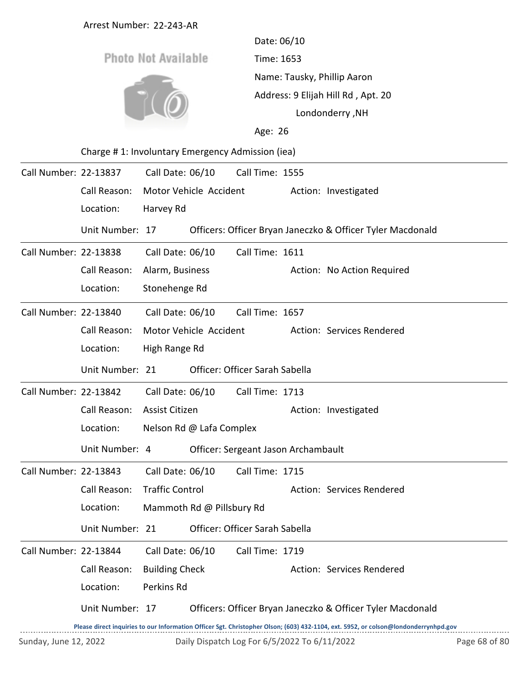|                       | Arrest Number: 22-243-AR                         |                            |                           |                                              |                                                                   |                                                                                                                                     |               |  |  |  |
|-----------------------|--------------------------------------------------|----------------------------|---------------------------|----------------------------------------------|-------------------------------------------------------------------|-------------------------------------------------------------------------------------------------------------------------------------|---------------|--|--|--|
|                       |                                                  |                            |                           | Date: 06/10                                  |                                                                   |                                                                                                                                     |               |  |  |  |
|                       |                                                  | <b>Photo Not Available</b> |                           | Time: 1653                                   |                                                                   |                                                                                                                                     |               |  |  |  |
|                       |                                                  |                            |                           |                                              | Name: Tausky, Phillip Aaron<br>Address: 9 Elijah Hill Rd, Apt. 20 |                                                                                                                                     |               |  |  |  |
|                       |                                                  |                            |                           |                                              |                                                                   |                                                                                                                                     |               |  |  |  |
|                       |                                                  |                            |                           |                                              | Londonderry, NH                                                   |                                                                                                                                     |               |  |  |  |
|                       |                                                  |                            |                           |                                              | Age: 26                                                           |                                                                                                                                     |               |  |  |  |
|                       | Charge #1: Involuntary Emergency Admission (iea) |                            |                           |                                              |                                                                   |                                                                                                                                     |               |  |  |  |
| Call Number: 22-13837 |                                                  | Call Date: 06/10           |                           | Call Time: 1555                              |                                                                   |                                                                                                                                     |               |  |  |  |
|                       | Call Reason:                                     | Motor Vehicle Accident     |                           |                                              |                                                                   | Action: Investigated                                                                                                                |               |  |  |  |
|                       | Location:                                        | Harvey Rd                  |                           |                                              |                                                                   |                                                                                                                                     |               |  |  |  |
|                       | Unit Number: 17                                  |                            |                           |                                              |                                                                   | Officers: Officer Bryan Janeczko & Officer Tyler Macdonald                                                                          |               |  |  |  |
| Call Number: 22-13838 |                                                  | Call Date: 06/10           |                           | Call Time: 1611                              |                                                                   |                                                                                                                                     |               |  |  |  |
|                       | Call Reason:                                     | Alarm, Business            |                           |                                              |                                                                   | Action: No Action Required                                                                                                          |               |  |  |  |
|                       | Location:                                        | Stonehenge Rd              |                           |                                              |                                                                   |                                                                                                                                     |               |  |  |  |
| Call Number: 22-13840 |                                                  | Call Date: 06/10           |                           | Call Time: 1657                              |                                                                   |                                                                                                                                     |               |  |  |  |
|                       | Call Reason:                                     |                            | Motor Vehicle Accident    |                                              |                                                                   | Action: Services Rendered                                                                                                           |               |  |  |  |
|                       | Location:                                        | High Range Rd              |                           |                                              |                                                                   |                                                                                                                                     |               |  |  |  |
|                       | Unit Number: 21                                  |                            |                           | Officer: Officer Sarah Sabella               |                                                                   |                                                                                                                                     |               |  |  |  |
| Call Number: 22-13842 |                                                  | Call Date: 06/10           |                           | Call Time: 1713                              |                                                                   |                                                                                                                                     |               |  |  |  |
|                       | Call Reason:                                     | <b>Assist Citizen</b>      |                           |                                              |                                                                   | Action: Investigated                                                                                                                |               |  |  |  |
|                       | Location:                                        |                            | Nelson Rd @ Lafa Complex  |                                              |                                                                   |                                                                                                                                     |               |  |  |  |
|                       | Unit Number: 4                                   |                            |                           | Officer: Sergeant Jason Archambault          |                                                                   |                                                                                                                                     |               |  |  |  |
| Call Number: 22-13843 |                                                  | Call Date: 06/10           |                           | Call Time: 1715                              |                                                                   |                                                                                                                                     |               |  |  |  |
|                       | Call Reason:                                     | <b>Traffic Control</b>     |                           |                                              |                                                                   | Action: Services Rendered                                                                                                           |               |  |  |  |
|                       | Location:                                        |                            | Mammoth Rd @ Pillsbury Rd |                                              |                                                                   |                                                                                                                                     |               |  |  |  |
|                       | Unit Number: 21                                  |                            |                           | Officer: Officer Sarah Sabella               |                                                                   |                                                                                                                                     |               |  |  |  |
| Call Number: 22-13844 |                                                  | Call Date: 06/10           |                           | Call Time: 1719                              |                                                                   |                                                                                                                                     |               |  |  |  |
|                       | Call Reason:                                     | <b>Building Check</b>      |                           |                                              |                                                                   | Action: Services Rendered                                                                                                           |               |  |  |  |
|                       | Location:                                        | Perkins Rd                 |                           |                                              |                                                                   |                                                                                                                                     |               |  |  |  |
|                       | Unit Number: 17                                  |                            |                           |                                              |                                                                   | Officers: Officer Bryan Janeczko & Officer Tyler Macdonald                                                                          |               |  |  |  |
|                       |                                                  |                            |                           |                                              |                                                                   | Please direct inquiries to our Information Officer Sgt. Christopher Olson; (603) 432-1104, ext. 5952, or colson@londonderrynhpd.gov |               |  |  |  |
| Sunday, June 12, 2022 |                                                  |                            |                           | Daily Dispatch Log For 6/5/2022 To 6/11/2022 |                                                                   |                                                                                                                                     | Page 68 of 80 |  |  |  |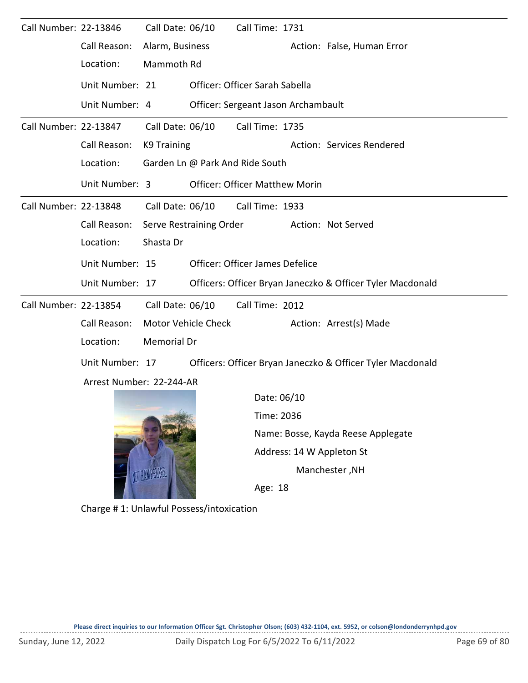| Call Number: 22-13846 |                          | Call Date: 06/10        |                           | Call Time: 1731                       |                                    |                                                            |  |  |  |
|-----------------------|--------------------------|-------------------------|---------------------------|---------------------------------------|------------------------------------|------------------------------------------------------------|--|--|--|
|                       | Call Reason:             | Alarm, Business         |                           |                                       |                                    | Action: False, Human Error                                 |  |  |  |
|                       | Location:                | Mammoth Rd              |                           |                                       |                                    |                                                            |  |  |  |
|                       | Unit Number: 21          |                         |                           | Officer: Officer Sarah Sabella        |                                    |                                                            |  |  |  |
|                       | Unit Number: 4           |                         |                           | Officer: Sergeant Jason Archambault   |                                    |                                                            |  |  |  |
| Call Number: 22-13847 |                          | Call Date: 06/10        |                           | Call Time: 1735                       |                                    |                                                            |  |  |  |
|                       | Call Reason:             | <b>K9 Training</b>      | Action: Services Rendered |                                       |                                    |                                                            |  |  |  |
|                       | Location:                |                         |                           | Garden Ln @ Park And Ride South       |                                    |                                                            |  |  |  |
|                       | Unit Number: 3           |                         |                           | <b>Officer: Officer Matthew Morin</b> |                                    |                                                            |  |  |  |
| Call Number: 22-13848 |                          | Call Date: 06/10        |                           | Call Time: 1933                       |                                    |                                                            |  |  |  |
|                       | Call Reason:             | Serve Restraining Order |                           |                                       |                                    | Action: Not Served                                         |  |  |  |
|                       | Location:                | Shasta Dr               |                           |                                       |                                    |                                                            |  |  |  |
|                       | Unit Number: 15          |                         |                           | Officer: Officer James Defelice       |                                    |                                                            |  |  |  |
|                       | Unit Number: 17          |                         |                           |                                       |                                    | Officers: Officer Bryan Janeczko & Officer Tyler Macdonald |  |  |  |
| Call Number: 22-13854 |                          | Call Date: 06/10        |                           | Call Time: 2012                       |                                    |                                                            |  |  |  |
|                       | Call Reason:             | Motor Vehicle Check     |                           |                                       |                                    | Action: Arrest(s) Made                                     |  |  |  |
|                       | Location:                | <b>Memorial Dr</b>      |                           |                                       |                                    |                                                            |  |  |  |
|                       | Unit Number: 17          |                         |                           |                                       |                                    | Officers: Officer Bryan Janeczko & Officer Tyler Macdonald |  |  |  |
|                       | Arrest Number: 22-244-AR |                         |                           |                                       |                                    |                                                            |  |  |  |
|                       |                          |                         |                           | Date: 06/10                           |                                    |                                                            |  |  |  |
|                       |                          |                         |                           | Time: 2036                            |                                    |                                                            |  |  |  |
|                       |                          |                         |                           |                                       | Name: Bosse, Kayda Reese Applegate |                                                            |  |  |  |
|                       |                          |                         |                           |                                       | Address: 14 W Appleton St          |                                                            |  |  |  |

Manchester ,NH

Age: 18

Charge # 1: Unlawful Possess/intoxication

NET HANDSLIK

--------------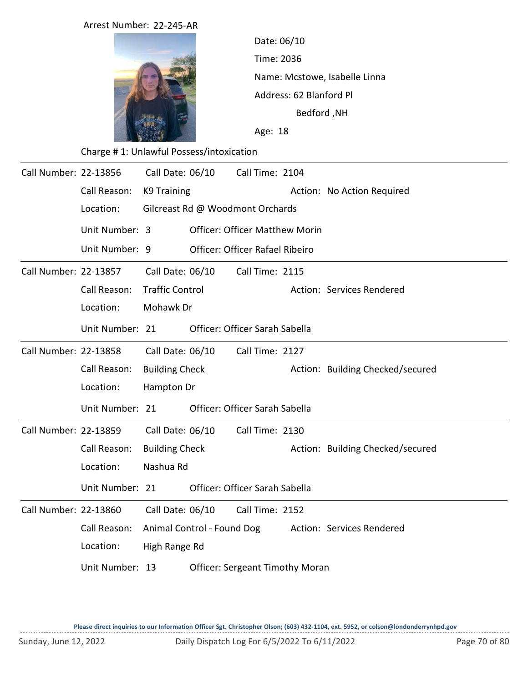|                       | Arrest Number: 22-245-AR                 |                            |           |                                        |                                             |                                  |  |  |  |
|-----------------------|------------------------------------------|----------------------------|-----------|----------------------------------------|---------------------------------------------|----------------------------------|--|--|--|
|                       |                                          |                            |           | Date: 06/10                            |                                             |                                  |  |  |  |
|                       |                                          |                            |           |                                        | Time: 2036<br>Name: Mcstowe, Isabelle Linna |                                  |  |  |  |
|                       |                                          |                            |           |                                        |                                             |                                  |  |  |  |
|                       |                                          |                            |           |                                        | Address: 62 Blanford Pl                     |                                  |  |  |  |
|                       |                                          |                            |           |                                        | <b>Bedford, NH</b>                          |                                  |  |  |  |
|                       |                                          |                            |           | Age: 18                                |                                             |                                  |  |  |  |
|                       | Charge #1: Unlawful Possess/intoxication |                            |           |                                        |                                             |                                  |  |  |  |
| Call Number: 22-13856 |                                          | Call Date: 06/10           |           | Call Time: 2104                        |                                             |                                  |  |  |  |
|                       | Call Reason:                             | K9 Training                |           |                                        |                                             | Action: No Action Required       |  |  |  |
|                       | Location:                                |                            |           | Gilcreast Rd @ Woodmont Orchards       |                                             |                                  |  |  |  |
|                       | Unit Number: 3                           |                            |           | <b>Officer: Officer Matthew Morin</b>  |                                             |                                  |  |  |  |
|                       | Unit Number: 9                           |                            |           | <b>Officer: Officer Rafael Ribeiro</b> |                                             |                                  |  |  |  |
| Call Number: 22-13857 |                                          | Call Date: 06/10           |           | Call Time: 2115                        |                                             |                                  |  |  |  |
|                       | Call Reason:                             | <b>Traffic Control</b>     |           |                                        |                                             | Action: Services Rendered        |  |  |  |
|                       | Location:                                |                            | Mohawk Dr |                                        |                                             |                                  |  |  |  |
|                       | Unit Number: 21                          |                            |           | Officer: Officer Sarah Sabella         |                                             |                                  |  |  |  |
| Call Number: 22-13858 |                                          | Call Date: 06/10           |           | Call Time: 2127                        |                                             |                                  |  |  |  |
|                       | Call Reason:                             | <b>Building Check</b>      |           |                                        |                                             | Action: Building Checked/secured |  |  |  |
|                       | Location:                                | Hampton Dr                 |           |                                        |                                             |                                  |  |  |  |
|                       | Unit Number: 21                          |                            |           | Officer: Officer Sarah Sabella         |                                             |                                  |  |  |  |
| Call Number: 22-13859 |                                          | Call Date: 06/10           |           | Call Time: 2130                        |                                             |                                  |  |  |  |
|                       | Call Reason:                             | <b>Building Check</b>      |           |                                        |                                             | Action: Building Checked/secured |  |  |  |
|                       | Location:                                | Nashua Rd                  |           |                                        |                                             |                                  |  |  |  |
|                       | Unit Number: 21                          |                            |           | Officer: Officer Sarah Sabella         |                                             |                                  |  |  |  |
| Call Number: 22-13860 |                                          | Call Date: 06/10           |           | Call Time: 2152                        |                                             |                                  |  |  |  |
|                       | Call Reason:                             | Animal Control - Found Dog |           |                                        |                                             | Action: Services Rendered        |  |  |  |
|                       | Location:                                | High Range Rd              |           |                                        |                                             |                                  |  |  |  |
|                       | Unit Number: 13                          |                            |           | <b>Officer: Sergeant Timothy Moran</b> |                                             |                                  |  |  |  |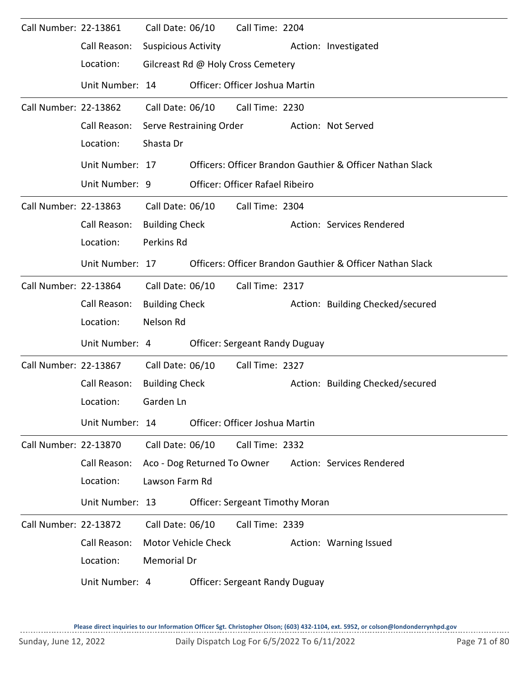| Call Number: 22-13861 |                 | Call Date: 06/10            |                            | Call Time: 2204                        |                                                           |
|-----------------------|-----------------|-----------------------------|----------------------------|----------------------------------------|-----------------------------------------------------------|
|                       | Call Reason:    | <b>Suspicious Activity</b>  |                            |                                        | Action: Investigated                                      |
|                       | Location:       |                             |                            | Gilcreast Rd @ Holy Cross Cemetery     |                                                           |
|                       | Unit Number: 14 |                             |                            | Officer: Officer Joshua Martin         |                                                           |
| Call Number: 22-13862 |                 | Call Date: 06/10            |                            | Call Time: 2230                        |                                                           |
|                       | Call Reason:    | Serve Restraining Order     |                            |                                        | Action: Not Served                                        |
|                       | Location:       | Shasta Dr                   |                            |                                        |                                                           |
|                       | Unit Number: 17 |                             |                            |                                        | Officers: Officer Brandon Gauthier & Officer Nathan Slack |
|                       | Unit Number: 9  |                             |                            | Officer: Officer Rafael Ribeiro        |                                                           |
| Call Number: 22-13863 |                 | Call Date: 06/10            |                            | Call Time: 2304                        |                                                           |
|                       | Call Reason:    | <b>Building Check</b>       |                            |                                        | Action: Services Rendered                                 |
|                       | Location:       | Perkins Rd                  |                            |                                        |                                                           |
|                       | Unit Number: 17 |                             |                            |                                        | Officers: Officer Brandon Gauthier & Officer Nathan Slack |
| Call Number: 22-13864 |                 | Call Date: 06/10            |                            | Call Time: 2317                        |                                                           |
|                       | Call Reason:    | <b>Building Check</b>       |                            |                                        | Action: Building Checked/secured                          |
|                       | Location:       | Nelson Rd                   |                            |                                        |                                                           |
|                       | Unit Number: 4  |                             |                            | <b>Officer: Sergeant Randy Duguay</b>  |                                                           |
| Call Number: 22-13867 |                 | Call Date: 06/10            |                            | Call Time: 2327                        |                                                           |
|                       | Call Reason:    | <b>Building Check</b>       |                            |                                        | Action: Building Checked/secured                          |
|                       | Location:       | Garden Ln                   |                            |                                        |                                                           |
|                       | Unit Number: 14 |                             |                            | Officer: Officer Joshua Martin         |                                                           |
| Call Number: 22-13870 |                 | Call Date: 06/10            |                            | Call Time: 2332                        |                                                           |
|                       | Call Reason:    | Aco - Dog Returned To Owner |                            |                                        | Action: Services Rendered                                 |
|                       | Location:       | Lawson Farm Rd              |                            |                                        |                                                           |
|                       | Unit Number: 13 |                             |                            | <b>Officer: Sergeant Timothy Moran</b> |                                                           |
| Call Number: 22-13872 |                 | Call Date: 06/10            |                            | Call Time: 2339                        |                                                           |
|                       | Call Reason:    |                             | <b>Motor Vehicle Check</b> |                                        | Action: Warning Issued                                    |
|                       | Location:       | <b>Memorial Dr</b>          |                            |                                        |                                                           |
|                       | Unit Number: 4  |                             |                            | <b>Officer: Sergeant Randy Duguay</b>  |                                                           |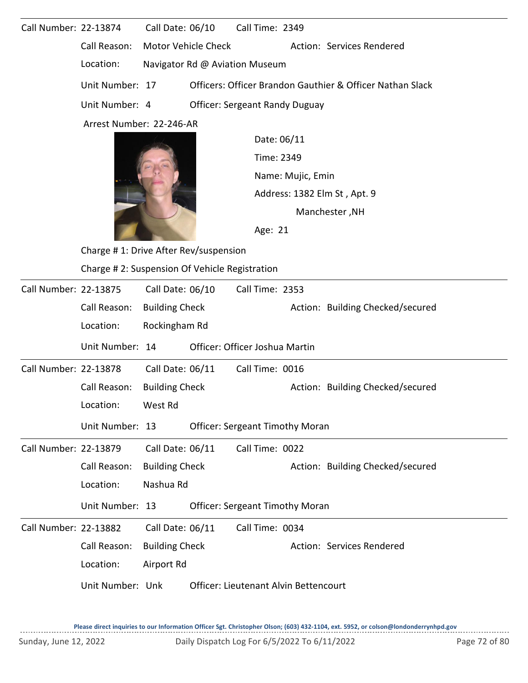| Call Number: 22-13874 |                                               | Call Date: 06/10                      |                | Call Time: 2349                        |                                                           |                                  |  |
|-----------------------|-----------------------------------------------|---------------------------------------|----------------|----------------------------------------|-----------------------------------------------------------|----------------------------------|--|
|                       | Call Reason:                                  | <b>Motor Vehicle Check</b>            |                |                                        |                                                           | Action: Services Rendered        |  |
|                       | Location:<br>Navigator Rd @ Aviation Museum   |                                       |                |                                        |                                                           |                                  |  |
|                       | Unit Number: 17                               |                                       |                |                                        | Officers: Officer Brandon Gauthier & Officer Nathan Slack |                                  |  |
|                       | Unit Number: 4                                | <b>Officer: Sergeant Randy Duguay</b> |                |                                        |                                                           |                                  |  |
|                       | Arrest Number: 22-246-AR                      |                                       |                |                                        |                                                           |                                  |  |
|                       |                                               |                                       |                | Date: 06/11                            |                                                           |                                  |  |
|                       |                                               |                                       |                |                                        | Time: 2349                                                |                                  |  |
|                       |                                               |                                       |                |                                        | Name: Mujic, Emin                                         |                                  |  |
|                       |                                               |                                       |                |                                        | Address: 1382 Elm St, Apt. 9                              |                                  |  |
|                       |                                               |                                       | Manchester, NH |                                        |                                                           |                                  |  |
|                       |                                               |                                       | Age: 21        |                                        |                                                           |                                  |  |
|                       | Charge #1: Drive After Rev/suspension         |                                       |                |                                        |                                                           |                                  |  |
|                       | Charge #2: Suspension Of Vehicle Registration |                                       |                |                                        |                                                           |                                  |  |
| Call Number: 22-13875 |                                               | Call Date: 06/10                      |                | Call Time: 2353                        |                                                           |                                  |  |
|                       | Call Reason:                                  | <b>Building Check</b>                 |                |                                        |                                                           | Action: Building Checked/secured |  |
|                       | Location:                                     | Rockingham Rd                         |                |                                        |                                                           |                                  |  |
|                       | Unit Number: 14                               |                                       |                | Officer: Officer Joshua Martin         |                                                           |                                  |  |
| Call Number: 22-13878 |                                               | Call Date: 06/11                      |                | Call Time: 0016                        |                                                           |                                  |  |
|                       | Call Reason:                                  | <b>Building Check</b>                 |                |                                        |                                                           | Action: Building Checked/secured |  |
|                       | Location:                                     | West Rd                               |                |                                        |                                                           |                                  |  |
|                       | Unit Number: 13                               |                                       |                | <b>Officer: Sergeant Timothy Moran</b> |                                                           |                                  |  |
| Call Number: 22-13879 |                                               | Call Date: 06/11                      |                | Call Time: 0022                        |                                                           |                                  |  |
|                       | Call Reason:                                  | <b>Building Check</b>                 |                |                                        |                                                           | Action: Building Checked/secured |  |
|                       | Location:                                     | Nashua Rd                             |                |                                        |                                                           |                                  |  |
|                       | Unit Number: 13                               |                                       |                | <b>Officer: Sergeant Timothy Moran</b> |                                                           |                                  |  |
| Call Number: 22-13882 |                                               | Call Date: 06/11                      |                | Call Time: 0034                        |                                                           |                                  |  |
|                       | Call Reason:                                  | <b>Building Check</b>                 |                |                                        | Action: Services Rendered                                 |                                  |  |
|                       | Location:                                     | Airport Rd                            |                |                                        |                                                           |                                  |  |
|                       | Unit Number: Unk                              |                                       |                | Officer: Lieutenant Alvin Bettencourt  |                                                           |                                  |  |
|                       |                                               |                                       |                |                                        |                                                           |                                  |  |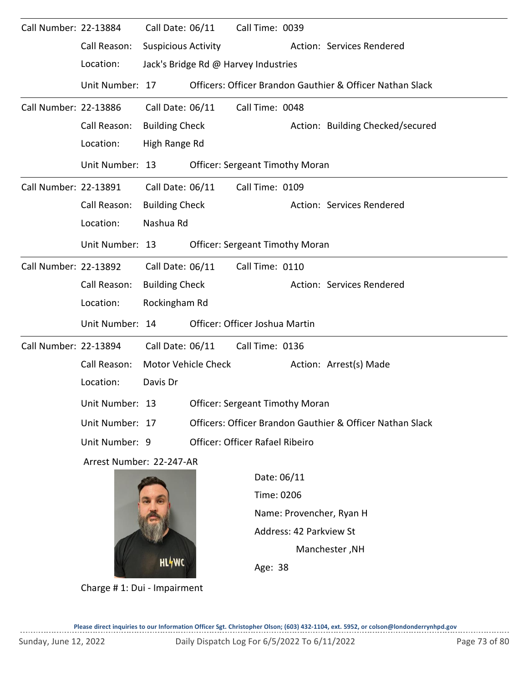| Call Number: 22-13884 |                                                 | Call Date: 06/11           |                                      | Call Time: 0039                        |                                        |                                                           |  |  |  |  |
|-----------------------|-------------------------------------------------|----------------------------|--------------------------------------|----------------------------------------|----------------------------------------|-----------------------------------------------------------|--|--|--|--|
|                       | Call Reason:                                    | <b>Suspicious Activity</b> |                                      |                                        |                                        | Action: Services Rendered                                 |  |  |  |  |
|                       | Location:                                       |                            | Jack's Bridge Rd @ Harvey Industries |                                        |                                        |                                                           |  |  |  |  |
|                       | Unit Number: 17                                 |                            |                                      |                                        |                                        | Officers: Officer Brandon Gauthier & Officer Nathan Slack |  |  |  |  |
| Call Number: 22-13886 |                                                 | Call Date: 06/11           |                                      | Call Time: 0048                        |                                        |                                                           |  |  |  |  |
|                       | Call Reason:                                    | <b>Building Check</b>      |                                      | Action: Building Checked/secured       |                                        |                                                           |  |  |  |  |
|                       | Location:                                       |                            | High Range Rd                        |                                        |                                        |                                                           |  |  |  |  |
|                       | Unit Number: 13                                 |                            |                                      | <b>Officer: Sergeant Timothy Moran</b> |                                        |                                                           |  |  |  |  |
| Call Number: 22-13891 |                                                 | Call Date: 06/11           |                                      | Call Time: 0109                        |                                        |                                                           |  |  |  |  |
|                       | Call Reason:                                    | <b>Building Check</b>      |                                      |                                        |                                        | Action: Services Rendered                                 |  |  |  |  |
|                       | Location:                                       | Nashua Rd                  |                                      |                                        |                                        |                                                           |  |  |  |  |
|                       | Unit Number: 13                                 |                            |                                      | <b>Officer: Sergeant Timothy Moran</b> |                                        |                                                           |  |  |  |  |
| Call Number: 22-13892 |                                                 | Call Date: 06/11           |                                      | Call Time: 0110                        |                                        |                                                           |  |  |  |  |
|                       | Call Reason:                                    | <b>Building Check</b>      |                                      |                                        |                                        | Action: Services Rendered                                 |  |  |  |  |
|                       | Location:                                       | Rockingham Rd              |                                      |                                        |                                        |                                                           |  |  |  |  |
|                       | Unit Number: 14                                 |                            |                                      | Officer: Officer Joshua Martin         |                                        |                                                           |  |  |  |  |
| Call Number: 22-13894 |                                                 | Call Date: 06/11           |                                      | Call Time: 0136                        |                                        |                                                           |  |  |  |  |
|                       | Call Reason:                                    |                            | Motor Vehicle Check                  |                                        |                                        | Action: Arrest(s) Made                                    |  |  |  |  |
|                       | Location:                                       | Davis Dr                   |                                      |                                        |                                        |                                                           |  |  |  |  |
|                       | Unit Number: 13 Officer: Sergeant Timothy Moran |                            |                                      |                                        |                                        |                                                           |  |  |  |  |
|                       | Unit Number: 17                                 |                            |                                      |                                        |                                        | Officers: Officer Brandon Gauthier & Officer Nathan Slack |  |  |  |  |
|                       | Unit Number: 9                                  |                            |                                      | Officer: Officer Rafael Ribeiro        |                                        |                                                           |  |  |  |  |
|                       | Arrest Number: 22-247-AR                        |                            |                                      |                                        |                                        |                                                           |  |  |  |  |
|                       |                                                 |                            |                                      | Date: 06/11                            |                                        |                                                           |  |  |  |  |
|                       |                                                 |                            |                                      |                                        | Time: 0206<br>Name: Provencher, Ryan H |                                                           |  |  |  |  |
|                       |                                                 |                            |                                      |                                        |                                        |                                                           |  |  |  |  |
|                       |                                                 |                            |                                      |                                        | Address: 42 Parkview St                |                                                           |  |  |  |  |
|                       |                                                 | HL4WC                      |                                      |                                        |                                        | Manchester, NH                                            |  |  |  |  |
|                       |                                                 |                            |                                      | $\Delta \sigma \Omega$ 38              |                                        |                                                           |  |  |  |  |

Charge # 1: Dui - Impairment

 $\sim$   $\sim$   $\sim$ 

Age: 38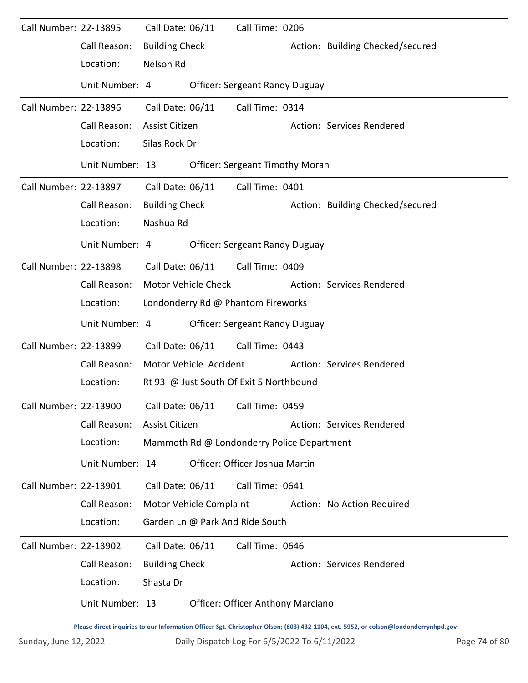| Call Number: 22-13895 |                 | Call Date: 06/11      |                         | Call Time: 0206                            |                                  |
|-----------------------|-----------------|-----------------------|-------------------------|--------------------------------------------|----------------------------------|
|                       | Call Reason:    | <b>Building Check</b> |                         |                                            | Action: Building Checked/secured |
|                       | Location:       | Nelson Rd             |                         |                                            |                                  |
|                       | Unit Number: 4  |                       |                         | <b>Officer: Sergeant Randy Duguay</b>      |                                  |
| Call Number: 22-13896 |                 | Call Date: 06/11      |                         | Call Time: 0314                            |                                  |
|                       | Call Reason:    | <b>Assist Citizen</b> |                         |                                            | Action: Services Rendered        |
|                       | Location:       | Silas Rock Dr         |                         |                                            |                                  |
|                       | Unit Number: 13 |                       |                         | <b>Officer: Sergeant Timothy Moran</b>     |                                  |
| Call Number: 22-13897 |                 | Call Date: 06/11      |                         | Call Time: 0401                            |                                  |
|                       | Call Reason:    | <b>Building Check</b> |                         |                                            | Action: Building Checked/secured |
|                       | Location:       | Nashua Rd             |                         |                                            |                                  |
|                       | Unit Number: 4  |                       |                         | <b>Officer: Sergeant Randy Duguay</b>      |                                  |
| Call Number: 22-13898 |                 | Call Date: 06/11      |                         | Call Time: 0409                            |                                  |
|                       | Call Reason:    |                       | Motor Vehicle Check     |                                            | Action: Services Rendered        |
|                       | Location:       |                       |                         | Londonderry Rd @ Phantom Fireworks         |                                  |
|                       | Unit Number: 4  |                       |                         | <b>Officer: Sergeant Randy Duguay</b>      |                                  |
| Call Number: 22-13899 |                 | Call Date: 06/11      |                         | Call Time: 0443                            |                                  |
|                       | Call Reason:    |                       | Motor Vehicle Accident  |                                            | Action: Services Rendered        |
|                       | Location:       |                       |                         | Rt 93 @ Just South Of Exit 5 Northbound    |                                  |
| Call Number: 22-13900 |                 |                       |                         | Call Date: 06/11 Call Time: 0459           |                                  |
|                       | Call Reason:    | Assist Citizen        |                         |                                            | Action: Services Rendered        |
|                       | Location:       |                       |                         | Mammoth Rd @ Londonderry Police Department |                                  |
|                       | Unit Number: 14 |                       |                         | Officer: Officer Joshua Martin             |                                  |
| Call Number: 22-13901 |                 | Call Date: 06/11      |                         | Call Time: 0641                            |                                  |
|                       | Call Reason:    |                       | Motor Vehicle Complaint |                                            | Action: No Action Required       |
|                       | Location:       |                       |                         | Garden Ln @ Park And Ride South            |                                  |
| Call Number: 22-13902 |                 | Call Date: 06/11      |                         | Call Time: 0646                            |                                  |
|                       | Call Reason:    | <b>Building Check</b> |                         |                                            | Action: Services Rendered        |
|                       | Location:       | Shasta Dr             |                         |                                            |                                  |
|                       | Unit Number: 13 |                       |                         | <b>Officer: Officer Anthony Marciano</b>   |                                  |

**Please direct inquiries to our Information Officer Sgt. Christopher Olson; (603) 432-1104, ext. 5952, or colson@londonderrynhpd.gov**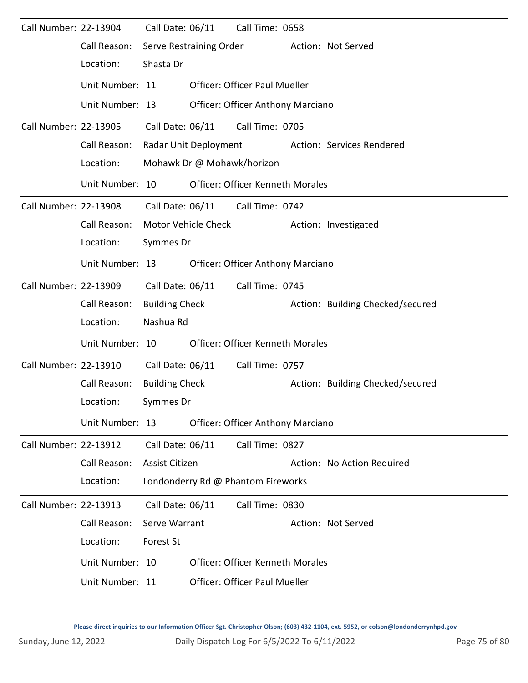| Call Number: 22-13904 |                 | Call Date: 06/11      |                         | Call Time: 0658                          |                                  |
|-----------------------|-----------------|-----------------------|-------------------------|------------------------------------------|----------------------------------|
|                       | Call Reason:    |                       | Serve Restraining Order |                                          | Action: Not Served               |
|                       | Location:       | Shasta Dr             |                         |                                          |                                  |
|                       | Unit Number: 11 |                       |                         | <b>Officer: Officer Paul Mueller</b>     |                                  |
|                       | Unit Number: 13 |                       |                         | <b>Officer: Officer Anthony Marciano</b> |                                  |
| Call Number: 22-13905 |                 | Call Date: 06/11      |                         | Call Time: 0705                          |                                  |
|                       | Call Reason:    |                       | Radar Unit Deployment   |                                          | Action: Services Rendered        |
|                       | Location:       |                       |                         | Mohawk Dr @ Mohawk/horizon               |                                  |
|                       | Unit Number: 10 |                       |                         | <b>Officer: Officer Kenneth Morales</b>  |                                  |
| Call Number: 22-13908 |                 | Call Date: 06/11      |                         | Call Time: 0742                          |                                  |
|                       | Call Reason:    |                       | Motor Vehicle Check     |                                          | Action: Investigated             |
|                       | Location:       | Symmes Dr             |                         |                                          |                                  |
|                       | Unit Number: 13 |                       |                         | Officer: Officer Anthony Marciano        |                                  |
| Call Number: 22-13909 |                 | Call Date: 06/11      |                         | Call Time: 0745                          |                                  |
|                       | Call Reason:    | <b>Building Check</b> |                         |                                          | Action: Building Checked/secured |
|                       | Location:       | Nashua Rd             |                         |                                          |                                  |
|                       | Unit Number: 10 |                       |                         | <b>Officer: Officer Kenneth Morales</b>  |                                  |
| Call Number: 22-13910 |                 | Call Date: 06/11      |                         | Call Time: 0757                          |                                  |
|                       | Call Reason:    | <b>Building Check</b> |                         |                                          | Action: Building Checked/secured |
|                       | Location:       | Symmes Dr             |                         |                                          |                                  |
|                       | Unit Number: 13 |                       |                         | <b>Officer: Officer Anthony Marciano</b> |                                  |
| Call Number: 22-13912 |                 | Call Date: 06/11      |                         | Call Time: 0827                          |                                  |
|                       | Call Reason:    | Assist Citizen        |                         |                                          | Action: No Action Required       |
|                       | Location:       |                       |                         | Londonderry Rd @ Phantom Fireworks       |                                  |
| Call Number: 22-13913 |                 | Call Date: 06/11      |                         | Call Time: 0830                          |                                  |
|                       | Call Reason:    | Serve Warrant         |                         |                                          | Action: Not Served               |
|                       | Location:       | Forest St             |                         |                                          |                                  |
|                       | Unit Number: 10 |                       |                         | <b>Officer: Officer Kenneth Morales</b>  |                                  |
|                       | Unit Number: 11 |                       |                         | <b>Officer: Officer Paul Mueller</b>     |                                  |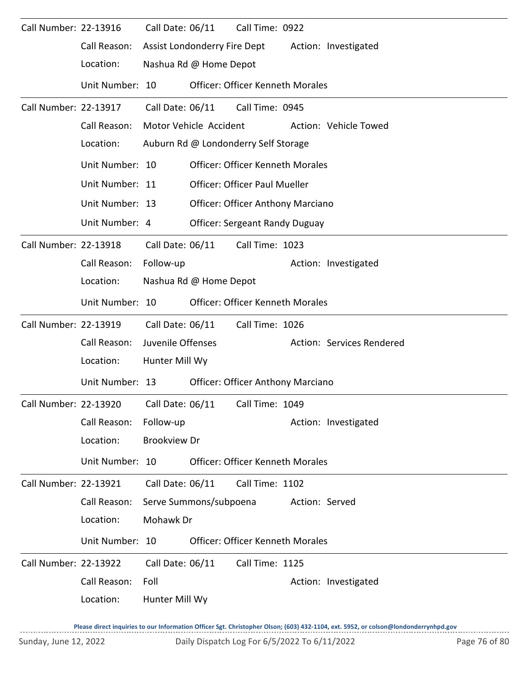| Call Number: 22-13916 |                                                              | Call Date: 06/11    |                              | Call Time: 0922                          |                |                           |
|-----------------------|--------------------------------------------------------------|---------------------|------------------------------|------------------------------------------|----------------|---------------------------|
|                       | Call Reason:                                                 |                     | Assist Londonderry Fire Dept |                                          |                | Action: Investigated      |
|                       | Location:                                                    |                     | Nashua Rd @ Home Depot       |                                          |                |                           |
|                       | Unit Number: 10                                              |                     |                              | <b>Officer: Officer Kenneth Morales</b>  |                |                           |
| Call Number: 22-13917 |                                                              | Call Date: 06/11    |                              | Call Time: 0945                          |                |                           |
|                       | Call Reason:                                                 |                     | Motor Vehicle Accident       |                                          |                | Action: Vehicle Towed     |
|                       | Location:                                                    |                     |                              | Auburn Rd @ Londonderry Self Storage     |                |                           |
|                       | Unit Number: 10                                              |                     |                              | <b>Officer: Officer Kenneth Morales</b>  |                |                           |
|                       | Unit Number: 11                                              |                     |                              | <b>Officer: Officer Paul Mueller</b>     |                |                           |
|                       | Unit Number: 13                                              |                     |                              | <b>Officer: Officer Anthony Marciano</b> |                |                           |
|                       | Unit Number: 4                                               |                     |                              | <b>Officer: Sergeant Randy Duguay</b>    |                |                           |
| Call Number: 22-13918 |                                                              | Call Date: 06/11    |                              | Call Time: 1023                          |                |                           |
|                       | Call Reason:                                                 | Follow-up           |                              |                                          |                | Action: Investigated      |
|                       | Location:                                                    |                     | Nashua Rd @ Home Depot       |                                          |                |                           |
|                       | Unit Number: 10                                              |                     |                              | <b>Officer: Officer Kenneth Morales</b>  |                |                           |
| Call Number: 22-13919 |                                                              | Call Date: 06/11    |                              | Call Time: 1026                          |                |                           |
|                       | Call Reason:                                                 | Juvenile Offenses   |                              |                                          |                | Action: Services Rendered |
|                       | Location:                                                    | Hunter Mill Wy      |                              |                                          |                |                           |
|                       | Unit Number: 13                                              |                     |                              | <b>Officer: Officer Anthony Marciano</b> |                |                           |
|                       | Call Number: 22-13920    Call Date: 06/11    Call Time: 1049 |                     |                              |                                          |                |                           |
|                       | Call Reason:                                                 | Follow-up           |                              |                                          |                | Action: Investigated      |
|                       | Location:                                                    | <b>Brookview Dr</b> |                              |                                          |                |                           |
|                       | Unit Number: 10                                              |                     |                              | <b>Officer: Officer Kenneth Morales</b>  |                |                           |
| Call Number: 22-13921 |                                                              | Call Date: 06/11    |                              | Call Time: 1102                          |                |                           |
|                       | Call Reason:                                                 |                     | Serve Summons/subpoena       |                                          | Action: Served |                           |
|                       | Location:                                                    | Mohawk Dr           |                              |                                          |                |                           |
|                       | Unit Number: 10                                              |                     |                              | <b>Officer: Officer Kenneth Morales</b>  |                |                           |
| Call Number: 22-13922 |                                                              | Call Date: 06/11    |                              | Call Time: 1125                          |                |                           |
|                       | Call Reason:                                                 | Foll                |                              |                                          |                | Action: Investigated      |
|                       | Location:                                                    | Hunter Mill Wy      |                              |                                          |                |                           |
|                       |                                                              |                     |                              |                                          |                |                           |

**Please direct inquiries to our Information Officer Sgt. Christopher Olson; (603) 432-1104, ext. 5952, or colson@londonderrynhpd.gov**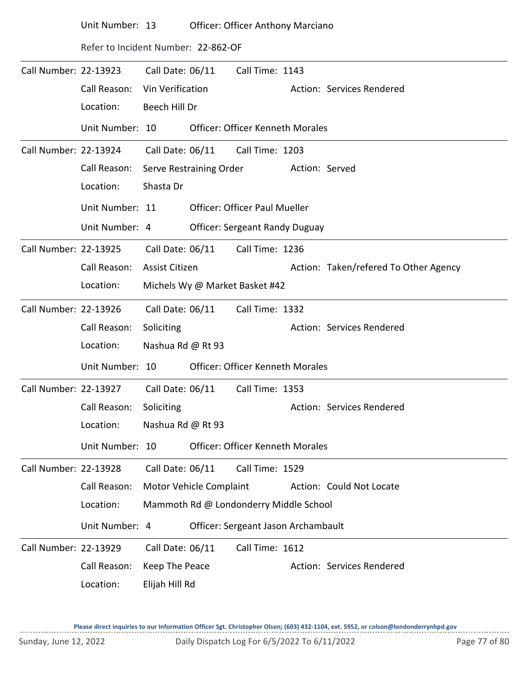|                       | Unit Number: 13                     |                         | <b>Officer: Officer Anthony Marciano</b> |                |                                       |
|-----------------------|-------------------------------------|-------------------------|------------------------------------------|----------------|---------------------------------------|
|                       | Refer to Incident Number: 22-862-OF |                         |                                          |                |                                       |
| Call Number: 22-13923 |                                     | Call Date: 06/11        | Call Time: 1143                          |                |                                       |
|                       | Call Reason:                        | Vin Verification        |                                          |                | Action: Services Rendered             |
|                       | Location:                           | Beech Hill Dr           |                                          |                |                                       |
|                       | Unit Number: 10                     |                         | <b>Officer: Officer Kenneth Morales</b>  |                |                                       |
| Call Number: 22-13924 |                                     | Call Date: 06/11        | Call Time: 1203                          |                |                                       |
|                       | Call Reason:                        | Serve Restraining Order |                                          | Action: Served |                                       |
|                       | Location:                           | Shasta Dr               |                                          |                |                                       |
|                       | Unit Number: 11                     |                         | <b>Officer: Officer Paul Mueller</b>     |                |                                       |
|                       | Unit Number: 4                      |                         | <b>Officer: Sergeant Randy Duguay</b>    |                |                                       |
| Call Number: 22-13925 |                                     | Call Date: 06/11        | Call Time: 1236                          |                |                                       |
|                       | Call Reason:                        | Assist Citizen          |                                          |                | Action: Taken/refered To Other Agency |
|                       | Location:                           |                         | Michels Wy @ Market Basket #42           |                |                                       |
| Call Number: 22-13926 |                                     | Call Date: 06/11        | Call Time: 1332                          |                |                                       |
|                       | Call Reason:                        | Soliciting              |                                          |                | Action: Services Rendered             |
|                       | Location:                           | Nashua Rd @ Rt 93       |                                          |                |                                       |
|                       | Unit Number: 10                     |                         | <b>Officer: Officer Kenneth Morales</b>  |                |                                       |
| Call Number: 22-13927 |                                     | Call Date: 06/11        | Call Time: 1353                          |                |                                       |
|                       | Call Reason:                        | Soliciting              |                                          |                | Action: Services Rendered             |
|                       | Location:                           | Nashua Rd @ Rt 93       |                                          |                |                                       |
|                       | Unit Number: 10                     |                         | <b>Officer: Officer Kenneth Morales</b>  |                |                                       |
| Call Number: 22-13928 |                                     | Call Date: 06/11        | Call Time: 1529                          |                |                                       |
|                       | Call Reason:                        | Motor Vehicle Complaint |                                          |                | Action: Could Not Locate              |
|                       | Location:                           |                         | Mammoth Rd @ Londonderry Middle School   |                |                                       |
|                       | Unit Number: 4                      |                         | Officer: Sergeant Jason Archambault      |                |                                       |
| Call Number: 22-13929 |                                     | Call Date: 06/11        | Call Time: 1612                          |                |                                       |
|                       | Call Reason:                        | Keep The Peace          |                                          |                | Action: Services Rendered             |
|                       | Location:                           | Elijah Hill Rd          |                                          |                |                                       |

**Please direct inquiries to our Information Officer Sgt. Christopher Olson; (603) 432-1104, ext. 5952, or colson@londonderrynhpd.gov**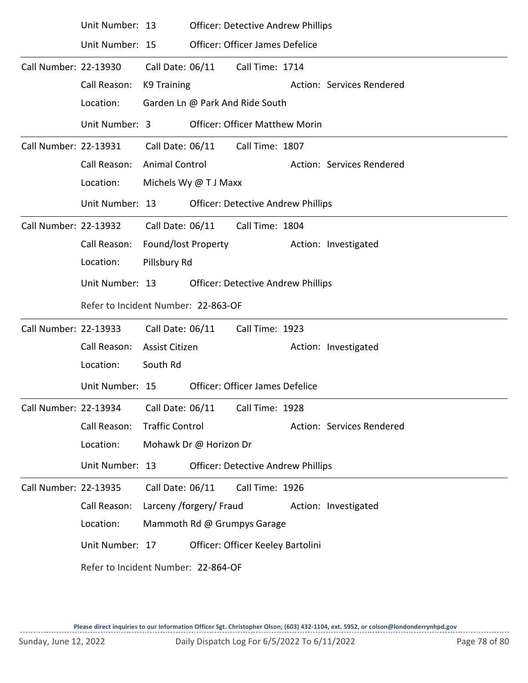|                       | Unit Number: 13                     |                         | <b>Officer: Detective Andrew Phillips</b> |                                           |  |                           |  |  |  |
|-----------------------|-------------------------------------|-------------------------|-------------------------------------------|-------------------------------------------|--|---------------------------|--|--|--|
|                       | Unit Number: 15                     |                         |                                           | Officer: Officer James Defelice           |  |                           |  |  |  |
| Call Number: 22-13930 |                                     | Call Date: 06/11        |                                           | Call Time: 1714                           |  |                           |  |  |  |
|                       | Call Reason:                        | K9 Training             |                                           |                                           |  | Action: Services Rendered |  |  |  |
|                       | Location:                           |                         |                                           | Garden Ln @ Park And Ride South           |  |                           |  |  |  |
|                       | Unit Number: 3                      |                         |                                           | <b>Officer: Officer Matthew Morin</b>     |  |                           |  |  |  |
| Call Number: 22-13931 |                                     |                         |                                           | Call Date: 06/11 Call Time: 1807          |  |                           |  |  |  |
|                       | Call Reason:                        | <b>Animal Control</b>   |                                           |                                           |  | Action: Services Rendered |  |  |  |
|                       | Location:                           | Michels Wy @ T J Maxx   |                                           |                                           |  |                           |  |  |  |
|                       | Unit Number: 13                     |                         |                                           | <b>Officer: Detective Andrew Phillips</b> |  |                           |  |  |  |
| Call Number: 22-13932 |                                     |                         | Call Date: 06/11                          | Call Time: 1804                           |  |                           |  |  |  |
|                       | Call Reason:                        | Found/lost Property     |                                           |                                           |  | Action: Investigated      |  |  |  |
|                       | Location:                           | Pillsbury Rd            |                                           |                                           |  |                           |  |  |  |
|                       | Unit Number: 13                     |                         | <b>Officer: Detective Andrew Phillips</b> |                                           |  |                           |  |  |  |
|                       | Refer to Incident Number: 22-863-OF |                         |                                           |                                           |  |                           |  |  |  |
| Call Number: 22-13933 |                                     | Call Date: 06/11        |                                           | Call Time: 1923                           |  |                           |  |  |  |
|                       | Call Reason:                        | <b>Assist Citizen</b>   |                                           |                                           |  | Action: Investigated      |  |  |  |
|                       | Location:                           | South Rd                |                                           |                                           |  |                           |  |  |  |
|                       | Unit Number: 15                     |                         |                                           | Officer: Officer James Defelice           |  |                           |  |  |  |
| Call Number: 22-13934 |                                     | Call Date: 06/11        |                                           | Call Time: 1928                           |  |                           |  |  |  |
|                       | Call Reason:                        | <b>Traffic Control</b>  |                                           |                                           |  | Action: Services Rendered |  |  |  |
|                       | Location:                           | Mohawk Dr @ Horizon Dr  |                                           |                                           |  |                           |  |  |  |
|                       | Unit Number: 13                     |                         |                                           | <b>Officer: Detective Andrew Phillips</b> |  |                           |  |  |  |
| Call Number: 22-13935 |                                     | Call Date: 06/11        |                                           | Call Time: 1926                           |  |                           |  |  |  |
|                       | Call Reason:                        | Larceny /forgery/ Fraud |                                           |                                           |  | Action: Investigated      |  |  |  |
|                       | Location:                           |                         |                                           | Mammoth Rd @ Grumpys Garage               |  |                           |  |  |  |
|                       | Unit Number: 17                     |                         |                                           | Officer: Officer Keeley Bartolini         |  |                           |  |  |  |
|                       | Refer to Incident Number: 22-864-OF |                         |                                           |                                           |  |                           |  |  |  |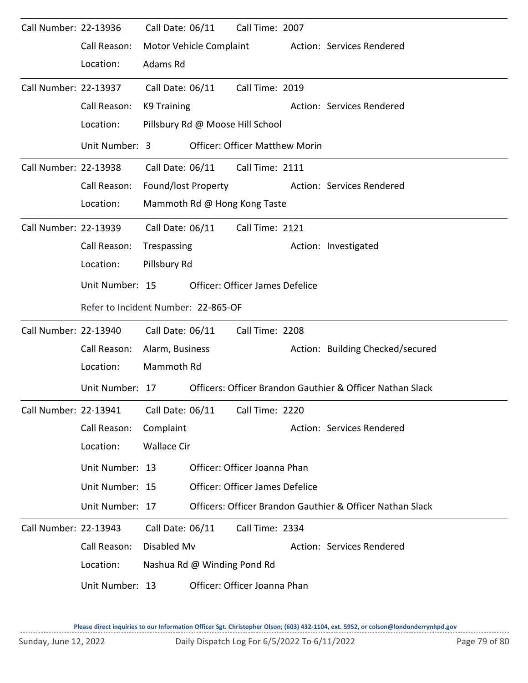| Call Number: 22-13936 |                                     | Call Date: 06/11            | Call Time: 2007                        |                                                           |
|-----------------------|-------------------------------------|-----------------------------|----------------------------------------|-----------------------------------------------------------|
|                       | Call Reason:                        | Motor Vehicle Complaint     |                                        | Action: Services Rendered                                 |
|                       | Location:                           | Adams Rd                    |                                        |                                                           |
| Call Number: 22-13937 |                                     | Call Date: 06/11            | Call Time: 2019                        |                                                           |
|                       | Call Reason:                        | K9 Training                 |                                        | Action: Services Rendered                                 |
|                       | Location:                           |                             | Pillsbury Rd @ Moose Hill School       |                                                           |
|                       | Unit Number: 3                      |                             | <b>Officer: Officer Matthew Morin</b>  |                                                           |
| Call Number: 22-13938 |                                     | Call Date: 06/11            | Call Time: 2111                        |                                                           |
|                       | Call Reason:                        | Found/lost Property         |                                        | Action: Services Rendered                                 |
|                       | Location:                           |                             | Mammoth Rd @ Hong Kong Taste           |                                                           |
| Call Number: 22-13939 |                                     | Call Date: 06/11            | Call Time: 2121                        |                                                           |
|                       | Call Reason:                        | Trespassing                 |                                        | Action: Investigated                                      |
|                       | Location:                           | Pillsbury Rd                |                                        |                                                           |
|                       | Unit Number: 15                     |                             | <b>Officer: Officer James Defelice</b> |                                                           |
|                       | Refer to Incident Number: 22-865-OF |                             |                                        |                                                           |
| Call Number: 22-13940 |                                     | Call Date: 06/11            | Call Time: 2208                        |                                                           |
|                       | Call Reason:                        | Alarm, Business             |                                        | Action: Building Checked/secured                          |
|                       | Location:                           | Mammoth Rd                  |                                        |                                                           |
|                       | Unit Number: 17                     |                             |                                        | Officers: Officer Brandon Gauthier & Officer Nathan Slack |
| Call Number: 22-13941 |                                     | Call Date: 06/11            | Call Time: 2220                        |                                                           |
|                       | Call Reason:                        | Complaint                   |                                        | Action: Services Rendered                                 |
|                       | Location:                           | <b>Wallace Cir</b>          |                                        |                                                           |
|                       | Unit Number: 13                     |                             | Officer: Officer Joanna Phan           |                                                           |
|                       | Unit Number: 15                     |                             | Officer: Officer James Defelice        |                                                           |
|                       | Unit Number: 17                     |                             |                                        | Officers: Officer Brandon Gauthier & Officer Nathan Slack |
| Call Number: 22-13943 |                                     | Call Date: 06/11            | Call Time: 2334                        |                                                           |
|                       | Call Reason:                        | Disabled Mv                 |                                        | Action: Services Rendered                                 |
|                       | Location:                           | Nashua Rd @ Winding Pond Rd |                                        |                                                           |
|                       | Unit Number: 13                     |                             | Officer: Officer Joanna Phan           |                                                           |